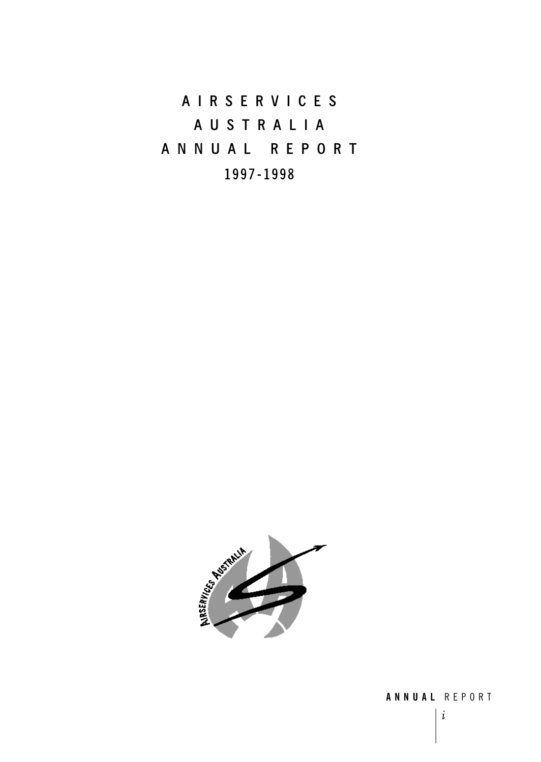**A I R S E R V I C E S A U S T R A L I A A N N U A L R E P O R T 1 9 9 7 - 1 9 9 8**

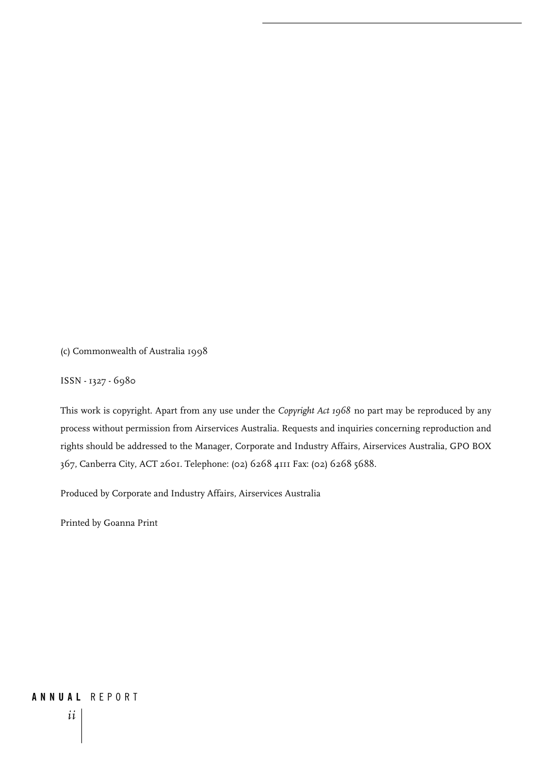(c) Commonwealth of Australia 1998

#### ISSN - 1327 - 6980

This work is copyright. Apart from any use under the *Copyright Act 1968* no part may be reproduced by any process without permission from Airservices Australia. Requests and inquiries concerning reproduction and rights should be addressed to the Manager, Corporate and Industry Affairs, Airservices Australia, GPO BOX 367, Canberra City, ACT 2601. Telephone: (02) 6268 4111 Fax: (02) 6268 5688.

Produced by Corporate and Industry Affairs, Airservices Australia

Printed by Goanna Print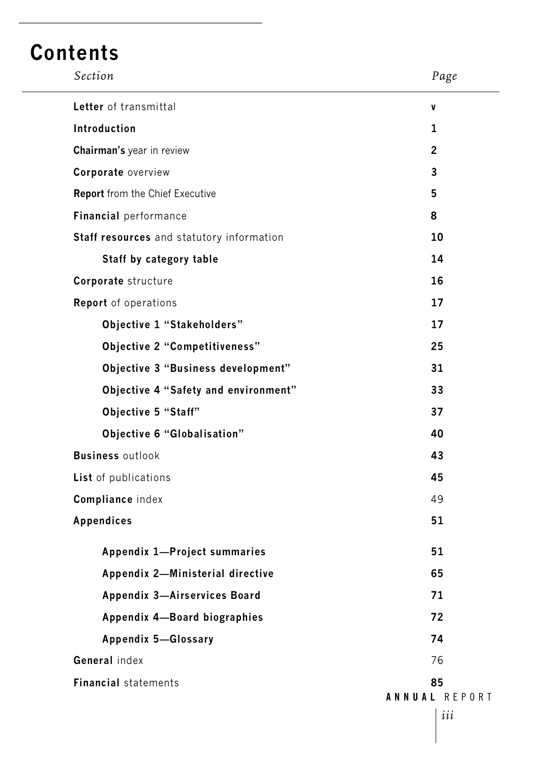# **C o n t e n t s**

| Section                                   | Page           |
|-------------------------------------------|----------------|
| Letter of transmittal                     | V              |
| Introduction                              | 1              |
| Chairman's year in review                 | $\overline{2}$ |
| <b>Corporate overview</b>                 | $\overline{3}$ |
| <b>Report</b> from the Chief Executive    | 5              |
| Financial performance                     | 8              |
| Staff resources and statutory information | 10             |
| Staff by category table                   | 14             |
| Corporate structure                       | 16             |
| Report of operations                      | 17             |
| <b>Objective 1 "Stakeholders"</b>         | 17             |
| <b>Objective 2 "Competitiveness"</b>      | 25             |
| Objective 3 "Business development"        | 31             |
| Objective 4 "Safety and environment"      | 33             |
| <b>Objective 5 "Staff"</b>                | 37             |
| Objective 6 "Globalisation"               | 40             |
| <b>Business outlook</b>                   | 43             |
| List of publications                      | 45             |
| <b>Compliance</b> index                   | 49             |
| <b>Appendices</b>                         | 51             |
| Appendix 1-Project summaries              | 51             |
| Appendix 2-Ministerial directive          | 65             |
| Appendix 3-Airservices Board              | 71             |
| Appendix 4-Board biographies              | 72             |
| <b>Appendix 5-Glossary</b>                | 74             |
| General index                             | 76             |
| <b>Financial statements</b>               | 85             |
|                                           | ANNUAL REPORT  |
|                                           | iii            |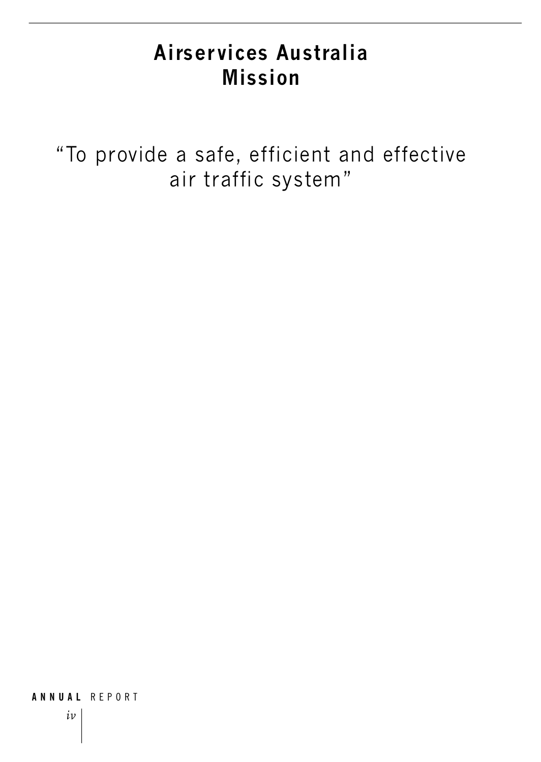## **A i rs e rvices Au s t ra l i a Mission**

"To provide a safe, efficient and effective air traffic system"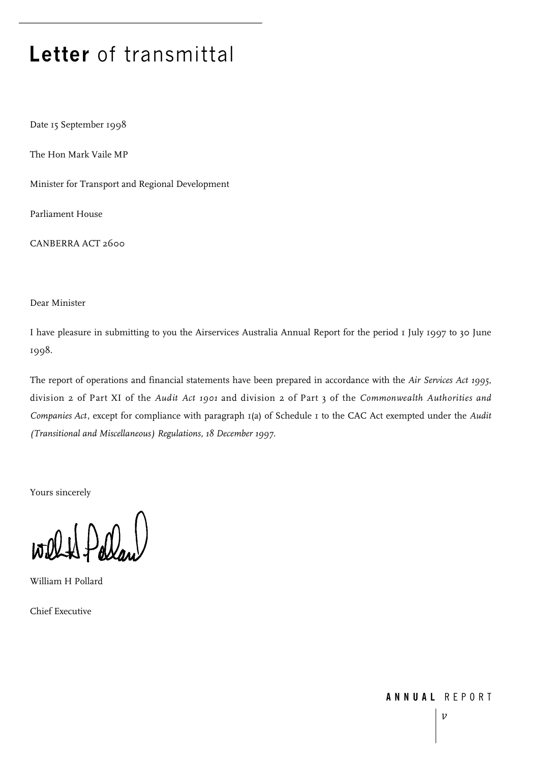## Letter of transmittal

Date 15 September 1998

The Hon Mark Vaile MP

Minister for Transport and Regional Development

Parliament House

CANBERRA ACT 2600

Dear Minister

I have pleasure in submitting to you the Airservices Australia Annual Report for the period 1 July 1997 to 30 June 1998.

The report of operations and financial statements have been prepared in accordance with the *Air Services Act 1995*, division 2 of Part XI of the *Audit Act 1901* and division 2 of Part 3 of the *Commonwealth Authorities and Companies Act*, except for compliance with paragraph 1(a) of Schedule 1 to the CAC Act exempted under the *Audit (Transitional and Miscellaneous) Regulations, 18 December 1997*.

Yours sincerely

Welt Pollar

William H Pollard

Chief Executive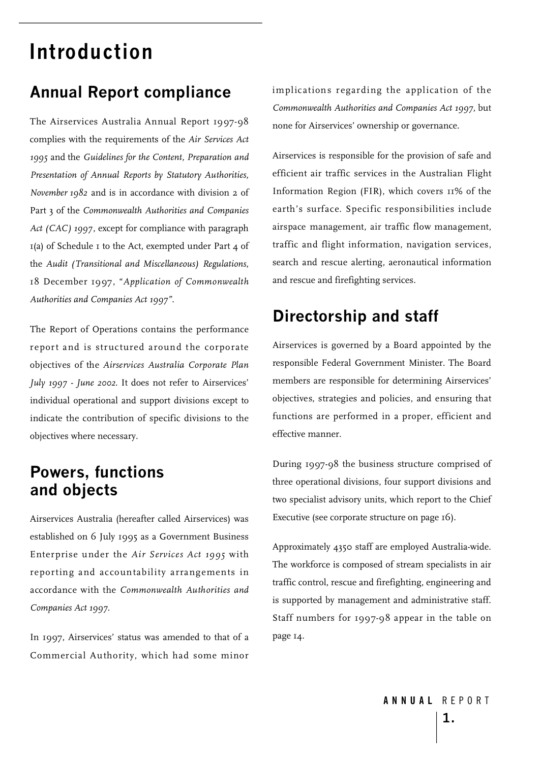## **I n t ro d u c t i o n**

## **Annual Report compliance**

The Airservices Australia Annual Report 1997-98 complies with the requirements of the *Air Services Act 1995* and the *Guidelines for the Content, Preparation and Presentation of Annual Reports by Statutory Authorities, November 1982* and is in accordance with division 2 of Part 3 of the *Commonwealth Authorities and Companies Act (CAC) 1997*, except for compliance with paragraph  $I(a)$  of Schedule I to the Act, exempted under Part 4 of the *Audit (Transitional and Miscellaneous) Regulations*, 18 December 1997, "*Application of Commonwealth Authorities and Companies Act 1997"*.

The Report of Operations contains the performance report and is structured around the corporate objectives of the *Airservices Australia Corporate Plan July 1997 - June 2002*. It does not refer to Airservices' individual operational and support divisions except to indicate the contribution of specific divisions to the objectives where necessary.

### **Powers, functions and objects**

Airservices Australia (hereafter called Airservices) was established on 6 July 1995 as a Government Business Enterprise under the *Air Services Act 1995* with reporting and accountability arrangements in accordance with the *Commonwealth Authorities and Companies Act 1997.*

In 1997, Airservices' status was amended to that of a Commercial Authority, which had some minor

implications regarding the application of the *Commonwealth Authorities and Companies Act 1997,* but none for Airservices' ownership or governance.

Airservices is responsible for the provision of safe and efficient air traffic services in the Australian Flight Information Region (FIR), which covers 11% of the earth's surface. Specific responsibilities include airspace management, air traffic flow management, traffic and flight information, navigation services, search and rescue alerting, aeronautical information and rescue and firefighting services.

## **Directorship and staff**

Airservices is governed by a Board appointed by the responsible Federal Government Minister. The Board members are responsible for determining Airservices' objectives, strategies and policies, and ensuring that functions are performed in a proper, efficient and effective manner.

During 1997-98 the business structure comprised of three operational divisions, four support divisions and two specialist advisory units, which report to the Chief Executive (see corporate structure on page 16).

Approximately 4350 staff are employed Australia-wide. The workforce is composed of stream specialists in air traffic control, rescue and firefighting, engineering and is supported by management and administrative staff. Staff numbers for 1997-98 appear in the table on page 14.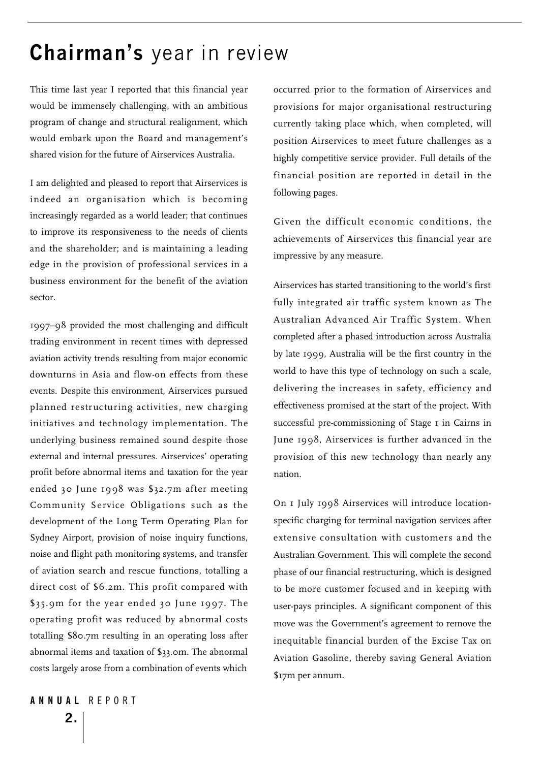## **Chairman's** year in review

This time last year I reported that this financial year would be immensely challenging, with an ambitious program of change and structural realignment, which would embark upon the Board and management's shared vision for the future of Airservices Australia.

I am delighted and pleased to report that Airservices is indeed an organisation which is becoming increasingly regarded as a world leader; that continues to improve its responsiveness to the needs of clients and the shareholder; and is maintaining a leading edge in the provision of professional services in a business environment for the benefit of the aviation sector.

1997–98 provided the most challenging and difficult trading environment in recent times with depressed aviation activity trends resulting from major economic downturns in Asia and flow-on effects from these events. Despite this environment, Airservices pursued planned restructuring activities, new charging initiatives and technology implementation. The underlying business remained sound despite those external and internal pressures. Airservices' operating profit before abnormal items and taxation for the year ended 30 June 1998 was \$32.7m after meeting Community Service Obligations such as the development of the Long Term Operating Plan for Sydney Airport, provision of noise inquiry functions, noise and flight path monitoring systems, and transfer of aviation search and rescue functions, totalling a direct cost of \$6.2m. This profit compared with \$35.9m for the year ended 30 June 1997. The operating profit was reduced by abnormal costs totalling \$80.7m resulting in an operating loss after abnormal items and taxation of \$33.0m. The abnormal costs largely arose from a combination of events which

occurred prior to the formation of Airservices and provisions for major organisational restructuring currently taking place which, when completed, will position Airservices to meet future challenges as a highly competitive service provider. Full details of the financial position are reported in detail in the following pages.

Given the difficult economic conditions, the achievements of Airservices this financial year are impressive by any measure.

Airservices has started transitioning to the world's first fully integrated air traffic system known as The Australian Advanced Air Traffic System. When completed after a phased introduction across Australia by late 1999, Australia will be the first country in the world to have this type of technology on such a scale, delivering the increases in safety, efficiency and effectiveness promised at the start of the project. With successful pre-commissioning of Stage I in Cairns in June 1998, Airservices is further advanced in the provision of this new technology than nearly any nation.

On 1 July 1998 Airservices will introduce locationspecific charging for terminal navigation services after extensive consultation with customers and the Australian Government. This will complete the second phase of our financial restructuring, which is designed to be more customer focused and in keeping with user-pays principles. A significant component of this move was the Government's agreement to remove the inequitable financial burden of the Excise Tax on Aviation Gasoline, thereby saving General Aviation \$17m per annum.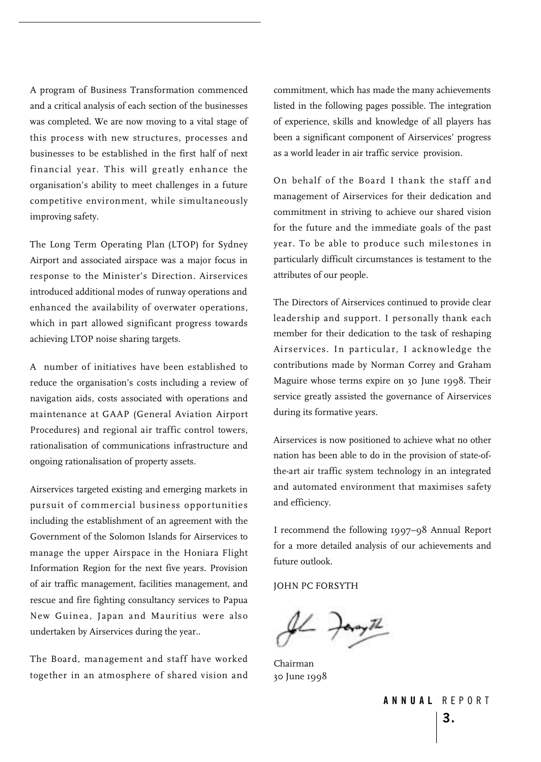A program of Business Transformation commenced and a critical analysis of each section of the businesses was completed. We are now moving to a vital stage of this process with new structures, processes and businesses to be established in the first half of next financial year. This will greatly enhance the organisation's ability to meet challenges in a future competitive environment, while simultaneously improving safety.

The Long Term Operating Plan (LTOP) for Sydney Airport and associated airspace was a major focus in response to the Minister's Direction. Airservices introduced additional modes of runway operations and enhanced the availability of overwater operations, which in part allowed significant progress towards achieving LTOP noise sharing targets.

A number of initiatives have been established to reduce the organisation's costs including a review of navigation aids, costs associated with operations and maintenance at GAAP (General Aviation Airport Procedures) and regional air traffic control towers, rationalisation of communications infrastructure and ongoing rationalisation of property assets.

Airservices targeted existing and emerging markets in pursuit of commercial business opportunities including the establishment of an agreement with the Government of the Solomon Islands for Airservices to manage the upper Airspace in the Honiara Flight Information Region for the next five years. Provision of air traffic management, facilities management, and rescue and fire fighting consultancy services to Papua New Guinea, Japan and Mauritius were also undertaken by Airservices during the year..

The Board, management and staff have worked together in an atmosphere of shared vision and

commitment, which has made the many achievements listed in the following pages possible. The integration of experience, skills and knowledge of all players has been a significant component of Airservices' progress as a world leader in air traffic service provision.

On behalf of the Board I thank the staff and management of Airservices for their dedication and commitment in striving to achieve our shared vision for the future and the immediate goals of the past year. To be able to produce such milestones in particularly difficult circumstances is testament to the attributes of our people.

The Directors of Airservices continued to provide clear leadership and support. I personally thank each member for their dedication to the task of reshaping Airservices. In particular, I acknowledge the contributions made by Norman Correy and Graham Maguire whose terms expire on 30 June 1998. Their service greatly assisted the governance of Airservices during its formative years.

Airservices is now positioned to achieve what no other nation has been able to do in the provision of state-ofthe-art air traffic system technology in an integrated and automated environment that maximises safety and efficiency.

I recommend the following 1997–98 Annual Report for a more detailed analysis of our achievements and future outlook.

JOHN PC FORSYTH

 $-$  fangth

Chairman 30 June 1998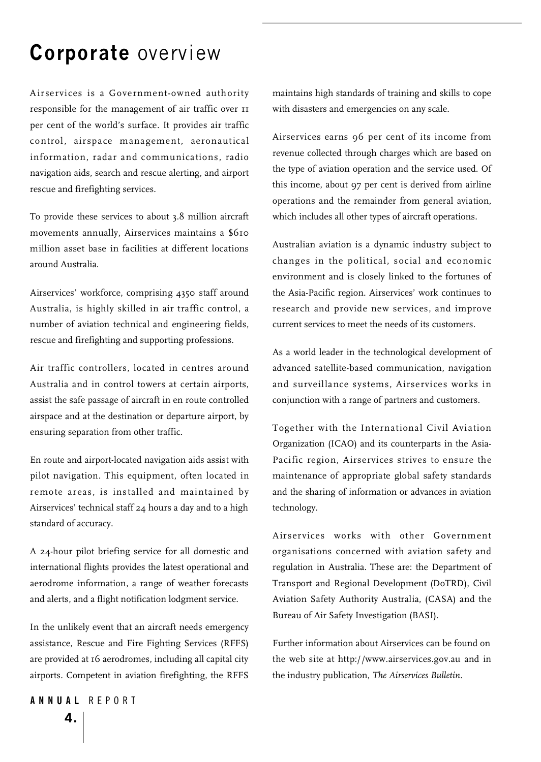## **Corporate** overview

Airservices is a Government-owned authority responsible for the management of air traffic over 11 per cent of the world's surface. It provides air traffic control, airspace management, aeronautical information, radar and communications, radio navigation aids, search and rescue alerting, and airport rescue and firefighting services.

To provide these services to about 3.8 million aircraft movements annually, Airservices maintains a \$610 million asset base in facilities at different locations around Australia.

Airservices' workforce, comprising 4350 staff around Australia, is highly skilled in air traffic control, a number of aviation technical and engineering fields, rescue and firefighting and supporting professions.

Air traffic controllers, located in centres around Australia and in control towers at certain airports, assist the safe passage of aircraft in en route controlled airspace and at the destination or departure airport, by ensuring separation from other traffic.

En route and airport-located navigation aids assist with pilot navigation. This equipment, often located in remote areas, is installed and maintained by Airservices' technical staff 24 hours a day and to a high standard of accuracy.

A 24-hour pilot briefing service for all domestic and international flights provides the latest operational and aerodrome information, a range of weather forecasts and alerts, and a flight notification lodgment service.

In the unlikely event that an aircraft needs emergency assistance, Rescue and Fire Fighting Services (RFFS) are provided at 16 aerodromes, including all capital city airports. Competent in aviation firefighting, the RFFS maintains high standards of training and skills to cope with disasters and emergencies on any scale.

Airservices earns 96 per cent of its income from revenue collected through charges which are based on the type of aviation operation and the service used. Of this income, about 97 per cent is derived from airline operations and the remainder from general aviation, which includes all other types of aircraft operations.

Australian aviation is a dynamic industry subject to changes in the political, social and economic environment and is closely linked to the fortunes of the Asia-Pacific region. Airservices' work continues to research and provide new services, and improve current services to meet the needs of its customers.

As a world leader in the technological development of advanced satellite-based communication, navigation and surveillance systems, Airservices works in conjunction with a range of partners and customers.

Together with the International Civil Aviation Organization (ICAO) and its counterparts in the Asia-Pacific region, Airservices strives to ensure the maintenance of appropriate global safety standards and the sharing of information or advances in aviation technology.

Airservices works with other Government organisations concerned with aviation safety and regulation in Australia. These are: the Department of Transport and Regional Development (DoTRD), Civil Aviation Safety Authority Australia, (CASA) and the Bureau of Air Safety Investigation (BASI).

Further information about Airservices can be found on the web site at http://www.airservices.gov.au and in the industry publication, *The Airservices Bulletin.*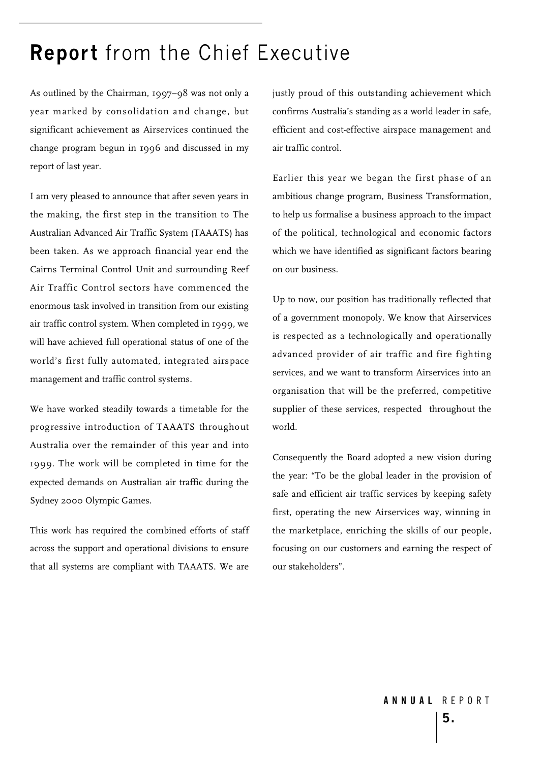## **Report** from the Chief Executive

As outlined by the Chairman, 1997–98 was not only a year marked by consolidation and change, but significant achievement as Airservices continued the change program begun in 1996 and discussed in my report of last year.

I am very pleased to announce that after seven years in the making, the first step in the transition to The Australian Advanced Air Traffic System (TAAATS) has been taken. As we approach financial year end the Cairns Terminal Control Unit and surrounding Reef Air Traffic Control sectors have commenced the enormous task involved in transition from our existing air traffic control system. When completed in 1999, we will have achieved full operational status of one of the world's first fully automated, integrated airspace management and traffic control systems.

We have worked steadily towards a timetable for the progressive introduction of TAAATS throughout Australia over the remainder of this year and into 1999. The work will be completed in time for the expected demands on Australian air traffic during the Sydney 2000 Olympic Games.

This work has required the combined efforts of staff across the support and operational divisions to ensure that all systems are compliant with TAAATS. We are

justly proud of this outstanding achievement which confirms Australia's standing as a world leader in safe, efficient and cost-effective airspace management and air traffic control.

Earlier this year we began the first phase of an ambitious change program, Business Transformation, to help us formalise a business approach to the impact of the political, technological and economic factors which we have identified as significant factors bearing on our business.

Up to now, our position has traditionally reflected that of a government monopoly. We know that Airservices is respected as a technologically and operationally advanced provider of air traffic and fire fighting services, and we want to transform Airservices into an organisation that will be the preferred, competitive supplier of these services, respected throughout the world.

Consequently the Board adopted a new vision during the year: "To be the global leader in the provision of safe and efficient air traffic services by keeping safety first, operating the new Airservices way, winning in the marketplace, enriching the skills of our people, focusing on our customers and earning the respect of our stakeholders".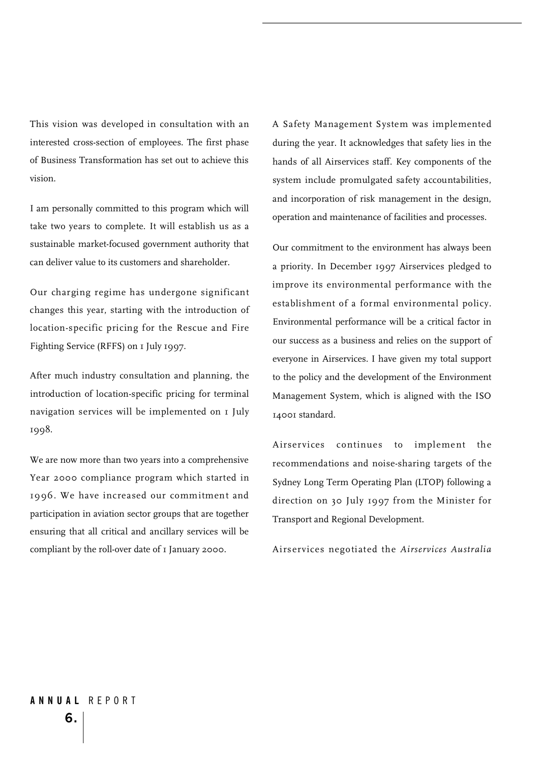This vision was developed in consultation with an interested cross-section of employees. The first phase of Business Transformation has set out to achieve this vision.

I am personally committed to this program which will take two years to complete. It will establish us as a sustainable market-focused government authority that can deliver value to its customers and shareholder.

Our charging regime has undergone significant changes this year, starting with the introduction of location-specific pricing for the Rescue and Fire Fighting Service (RFFS) on 1 July 1997.

After much industry consultation and planning, the introduction of location-specific pricing for terminal navigation services will be implemented on 1 July 1998.

We are now more than two years into a comprehensive Year 2000 compliance program which started in 1996. We have increased our commitment and participation in aviation sector groups that are together ensuring that all critical and ancillary services will be compliant by the roll-over date of 1 January 2000.

A Safety Management System was implemented during the year. It acknowledges that safety lies in the hands of all Airservices staff. Key components of the system include promulgated safety accountabilities, and incorporation of risk management in the design, operation and maintenance of facilities and processes.

Our commitment to the environment has always been a priority. In December 1997 Airservices pledged to improve its environmental performance with the establishment of a formal environmental policy. Environmental performance will be a critical factor in our success as a business and relies on the support of everyone in Airservices. I have given my total support to the policy and the development of the Environment Management System, which is aligned with the ISO 14001 standard.

Airservices continues to implement the recommendations and noise-sharing targets of the Sydney Long Term Operating Plan (LTOP) following a direction on 30 July 1997 from the Minister for Transport and Regional Development.

Airservices negotiated the *Airservices Australia*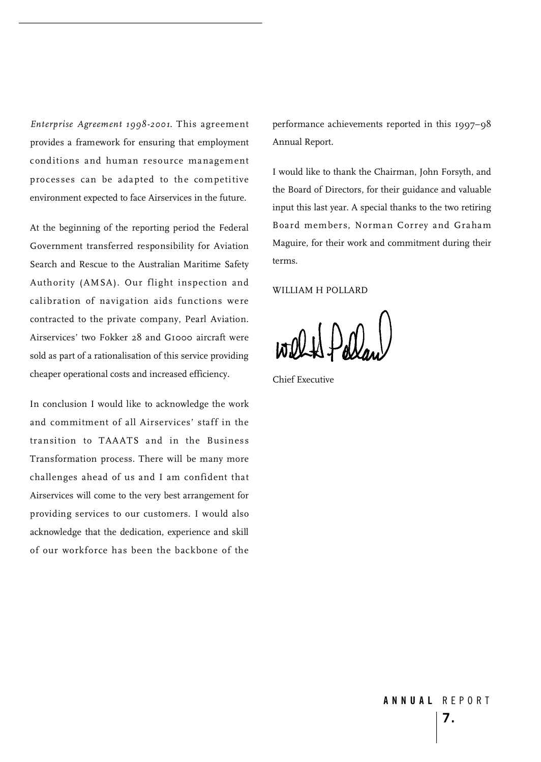*Enterprise Agreement 1998-2001*. This agreement provides a framework for ensuring that employment conditions and human resource management processes can be adapted to the competitive environment expected to face Airservices in the future.

At the beginning of the reporting period the Federal Government transferred responsibility for Aviation Search and Rescue to the Australian Maritime Safety Authority (AMSA). Our flight inspection and calibration of navigation aids functions were contracted to the private company, Pearl Aviation. Airservices' two Fokker 28 and G1000 aircraft were sold as part of a rationalisation of this service providing cheaper operational costs and increased efficiency.

In conclusion I would like to acknowledge the work and commitment of all Airservices' staff in the transition to TAAATS and in the Business Transformation process. There will be many more challenges ahead of us and I am confident that Airservices will come to the very best arrangement for providing services to our customers. I would also acknowledge that the dedication, experience and skill of our workforce has been the backbone of the performance achievements reported in this 1997–98 Annual Report.

I would like to thank the Chairman, John Forsyth, and the Board of Directors, for their guidance and valuable input this last year. A special thanks to the two retiring Board members, Norman Correy and Graham Maguire, for their work and commitment during their terms

#### WILLIAM H POLLARD

 $10011$   $-0$ 

Chief Executive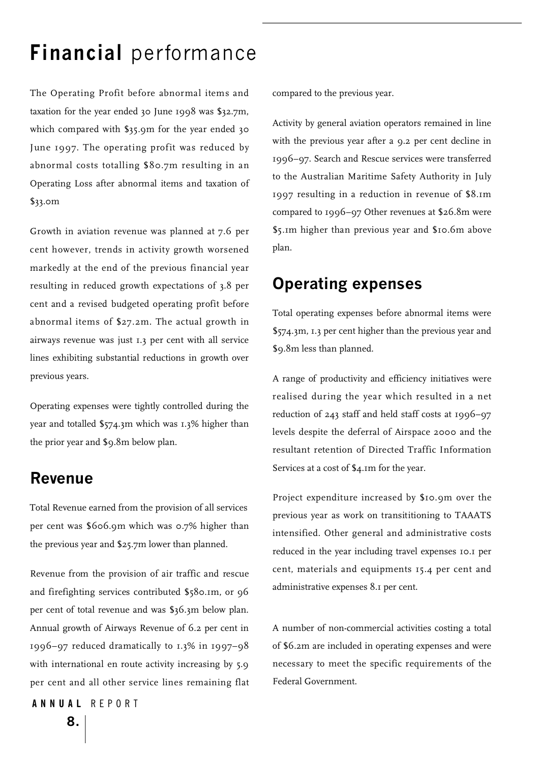## **Financial** performance

The Operating Profit before abnormal items and taxation for the year ended 30 June 1998 was \$32.7m, which compared with \$35.9m for the year ended 30 June 1997. The operating profit was reduced by abnormal costs totalling \$80.7m resulting in an Operating Loss after abnormal items and taxation of \$33.0m

Growth in aviation revenue was planned at 7.6 per cent however, trends in activity growth worsened markedly at the end of the previous financial year resulting in reduced growth expectations of 3.8 per cent and a revised budgeted operating profit before abnormal items of \$27.2m. The actual growth in airways revenue was just 1.3 per cent with all service lines exhibiting substantial reductions in growth over previous years.

Operating expenses were tightly controlled during the year and totalled \$574.3m which was 1.3% higher than the prior year and \$9.8m below plan.

### **Revenue**

Total Revenue earned from the provision of all services per cent was \$606.9m which was 0.7% higher than the previous year and \$25.7m lower than planned.

Revenue from the provision of air traffic and rescue and firefighting services contributed \$580.1m, or 96 per cent of total revenue and was \$36.3m below plan. Annual growth of Airways Revenue of 6.2 per cent in 1996–97 reduced dramatically to 1.3% in 1997–98 with international en route activity increasing by 5.9 per cent and all other service lines remaining flat compared to the previous year.

Activity by general aviation operators remained in line with the previous year after a 9.2 per cent decline in 1996–97. Search and Rescue services were transferred to the Australian Maritime Safety Authority in July 1997 resulting in a reduction in revenue of \$8.1m compared to 1996–97 Other revenues at \$26.8m were \$5.1m higher than previous year and \$10.6m above plan.

### **Operating expenses**

Total operating expenses before abnormal items were \$574.3m, 1.3 per cent higher than the previous year and \$9.8m less than planned.

A range of productivity and efficiency initiatives were realised during the year which resulted in a net reduction of 243 staff and held staff costs at 1996–97 levels despite the deferral of Airspace 2000 and the resultant retention of Directed Traffic Information Services at a cost of \$4.1m for the year.

Project expenditure increased by \$10.9m over the previous year as work on transititioning to TAAATS intensified. Other general and administrative costs reduced in the year including travel expenses 10.1 per cent, materials and equipments 15.4 per cent and administrative expenses 8.1 per cent.

A number of non-commercial activities costing a total of \$6.2m are included in operating expenses and were necessary to meet the specific requirements of the Federal Government.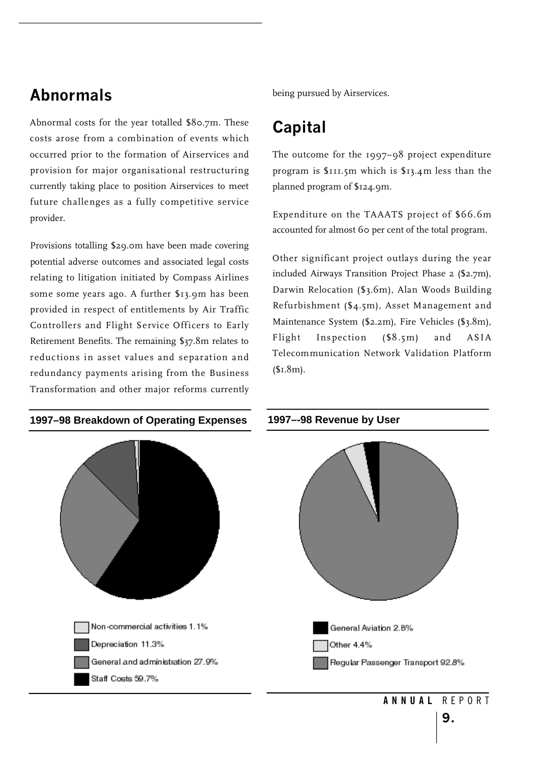## **Abnormals**

Abnormal costs for the year totalled \$80.7m. These costs arose from a combination of events which occurred prior to the formation of Airservices and provision for major organisational restructuring currently taking place to position Airservices to meet future challenges as a fully competitive service provider.

Provisions totalling \$29.0m have been made covering potential adverse outcomes and associated legal costs relating to litigation initiated by Compass Airlines some some years ago. A further \$13.9m has been provided in respect of entitlements by Air Traffic Controllers and Flight Service Officers to Early Retirement Benefits. The remaining \$37.8m relates to reductions in asset values and separation and redundancy payments arising from the Business Transformation and other major reforms currently

being pursued by Airservices.

## **Capital**

The outcome for the 1997–98 project expenditure program is \$111.5m which is \$13.4m less than the planned program of \$124.9m.

Expenditure on the TAAATS project of \$66.6m accounted for almost 60 per cent of the total program.

Other significant project outlays during the year included Airways Transition Project Phase 2 (\$2.7m), Darwin Relocation (\$3.6m), Alan Woods Building Refurbishment (\$4.5m), Asset Management and Maintenance System (\$2.2m), Fire Vehicles (\$3.8m), Flight Inspection (\$8.5m) and ASIA Telecommunication Network Validation Platform  $($  $\sqrt{$1,8m}$ ).

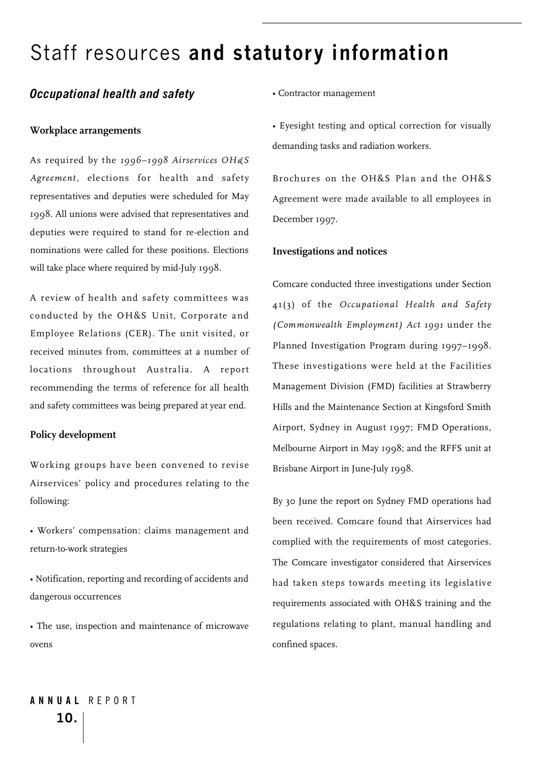## Staff resources and statutory information

#### *Occupational health and safety*

#### **Workplace arrangements**

As required by the *1996–1998 Airservices OH&S* Agreement, elections for health and safety representatives and deputies were scheduled for May 1998. All unions were advised that representatives and deputies were required to stand for re-election and nominations were called for these positions. Elections will take place where required by mid-July 1998.

A review of health and safety committees was conducted by the OH&S Unit, Corporate and Employee Relations (CER). The unit visited, or received minutes from, committees at a number of locations throughout Australia. A report recommending the terms of reference for all health and safety committees was being prepared at year end.

#### **Policy development**

Working groups have been convened to revise Airservices' policy and procedures relating to the following:

- Workers' compensation: claims management and return-to-work strategies
- Notification, reporting and recording of accidents and dangerous occurrences
- The use, inspection and maintenance of microwave ovens

• Contractor management

• Eyesight testing and optical correction for visually demanding tasks and radiation workers.

Brochures on the OH&S Plan and the OH&S Agreement were made available to all employees in December 1997.

#### **Investigations and notices**

Comcare conducted three investigations under Section 41(3) of the *Occupational Health and Safety (Commonwealth Employment) Act 1991* under the Planned Investigation Program during 1997–1998. These investigations were held at the Facilities Management Division (FMD) facilities at Strawberry Hills and the Maintenance Section at Kingsford Smith Airport, Sydney in August 1997; FMD Operations, Melbourne Airport in May 1998; and the RFFS unit at Brisbane Airport in June-July 1998.

By 30 June the report on Sydney FMD operations had been received. Comcare found that Airservices had complied with the requirements of most categories. The Comcare investigator considered that Airservices had taken steps towards meeting its legislative requirements associated with OH&S training and the regulations relating to plant, manual handling and confined spaces.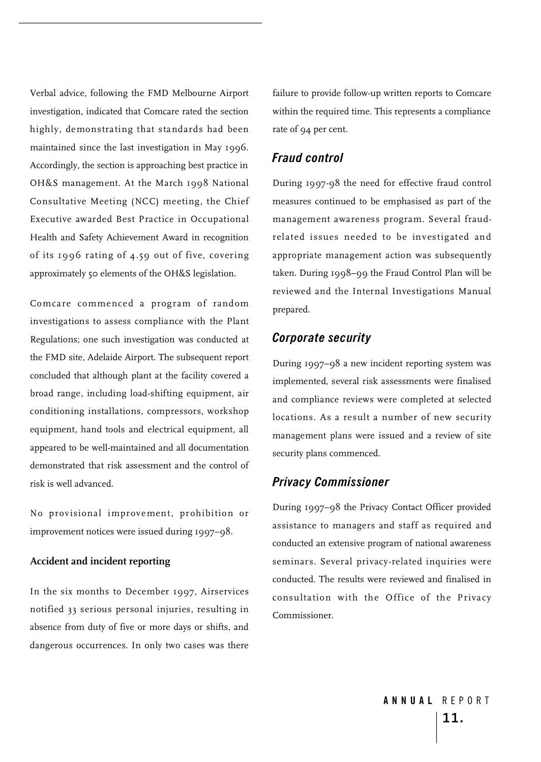Verbal advice, following the FMD Melbourne Airport investigation, indicated that Comcare rated the section highly, demonstrating that standards had been maintained since the last investigation in May 1996. Accordingly, the section is approaching best practice in OH&S management. At the March 1998 National Consultative Meeting (NCC) meeting, the Chief Executive awarded Best Practice in Occupational Health and Safety Achievement Award in recognition of its 1996 rating of 4.59 out of five, covering approximately 50 elements of the OH&S legislation.

Comcare commenced a program of random investigations to assess compliance with the Plant Regulations; one such investigation was conducted at the FMD site, Adelaide Airport. The subsequent report concluded that although plant at the facility covered a broad range, including load-shifting equipment, air conditioning installations, compressors, workshop equipment, hand tools and electrical equipment, all appeared to be well-maintained and all documentation demonstrated that risk assessment and the control of risk is well advanced.

No provisional improvement, prohibition or improvement notices were issued during 1997–98.

#### **Accident and incident reporting**

In the six months to December 1997, Airservices notified 33 serious personal injuries, resulting in absence from duty of five or more days or shifts, and dangerous occurrences. In only two cases was there

failure to provide follow-up written reports to Comcare within the required time. This represents a compliance rate of 94 per cent.

#### *Fraud control*

During 1997-98 the need for effective fraud control measures continued to be emphasised as part of the management awareness program. Several fraudrelated issues needed to be investigated and appropriate management action was subsequently taken. During 1998–99 the Fraud Control Plan will be reviewed and the Internal Investigations Manual prepared.

#### *Corporate security*

During 1997–98 a new incident reporting system was implemented, several risk assessments were finalised and compliance reviews were completed at selected locations. As a result a number of new security management plans were issued and a review of site security plans commenced.

#### *Privacy Commissioner*

During 1997–98 the Privacy Contact Officer provided assistance to managers and staff as required and conducted an extensive program of national awareness seminars. Several privacy-related inquiries were conducted. The results were reviewed and finalised in consultation with the Office of the Privacy Commissioner.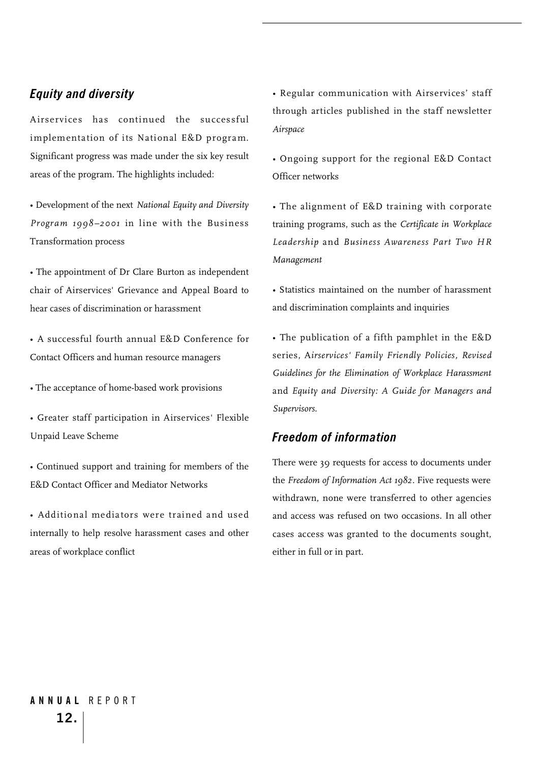#### *Equity and diversity*

Airservices has continued the successful implementation of its National E&D program. Significant progress was made under the six key result areas of the program. The highlights included:

• Development of the next *National Equity and Diversity Program 1998–2001* in line with the Business Transformation process

• The appointment of Dr Clare Burton as independent chair of Airservices' Grievance and Appeal Board to hear cases of discrimination or harassment

• A successful fourth annual E&D Conference for Contact Officers and human resource managers

- The acceptance of home-based work provisions
- Greater staff participation in Airservices' Flexible Unpaid Leave Scheme

• Continued support and training for members of the E&D Contact Officer and Mediator Networks

• Additional mediators were trained and used internally to help resolve harassment cases and other areas of workplace conflict

• Regular communication with Airservices' staff through articles published in the staff newsletter *Airspace*

• Ongoing support for the regional E&D Contact Officer networks

• The alignment of E&D training with corporate training programs, such as the *Certificate in Workplace L e a d e r s h i p* and *Business Awareness Part Two HR Management*

• Statistics maintained on the number of harassment and discrimination complaints and inquiries

• The publication of a fifth pamphlet in the E&D series, A*irservices' Family Friendly Policies, Revised Guidelines for the Elimination of Workplace Harassment* and *Equity and Diversity: A Guide for Managers and Supervisors.*

#### *Freedom of information*

There were 39 requests for access to documents under the *Freedom of Information Act 1982*. Five requests were withdrawn, none were transferred to other agencies and access was refused on two occasions. In all other cases access was granted to the documents sought, either in full or in part.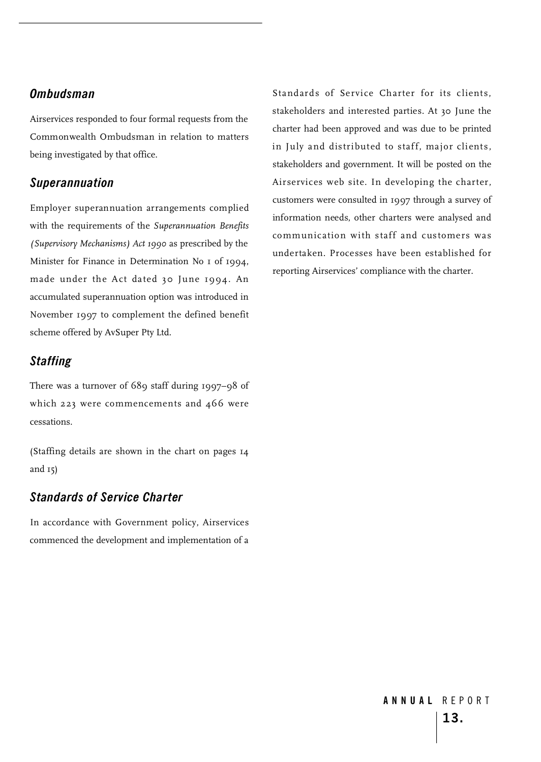#### *O m b u d s m a n*

Airservices responded to four formal requests from the Commonwealth Ombudsman in relation to matters being investigated by that office.

#### *S u p e r a n n u a t i o n*

Employer superannuation arrangements complied with the requirements of the *Superannuation Benefits (Supervisory Mechanisms) Act 1990* as prescribed by the Minister for Finance in Determination No 1 of 1994, made under the Act dated 30 June 1994. An accumulated superannuation option was introduced in November 1997 to complement the defined benefit scheme offered by AvSuper Pty Ltd.

#### *S t a f f i n g*

There was a turnover of 689 staff during 1997–98 of which 223 were commencements and 466 were cessations.

(Staffing details are shown in the chart on pages 14 and  $15$ )

### *Standards of Service Charter*

In accordance with Government policy, Airservices commenced the development and implementation of a Standards of Service Charter for its clients, stakeholders and interested parties. At 30 June the charter had been approved and was due to be printed in July and distributed to staff, major clients, stakeholders and government. It will be posted on the Airservices web site. In developing the charter, customers were consulted in 1997 through a survey of information needs, other charters were analysed and communication with staff and customers was undertaken. Processes have been established for reporting Airservices' compliance with the charter.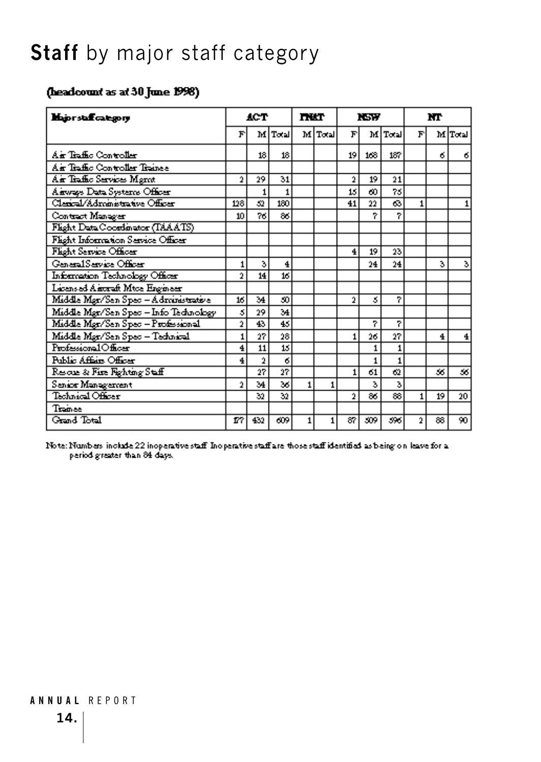## Staff by major staff category

#### (headcount as at 30 June 1998)

| <b>Majorstaffcategory</b>             | <b>ACT</b>     |                  |              | <b>THAT</b> |          | N.S.            |         |              | NT           |    |         |
|---------------------------------------|----------------|------------------|--------------|-------------|----------|-----------------|---------|--------------|--------------|----|---------|
|                                       | F              | мI               | Total        |             | MITotall | F               | мI      | Total        | F            |    | M Total |
| Air Traffic Controller                |                | 18 <sup>18</sup> | 18           |             |          | 19 <sup>1</sup> | 168     | 187          |              | б  | б       |
| Air Traffic Controller Trainee        |                |                  |              |             |          |                 |         |              |              |    |         |
| Air Traffic Services Mgret            | $\mathbf{r}$   | 29               | 31           |             |          | 2               | 19      | 21           |              |    |         |
| Airways Data Systems Officer          |                | 1                | $\mathbf{1}$ |             |          | 15 <sup>°</sup> | 60      | 75           |              |    |         |
| Classed/Administrative Officer        | 128            | 52               | 180          |             |          | 41              | $^{22}$ | ø.           | 1            |    | 1       |
| Contract Manager                      | 10             | 76               | 86           |             |          |                 | 7       | Ÿ,           |              |    |         |
| Flight Data Coordinator (TAAATS)      |                |                  |              |             |          |                 |         |              |              |    |         |
| Flight Information Service Officer    |                |                  |              |             |          |                 |         |              |              |    |         |
| Flight Service Officer                |                |                  |              |             |          | $\overline{4}$  | 19      | 23           |              |    |         |
| GeneralService Officer                | 1              | 3                | 4            |             |          |                 | 24      | 24           |              | 3  | 3       |
| Information Technology Officer        | $\mathbf 2$    | 14               | 16           |             |          |                 |         |              |              |    |         |
| Licensed Aimsuft Mtoe Engineer        |                |                  |              |             |          |                 |         |              |              |    |         |
| Middle Mgr/Sen Spec - Administrative  | 16             | 34               | 50           |             |          | 2               | 5       | Ÿ,           |              |    |         |
| Middle Mgr/Sen Spec - Info Technology | s              | 29               | 34           |             |          |                 |         |              |              |    |         |
| Middle Mgr/Sen Spec - Professional    | $\overline{2}$ | 43.              | 45           |             |          |                 | 7       | Ÿ,           |              |    |         |
| Middle Mgr/Sen Spec - Technical       | 1              | 27               | 28           |             |          |                 | 26      | 27           |              | 4  | 4       |
| ProfessionalOfficer                   | 4              | 11               | 15           |             |          |                 | 1       | 1            |              |    |         |
| Public Affairs Officer                | 4              | 2                | 6            |             |          |                 | 1       | $\mathbf{1}$ |              |    |         |
| Resous & Fire Fighting Staff          |                | 27               | 27           |             |          | 1               | 61      | 62           |              | 56 | 56      |
| Senior Management                     | 2              | 34               | 36           | 1           | 1        |                 | 3       | з            |              |    |         |
| Technical Officer                     |                | 32               | 32           |             |          | $\mathbf{r}$    | 86      | 88           |              | 19 | 20      |
| Transe                                |                |                  |              |             |          |                 |         |              |              |    |         |
| Grand Total                           | 177            | 432              | 609          | 1           | 1        | 87              | 509     | 596          | $\mathbf{r}$ | 88 | 90      |

Note: Numbers include 22 inoperative staff Inoperative staff are those staff identified as being on leave for a period greater than 84 days.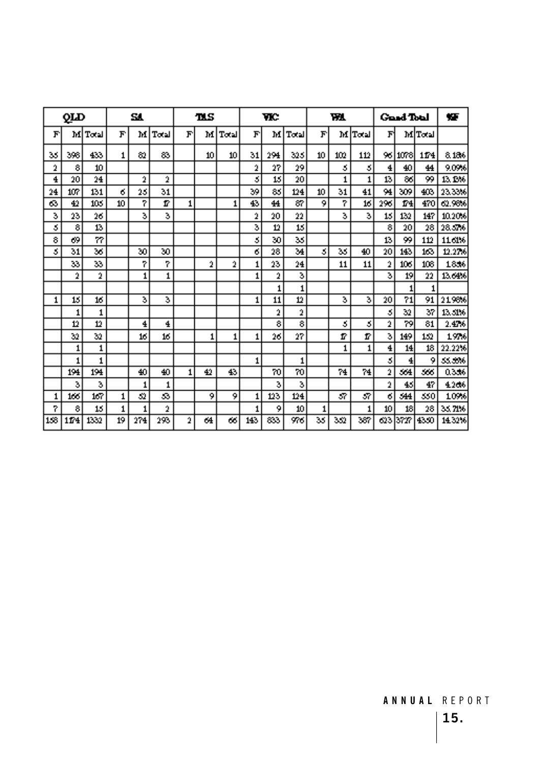|      | QШ   |       |                  | S.  |       |   | <b>ns</b> |                  | w   |     |               | m                |     |       | Gaad Toal |      |        |        |
|------|------|-------|------------------|-----|-------|---|-----------|------------------|-----|-----|---------------|------------------|-----|-------|-----------|------|--------|--------|
| F    | м    | Total | F                | м   | Total | F | м         | Total            | F   | м   | $T$ otal $\,$ | F                | мI  | Total | Fi        |      | MTotal |        |
| 35   | 398  | 433   | 1                | 82  | 83    |   | 10        | 10 <sub>10</sub> | 31  | 294 | 325           | 10               | 102 | 112   | 96        | 1078 | 1174   | 8.18%  |
| 2    | 8    | 10    |                  |     |       |   |           |                  | 2   | 27  | 29            |                  | 5   | 5     | 4         | 40   | 44     | 9.09%  |
| 4    | 20   | 24    |                  | 2   | 2     |   |           |                  | 5   | 15  | 20            |                  | 1   | 1     | 13        | 86   | 99     | 13.13% |
| 24   | 107  | 131   | 6                | 25  | 31    |   |           |                  | 39  | 85  | 124           | 10 <sub>10</sub> | 31  | 41    | 94        | 309  | 403    | 23,33% |
| బ    | 42   | 105   | 10 <sup>10</sup> | 7   | I.    | 1 |           | 1                | 43  | 44  | 87            | 9                | Ÿ,  | 16    | 296       | 174  | 470    | 62.98% |
| з    | 23   | 26    |                  | з   | э     |   |           |                  | 2   | 20  | 22            |                  | з   | 3     | 15        | 132  | 147    | 10.20% |
| 3    | 8    | 13    |                  |     |       |   |           |                  | з   | 12  | 15            |                  |     |       | 8         | 20   | 28     | 28.57% |
| 8    | 69   | 77    |                  |     |       |   |           |                  | 5   | 30  | 35            |                  |     |       | 13        | 99   | 112    | 1161%  |
| \$   | 31   | 36    |                  | 30  | 30    |   |           |                  | б   | 28  | 34            | 5                | 35  | 40    | 20        | 143  | 163    | 12.27% |
|      | 33   | 33    |                  | 7   | 7     |   | 2         | 2                | 1   | 23  | 24            |                  | 11  | 11    | 2         | 106  | 108    | 1856   |
|      | 2    | 2     |                  | 1   | 1     |   |           |                  | 1   | 2   | 3             |                  |     |       | з         | 19   | 22     | 13.64% |
|      |      |       |                  |     |       |   |           |                  |     | 1   | 1             |                  |     |       |           | 1    | 1      |        |
| 1    | 15   | 16    |                  | з   | з     |   |           |                  | 1   | 11  | 12            |                  | з   | з     | 20        | 71   | 91     | 2198%  |
|      | 1    | 1     |                  |     |       |   |           |                  |     | 2   | 2             |                  |     |       | 5         | 32   | 37     | 13.51% |
|      | 12   | 12    |                  | 4   | 4     |   |           |                  |     | 8   | 8             |                  | 5   | 5     | 2         | 79   | 81     | 2.47%  |
|      | 32   | 32    |                  | 16  | 16    |   | 1         | 1                | 1   | 26  | 27            |                  | T   | R     | з         | 149  | 152    | 1976   |
|      | 1    | 1     |                  |     |       |   |           |                  |     |     |               |                  | 1   | 1     | 4         | 14   | 18     | 22.22% |
|      | 1    | 1     |                  |     |       |   |           |                  | 1   |     | 1             |                  |     |       | 5         | 4    | 9      | 55.59% |
|      | 194  | 194   |                  | 40  | 40    | 1 | 42        | 43               |     | 70  | 70            |                  | 74  | 74    | 2         | 564  | 566    | 0.356  |
|      | з    | з     |                  | 1   | 1     |   |           |                  |     | з   | З             |                  |     |       | 2         | 45   | 47     | 4.26%  |
| 1    | 166  | 167   | 1                | 52  | s     |   | 9         | 9                | 1   | 123 | 124           |                  | 57  | 57    | б         | 544  | 880    | 109%   |
| 7    | 8    | 15    | 1                | 1   | 2     |   |           |                  | 1   | 9   | 10            | 1                |     | 1     | 10        | 18   | 28     | 33.71% |
| 1.38 | 1174 | 1332  | 19               | 274 | 298   | 2 | 64        | 66               | 143 | 833 | 976           | 35               | 332 | 387   | 623       | 3727 | 43.90  | 14.32% |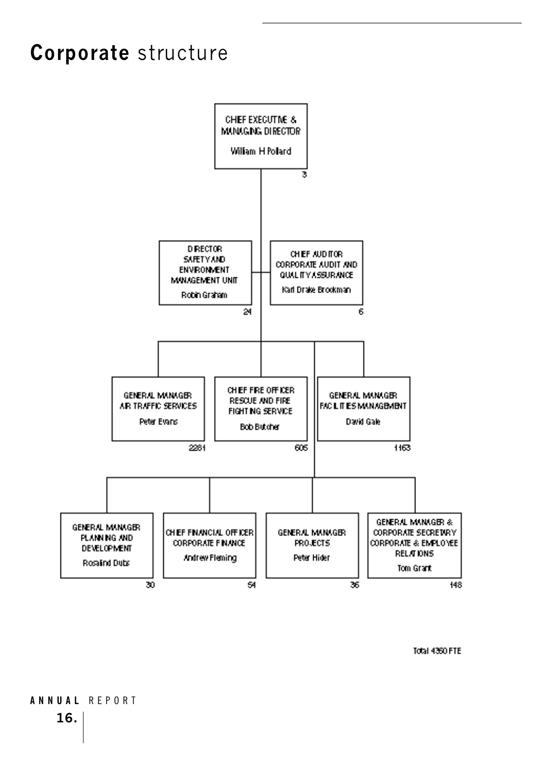## Corporate structure



Total 4360 FTE

**A N N U A L** R E P O R T

**1 6.**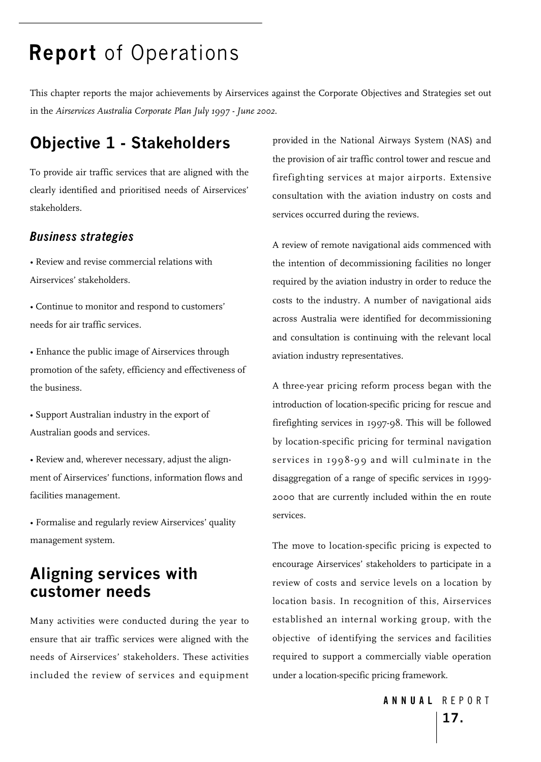## **Report** of Operations

This chapter reports the major achievements by Airservices against the Corporate Objectives and Strategies set out in the *Airservices Australia Corporate Plan July 1997 - June 2002.*

## **Objective 1 - Stakeholders**

To provide air traffic services that are aligned with the clearly identified and prioritised needs of Airservices' stakeholders.

#### *Business strategies*

• Review and revise commercial relations with Airservices' stakeholders.

• Continue to monitor and respond to customers' needs for air traffic services.

• Enhance the public image of Airservices through promotion of the safety, efficiency and effectiveness of the business.

• Support Australian industry in the export of Australian goods and services.

• Review and, wherever necessary, adjust the alignment of Airservices' functions, information flows and facilities management.

• Formalise and regularly review Airservices' quality management system.

## **Aligning services with customer needs**

Many activities were conducted during the year to ensure that air traffic services were aligned with the needs of Airservices' stakeholders. These activities included the review of services and equipment provided in the National Airways System (NAS) and the provision of air traffic control tower and rescue and firefighting services at major airports. Extensive consultation with the aviation industry on costs and services occurred during the reviews.

A review of remote navigational aids commenced with the intention of decommissioning facilities no longer required by the aviation industry in order to reduce the costs to the industry. A number of navigational aids across Australia were identified for decommissioning and consultation is continuing with the relevant local aviation industry representatives.

A three-year pricing reform process began with the introduction of location-specific pricing for rescue and firefighting services in 1997-98. This will be followed by location-specific pricing for terminal navigation services in 1998-99 and will culminate in the disaggregation of a range of specific services in 1999- 2000 that are currently included within the en route services.

The move to location-specific pricing is expected to encourage Airservices' stakeholders to participate in a review of costs and service levels on a location by location basis. In recognition of this, Airservices established an internal working group, with the objective of identifying the services and facilities required to support a commercially viable operation under a location-specific pricing framework.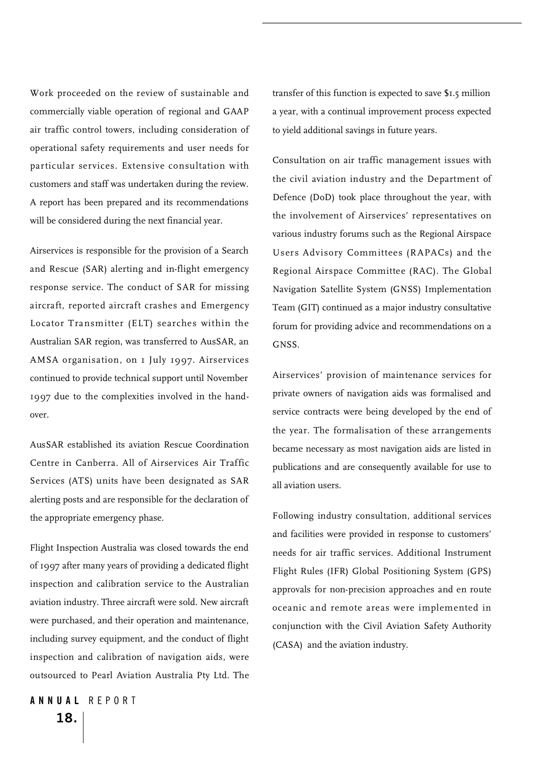Work proceeded on the review of sustainable and commercially viable operation of regional and GAAP air traffic control towers, including consideration of operational safety requirements and user needs for particular services. Extensive consultation with customers and staff was undertaken during the review. A report has been prepared and its recommendations will be considered during the next financial year.

Airservices is responsible for the provision of a Search and Rescue (SAR) alerting and in-flight emergency response service. The conduct of SAR for missing aircraft, reported aircraft crashes and Emergency Locator Transmitter (ELT) searches within the Australian SAR region, was transferred to AusSAR, an AMSA organisation, on 1 July 1997. Airservices continued to provide technical support until November 1997 due to the complexities involved in the handover.

AusSAR established its aviation Rescue Coordination Centre in Canberra. All of Airservices Air Traffic Services (ATS) units have been designated as SAR alerting posts and are responsible for the declaration of the appropriate emergency phase.

Flight Inspection Australia was closed towards the end of 1997 after many years of providing a dedicated flight inspection and calibration service to the Australian aviation industry. Three aircraft were sold. New aircraft were purchased, and their operation and maintenance, including survey equipment, and the conduct of flight inspection and calibration of navigation aids, were outsourced to Pearl Aviation Australia Pty Ltd. The transfer of this function is expected to save \$1.5 million a year, with a continual improvement process expected to yield additional savings in future years.

Consultation on air traffic management issues with the civil aviation industry and the Department of Defence (DoD) took place throughout the year, with the involvement of Airservices' representatives on various industry forums such as the Regional Airspace Users Advisory Committees (RAPACs) and the Regional Airspace Committee (RAC). The Global Navigation Satellite System (GNSS) Implementation Team (GIT) continued as a major industry consultative forum for providing advice and recommendations on a GNSS.

Airservices' provision of maintenance services for private owners of navigation aids was formalised and service contracts were being developed by the end of the year. The formalisation of these arrangements became necessary as most navigation aids are listed in publications and are consequently available for use to all aviation users.

Following industry consultation, additional services and facilities were provided in response to customers' needs for air traffic services. Additional Instrument Flight Rules (IFR) Global Positioning System (GPS) approvals for non-precision approaches and en route oceanic and remote areas were implemented in conjunction with the Civil Aviation Safety Authority (CASA) and the aviation industry.

**1 8.**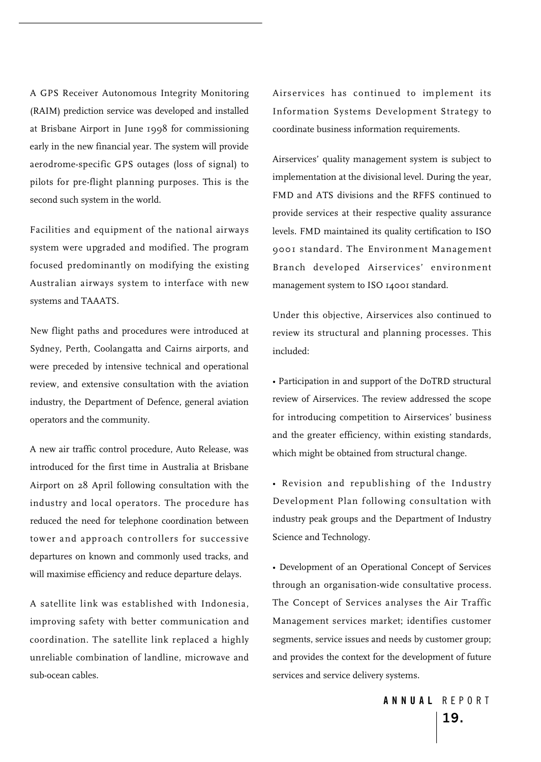A GPS Receiver Autonomous Integrity Monitoring (RAIM) prediction service was developed and installed at Brisbane Airport in June 1998 for commissioning early in the new financial year. The system will provide aerodrome-specific GPS outages (loss of signal) to pilots for pre-flight planning purposes. This is the second such system in the world.

Facilities and equipment of the national airways system were upgraded and modified. The program focused predominantly on modifying the existing Australian airways system to interface with new systems and TAAATS.

New flight paths and procedures were introduced at Sydney, Perth, Coolangatta and Cairns airports, and were preceded by intensive technical and operational review, and extensive consultation with the aviation industry, the Department of Defence, general aviation operators and the community.

A new air traffic control procedure, Auto Release, was introduced for the first time in Australia at Brisbane Airport on 28 April following consultation with the industry and local operators. The procedure has reduced the need for telephone coordination between tower and approach controllers for successive departures on known and commonly used tracks, and will maximise efficiency and reduce departure delays.

A satellite link was established with Indonesia, improving safety with better communication and coordination. The satellite link replaced a highly unreliable combination of landline, microwave and sub-ocean cables.

Airservices has continued to implement its Information Systems Development Strategy to coordinate business information requirements.

Airservices' quality management system is subject to implementation at the divisional level. During the year, FMD and ATS divisions and the RFFS continued to provide services at their respective quality assurance levels. FMD maintained its quality certification to ISO 9001 standard. The Environment Management Branch developed Airservices' environment management system to ISO 14001 standard.

Under this objective, Airservices also continued to review its structural and planning processes. This included:

• Participation in and support of the DoTRD structural review of Airservices. The review addressed the scope for introducing competition to Airservices' business and the greater efficiency, within existing standards, which might be obtained from structural change.

• Revision and republishing of the Industry Development Plan following consultation with industry peak groups and the Department of Industry Science and Technology.

• Development of an Operational Concept of Services through an organisation-wide consultative process. The Concept of Services analyses the Air Traffic Management services market; identifies customer segments, service issues and needs by customer group; and provides the context for the development of future services and service delivery systems.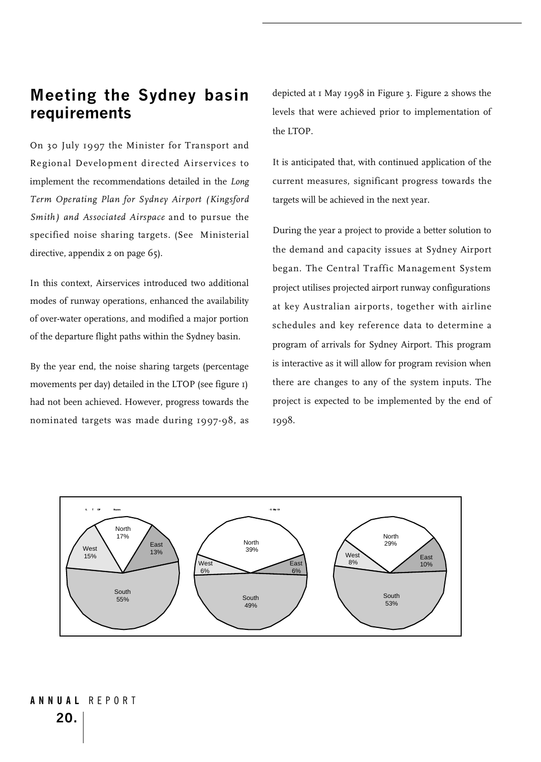### **Meeting the Sydney basin requirements**

On 30 July 1997 the Minister for Transport and Regional Development directed Airservices to implement the recommendations detailed in the *Long Term Operating Plan for Sydney Airport (Kingsford Smith) and Associated Airspace* and to pursue the specified noise sharing targets. (See Ministerial directive, appendix 2 on page 65).

In this context, Airservices introduced two additional modes of runway operations, enhanced the availability of over-water operations, and modified a major portion of the departure flight paths within the Sydney basin.

By the year end, the noise sharing targets (percentage movements per day) detailed in the LTOP (see figure 1) had not been achieved. However, progress towards the nominated targets was made during 1997-98, as depicted at 1 May 1998 in Figure 3. Figure 2 shows the levels that were achieved prior to implementation of the LTOP.

It is anticipated that, with continued application of the current measures, significant progress towards the targets will be achieved in the next year.

During the year a project to provide a better solution to the demand and capacity issues at Sydney Airport began. The Central Traffic Management System project utilises projected airport runway configurations at key Australian airports, together with airline schedules and key reference data to determine a program of arrivals for Sydney Airport. This program is interactive as it will allow for program revision when there are changes to any of the system inputs. The project is expected to be implemented by the end of 1998.

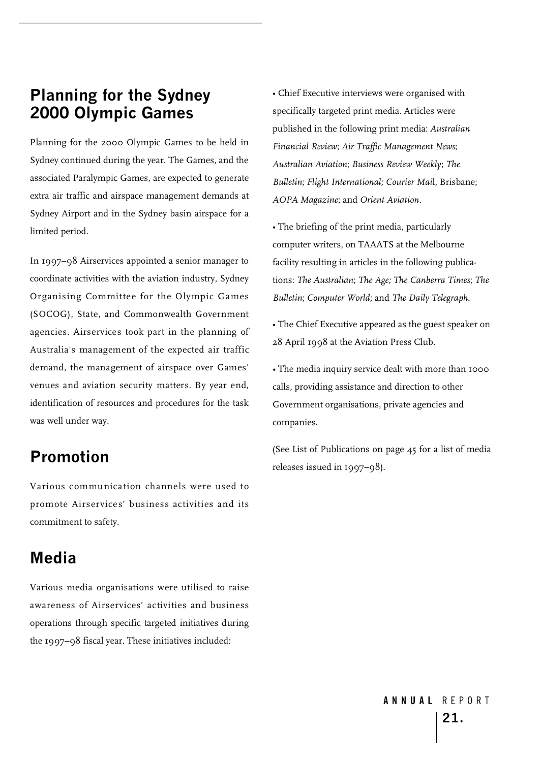### **Planning for the Sydney 2000 Olympic Games**

Planning for the 2000 Olympic Games to be held in Sydney continued during the year. The Games, and the associated Paralympic Games, are expected to generate extra air traffic and airspace management demands at Sydney Airport and in the Sydney basin airspace for a limited period.

In 1997–98 Airservices appointed a senior manager to coordinate activities with the aviation industry, Sydney Organising Committee for the Olympic Games (SOCOG), State, and Commonwealth Government agencies. Airservices took part in the planning of Australia's management of the expected air traffic demand, the management of airspace over Games' venues and aviation security matters. By year end, identification of resources and procedures for the task was well under way.

## **Promotion**

Various communication channels were used to promote Airservices' business activities and its commitment to safety.

## **Media**

Various media organisations were utilised to raise awareness of Airservices' activities and business operations through specific targeted initiatives during the 1997–98 fiscal year. These initiatives included:

• Chief Executive interviews were organised with specifically targeted print media. Articles were published in the following print media: *Australian Financial Review*; *Air Traffic Management News*; *Australian Aviation*; *Business Review Weekly*; *The Bulletin*; *Flight International; Courier Mai*l, Brisbane; *AOPA Magazine*; and *Orient Aviation.*

• The briefing of the print media, particularly computer writers, on TAAATS at the Melbourne facility resulting in articles in the following publications: *The Australian*; *The Age; The Canberra Times*; *The Bulletin*; *Computer World;* and *The Daily Telegraph*.

• The Chief Executive appeared as the guest speaker on 28 April 1998 at the Aviation Press Club.

• The media inquiry service dealt with more than 1000 calls, providing assistance and direction to other Government organisations, private agencies and companies.

(See List of Publications on page 45 for a list of media releases issued in 1997–98).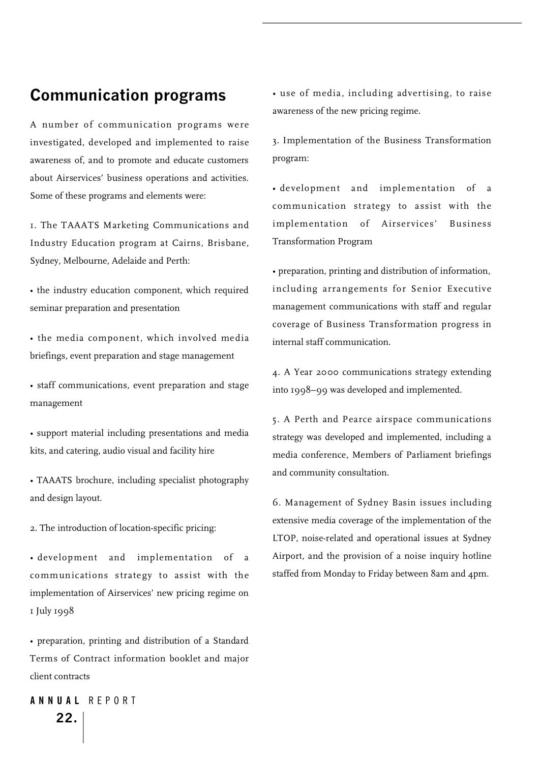### **Communication programs**

A number of communication programs were investigated, developed and implemented to raise awareness of, and to promote and educate customers about Airservices' business operations and activities. Some of these programs and elements were:

1. The TAAATS Marketing Communications and Industry Education program at Cairns, Brisbane, Sydney, Melbourne, Adelaide and Perth:

• the industry education component, which required seminar preparation and presentation

• the media component, which involved media briefings, event preparation and stage management

• staff communications, event preparation and stage management

• support material including presentations and media kits, and catering, audio visual and facility hire

• TAAATS brochure, including specialist photography and design layout.

2. The introduction of location-specific pricing:

• development and implementation of a communications strategy to assist with the implementation of Airservices' new pricing regime on 1 July 1998

• preparation, printing and distribution of a Standard Terms of Contract information booklet and major client contracts

• use of media, including advertising, to raise awareness of the new pricing regime.

3. Implementation of the Business Transformation program:

• development and implementation of a communication strategy to assist with the implementation of Airservices' Business Transformation Program

• preparation, printing and distribution of information, including arrangements for Senior Executive management communications with staff and regular coverage of Business Transformation progress in internal staff communication.

4. A Year 2000 communications strategy extending into 1998–99 was developed and implemented.

5. A Perth and Pearce airspace communications strategy was developed and implemented, including a media conference, Members of Parliament briefings and community consultation.

6. Management of Sydney Basin issues including extensive media coverage of the implementation of the LTOP, noise-related and operational issues at Sydney Airport, and the provision of a noise inquiry hotline staffed from Monday to Friday between 8am and 4pm.

**A N N U A L** R E P O R T

**2 2.**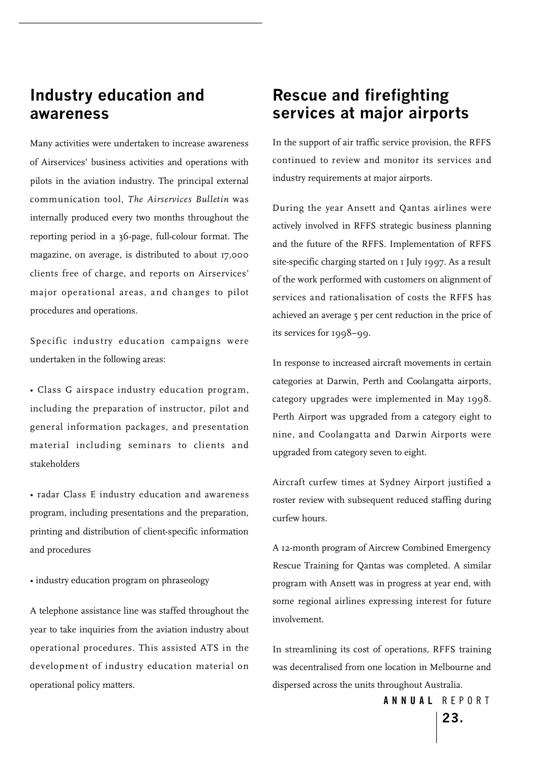### **Industry education and awareness**

Many activities were undertaken to increase awareness of Airservices' business activities and operations with pilots in the aviation industry. The principal external communication tool, *The Airservices Bulletin* was internally produced every two months throughout the reporting period in a 36-page, full-colour format. The magazine, on average, is distributed to about 17,000 clients free of charge, and reports on Airservices' major operational areas, and changes to pilot procedures and operations.

Specific industry education campaigns were undertaken in the following areas:

• Class G airspace industry education program, including the preparation of instructor, pilot and general information packages, and presentation material including seminars to clients and stakeholders

• radar Class E industry education and awareness program, including presentations and the preparation, printing and distribution of client-specific information and procedures

• industry education program on phraseology

A telephone assistance line was staffed throughout the year to take inquiries from the aviation industry about operational procedures. This assisted ATS in the development of industry education material on operational policy matters.

### **Rescue and firefighting services at major airports**

In the support of air traffic service provision, the RFFS continued to review and monitor its services and industry requirements at major airports.

During the year Ansett and Qantas airlines were actively involved in RFFS strategic business planning and the future of the RFFS. Implementation of RFFS site-specific charging started on 1 July 1997. As a result of the work performed with customers on alignment of services and rationalisation of costs the RFFS has achieved an average 5 per cent reduction in the price of its services for 1998–99.

In response to increased aircraft movements in certain categories at Darwin, Perth and Coolangatta airports, category upgrades were implemented in May 1998. Perth Airport was upgraded from a category eight to nine, and Coolangatta and Darwin Airports were upgraded from category seven to eight.

Aircraft curfew times at Sydney Airport justified a roster review with subsequent reduced staffing during curfew hours.

A 12-month program of Aircrew Combined Emergency Rescue Training for Qantas was completed. A similar program with Ansett was in progress at year end, with some regional airlines expressing interest for future involvement.

In streamlining its cost of operations, RFFS training was decentralised from one location in Melbourne and dispersed across the units throughout Australia.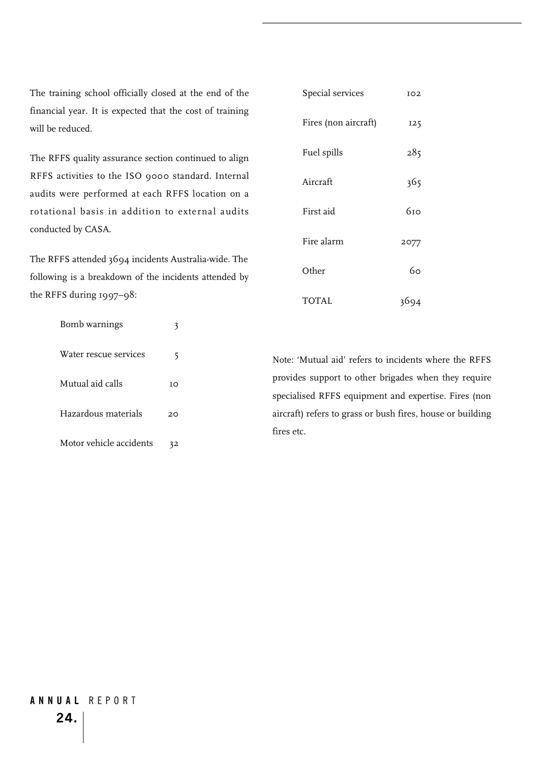The training school officially closed at the end of the financial year. It is expected that the cost of training will be reduced.

The RFFS quality assurance section continued to align RFFS activities to the ISO 9000 standard. Internal audits were performed at each RFFS location on a rotational basis in addition to external audits conducted by CASA.

The RFFS attended 3694 incidents Australia-wide. The following is a breakdown of the incidents attended by the RFFS during 1997–98:

| Bomb warnings           |     |
|-------------------------|-----|
| Water rescue services   | 5   |
| Mutual aid calls        | TΟ  |
| Hazardous materials     | 2.0 |
| Motor vehicle accidents |     |

| Special services     | TO <sub>2</sub> |
|----------------------|-----------------|
| Fires (non aircraft) | 125             |
| Fuel spills          | 285             |
| Aircraft             | 365             |
| First aid            | 6то             |
| Fire alarm           | 2077            |
| Other                | 60              |
| TOTAL                | 3694            |

Note: 'Mutual aid' refers to incidents where the RFFS provides support to other brigades when they require specialised RFFS equipment and expertise. Fires (non aircraft) refers to grass or bush fires, house or building fires etc.

#### **A N N U A L** R E P O R T

**2 4.**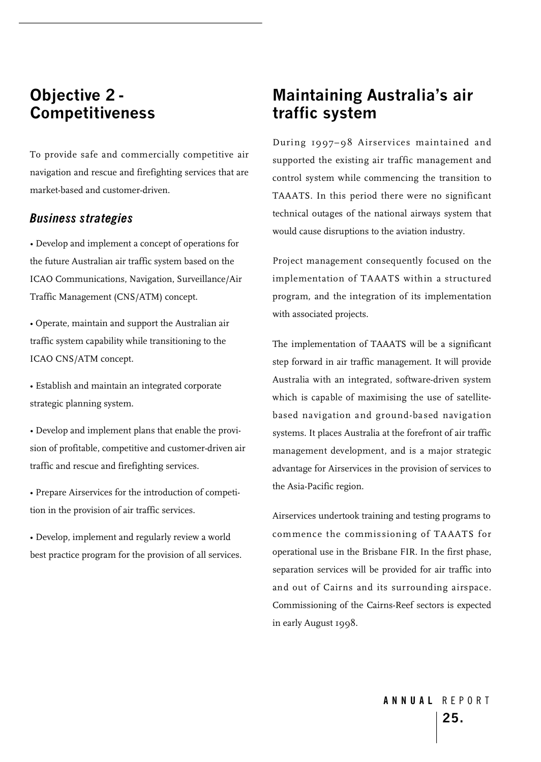## **Objective 2 - Competitiveness**

To provide safe and commercially competitive air navigation and rescue and firefighting services that are market-based and customer-driven.

#### *Business strategies*

• Develop and implement a concept of operations for the future Australian air traffic system based on the ICAO Communications, Navigation, Surveillance/Air Traffic Management (CNS/ATM) concept.

• Operate, maintain and support the Australian air traffic system capability while transitioning to the ICAO CNS/ATM concept.

• Establish and maintain an integrated corporate strategic planning system.

• Develop and implement plans that enable the provision of profitable, competitive and customer-driven air traffic and rescue and firefighting services.

• Prepare Airservices for the introduction of competition in the provision of air traffic services.

• Develop, implement and regularly review a world best practice program for the provision of all services.

## **Maintaining Australia's air traffic system**

During 1997–98 Airservices maintained and supported the existing air traffic management and control system while commencing the transition to TAAATS. In this period there were no significant technical outages of the national airways system that would cause disruptions to the aviation industry.

Project management consequently focused on the implementation of TAAATS within a structured program, and the integration of its implementation with associated projects.

The implementation of TAAATS will be a significant step forward in air traffic management. It will provide Australia with an integrated, software-driven system which is capable of maximising the use of satellitebased navigation and ground-based navigation systems. It places Australia at the forefront of air traffic management development, and is a major strategic advantage for Airservices in the provision of services to the Asia-Pacific region.

Airservices undertook training and testing programs to commence the commissioning of TAAATS for operational use in the Brisbane FIR. In the first phase, separation services will be provided for air traffic into and out of Cairns and its surrounding airspace. Commissioning of the Cairns-Reef sectors is expected in early August 1998.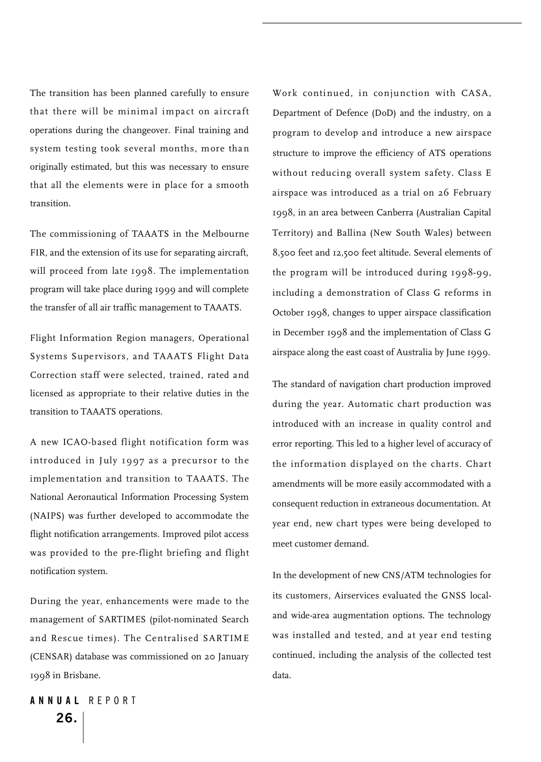The transition has been planned carefully to ensure that there will be minimal impact on aircraft operations during the changeover. Final training and system testing took several months, more than originally estimated, but this was necessary to ensure that all the elements were in place for a smooth transition.

The commissioning of TAAATS in the Melbourne FIR, and the extension of its use for separating aircraft, will proceed from late 1998. The implementation program will take place during 1999 and will complete the transfer of all air traffic management to TAAATS.

Flight Information Region managers, Operational Systems Supervisors, and TAAATS Flight Data Correction staff were selected, trained, rated and licensed as appropriate to their relative duties in the transition to TAAATS operations.

A new ICAO-based flight notification form was introduced in July 1997 as a precursor to the implementation and transition to TAAATS. The National Aeronautical Information Processing System (NAIPS) was further developed to accommodate the flight notification arrangements. Improved pilot access was provided to the pre-flight briefing and flight notification system.

During the year, enhancements were made to the management of SARTIMES (pilot-nominated Search and Rescue times). The Centralised SARTIME (CENSAR) database was commissioned on 20 January 1998 in Brisbane.

Work continued, in conjunction with CASA, Department of Defence (DoD) and the industry, on a program to develop and introduce a new airspace structure to improve the efficiency of ATS operations without reducing overall system safety. Class E airspace was introduced as a trial on 26 February 1998, in an area between Canberra (Australian Capital Territory) and Ballina (New South Wales) between 8,500 feet and 12,500 feet altitude. Several elements of the program will be introduced during 1998-99, including a demonstration of Class G reforms in October 1998, changes to upper airspace classification in December 1998 and the implementation of Class G airspace along the east coast of Australia by June 1999.

The standard of navigation chart production improved during the year. Automatic chart production was introduced with an increase in quality control and error reporting. This led to a higher level of accuracy of the information displayed on the charts. Chart amendments will be more easily accommodated with a consequent reduction in extraneous documentation. At year end, new chart types were being developed to meet customer demand.

In the development of new CNS/ATM technologies for its customers, Airservices evaluated the GNSS localand wide-area augmentation options. The technology was installed and tested, and at year end testing continued, including the analysis of the collected test data.

**2 6.**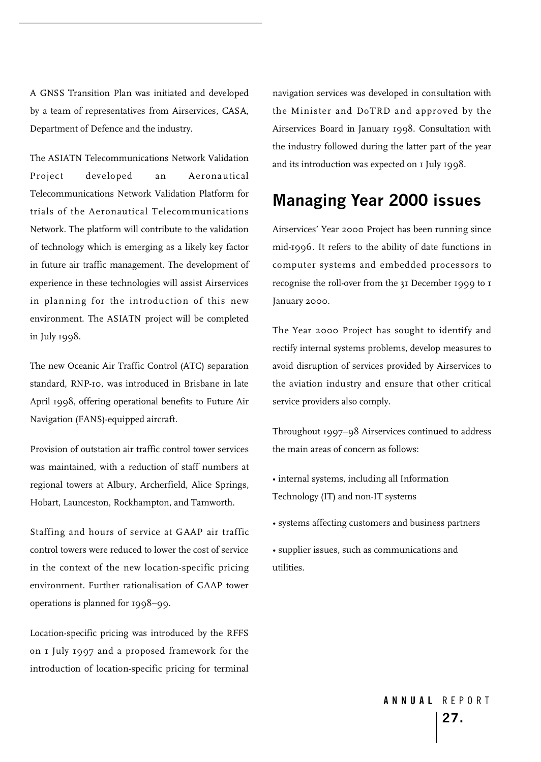A GNSS Transition Plan was initiated and developed by a team of representatives from Airservices, CASA, Department of Defence and the industry.

The ASIATN Telecommunications Network Validation Project developed an Aeronautical Telecommunications Network Validation Platform for trials of the Aeronautical Telecommunications Network. The platform will contribute to the validation of technology which is emerging as a likely key factor in future air traffic management. The development of experience in these technologies will assist Airservices in planning for the introduction of this new environment. The ASIATN project will be completed in July 1998.

The new Oceanic Air Traffic Control (ATC) separation standard, RNP-10, was introduced in Brisbane in late April 1998, offering operational benefits to Future Air Navigation (FANS)-equipped aircraft.

Provision of outstation air traffic control tower services was maintained, with a reduction of staff numbers at regional towers at Albury, Archerfield, Alice Springs, Hobart, Launceston, Rockhampton, and Tamworth.

Staffing and hours of service at GAAP air traffic control towers were reduced to lower the cost of service in the context of the new location-specific pricing environment. Further rationalisation of GAAP tower operations is planned for 1998–99.

Location-specific pricing was introduced by the RFFS on 1 July 1997 and a proposed framework for the introduction of location-specific pricing for terminal

navigation services was developed in consultation with the Minister and DoTRD and approved by the Airservices Board in January 1998. Consultation with the industry followed during the latter part of the year and its introduction was expected on 1 July 1998.

### **Managing Year 2000 issues**

Airservices' Year 2000 Project has been running since mid-1996. It refers to the ability of date functions in computer systems and embedded processors to recognise the roll-over from the 31 December 1999 to 1 January 2000.

The Year 2000 Project has sought to identify and rectify internal systems problems, develop measures to avoid disruption of services provided by Airservices to the aviation industry and ensure that other critical service providers also comply.

Throughout 1997–98 Airservices continued to address the main areas of concern as follows:

- internal systems, including all Information Technology (IT) and non-IT systems
- systems affecting customers and business partners
- supplier issues, such as communications and utilities.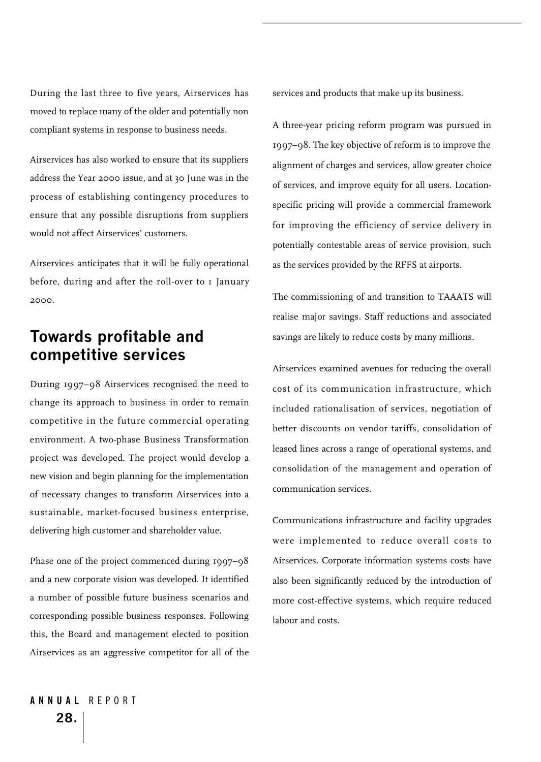During the last three to five years, Airservices has moved to replace many of the older and potentially non compliant systems in response to business needs.

Airservices has also worked to ensure that its suppliers address the Year 2000 issue, and at 30 June was in the process of establishing contingency procedures to ensure that any possible disruptions from suppliers would not affect Airservices' customers.

Airservices anticipates that it will be fully operational before, during and after the roll-over to I January 2000.

### **Towards profitable and competitive services**

During 1997–98 Airservices recognised the need to change its approach to business in order to remain competitive in the future commercial operating environment. A two-phase Business Transformation project was developed. The project would develop a new vision and begin planning for the implementation of necessary changes to transform Airservices into a sustainable, market-focused business enterprise, delivering high customer and shareholder value.

Phase one of the project commenced during 1997–98 and a new corporate vision was developed. It identified a number of possible future business scenarios and corresponding possible business responses. Following this, the Board and management elected to position Airservices as an aggressive competitor for all of the services and products that make up its business.

A three-year pricing reform program was pursued in 1997–98. The key objective of reform is to improve the alignment of charges and services, allow greater choice of services, and improve equity for all users. Locationspecific pricing will provide a commercial framework for improving the efficiency of service delivery in potentially contestable areas of service provision, such as the services provided by the RFFS at airports.

The commissioning of and transition to TAAATS will realise major savings. Staff reductions and associated savings are likely to reduce costs by many millions.

Airservices examined avenues for reducing the overall cost of its communication infrastructure, which included rationalisation of services, negotiation of better discounts on vendor tariffs, consolidation of leased lines across a range of operational systems, and consolidation of the management and operation of communication services.

Communications infrastructure and facility upgrades were implemented to reduce overall costs to Airservices. Corporate information systems costs have also been significantly reduced by the introduction of more cost-effective systems, which require reduced labour and costs.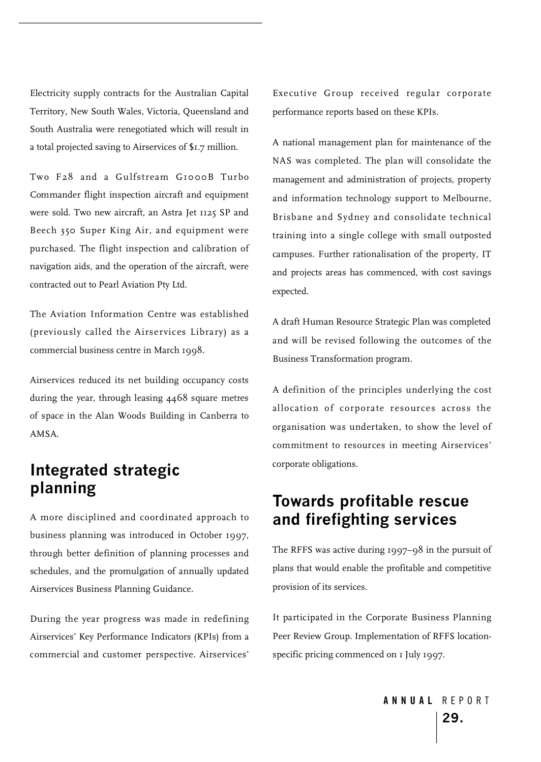Electricity supply contracts for the Australian Capital Territory, New South Wales, Victoria, Queensland and South Australia were renegotiated which will result in a total projected saving to Airservices of \$1.7 million.

Two F28 and a Gulfstream G1000B Turbo Commander flight inspection aircraft and equipment were sold. Two new aircraft, an Astra Jet 1125 SP and Beech 350 Super King Air, and equipment were purchased. The flight inspection and calibration of navigation aids, and the operation of the aircraft, were contracted out to Pearl Aviation Pty Ltd.

The Aviation Information Centre was established (previously called the Airservices Library) as a commercial business centre in March 1998.

Airservices reduced its net building occupancy costs during the year, through leasing 4468 square metres of space in the Alan Woods Building in Canberra to AMSA.

## **Integrated strategic planning**

A more disciplined and coordinated approach to business planning was introduced in October 1997, through better definition of planning processes and schedules, and the promulgation of annually updated Airservices Business Planning Guidance.

During the year progress was made in redefining Airservices' Key Performance Indicators (KPIs) from a commercial and customer perspective. Airservices'

Executive Group received regular corporate performance reports based on these KPIs.

A national management plan for maintenance of the NAS was completed. The plan will consolidate the management and administration of projects, property and information technology support to Melbourne, Brisbane and Sydney and consolidate technical training into a single college with small outposted campuses. Further rationalisation of the property, IT and projects areas has commenced, with cost savings expected.

A draft Human Resource Strategic Plan was completed and will be revised following the outcomes of the Business Transformation program.

A definition of the principles underlying the cost allocation of corporate resources across the organisation was undertaken, to show the level of commitment to resources in meeting Airservices' corporate obligations.

### **Towards profitable rescue and firefighting services**

The RFFS was active during 1997–98 in the pursuit of plans that would enable the profitable and competitive provision of its services.

It participated in the Corporate Business Planning Peer Review Group. Implementation of RFFS locationspecific pricing commenced on 1 July 1997.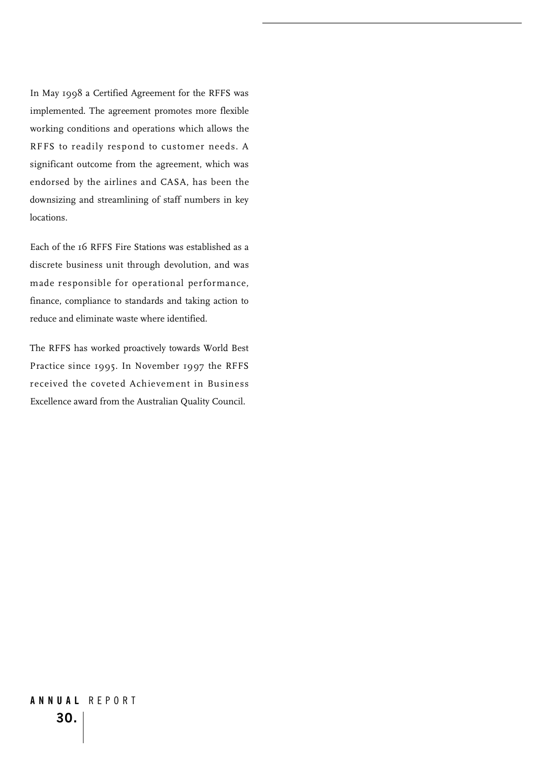In May 1998 a Certified Agreement for the RFFS was implemented. The agreement promotes more flexible working conditions and operations which allows the RFFS to readily respond to customer needs. A significant outcome from the agreement, which was endorsed by the airlines and CASA, has been the downsizing and streamlining of staff numbers in key locations.

Each of the 16 RFFS Fire Stations was established as a discrete business unit through devolution, and was made responsible for operational performance, finance, compliance to standards and taking action to reduce and eliminate waste where identified.

The RFFS has worked proactively towards World Best Practice since 1995. In November 1997 the RFFS received the coveted Achievement in Business Excellence award from the Australian Quality Council.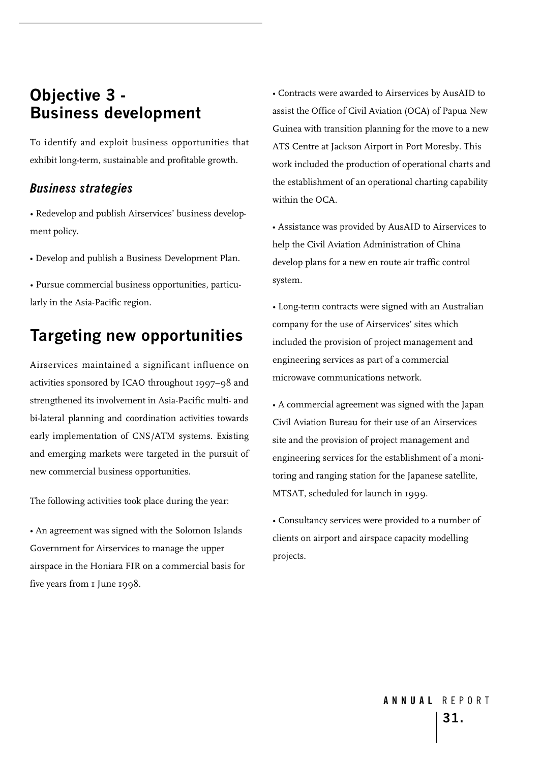## **Objective 3 - Business development**

To identify and exploit business opportunities that exhibit long-term, sustainable and profitable growth.

### *Business strategies*

- Redevelop and publish Airservices' business development policy.
- Develop and publish a Business Development Plan.
- Pursue commercial business opportunities, particularly in the Asia-Pacific region.

## **Targeting new opportunities**

Airservices maintained a significant influence on activities sponsored by ICAO throughout 1997–98 and strengthened its involvement in Asia-Pacific multi- and bi-lateral planning and coordination activities towards early implementation of CNS/ATM systems. Existing and emerging markets were targeted in the pursuit of new commercial business opportunities.

The following activities took place during the year:

• An agreement was signed with the Solomon Islands Government for Airservices to manage the upper airspace in the Honiara FIR on a commercial basis for five years from 1 June 1998.

• Contracts were awarded to Airservices by AusAID to assist the Office of Civil Aviation (OCA) of Papua New Guinea with transition planning for the move to a new ATS Centre at Jackson Airport in Port Moresby. This work included the production of operational charts and the establishment of an operational charting capability within the OCA.

• Assistance was provided by AusAID to Airservices to help the Civil Aviation Administration of China develop plans for a new en route air traffic control system.

• Long-term contracts were signed with an Australian company for the use of Airservices' sites which included the provision of project management and engineering services as part of a commercial microwave communications network.

• A commercial agreement was signed with the Japan Civil Aviation Bureau for their use of an Airservices site and the provision of project management and engineering services for the establishment of a monitoring and ranging station for the Japanese satellite, MTSAT, scheduled for launch in 1999.

• Consultancy services were provided to a number of clients on airport and airspace capacity modelling projects.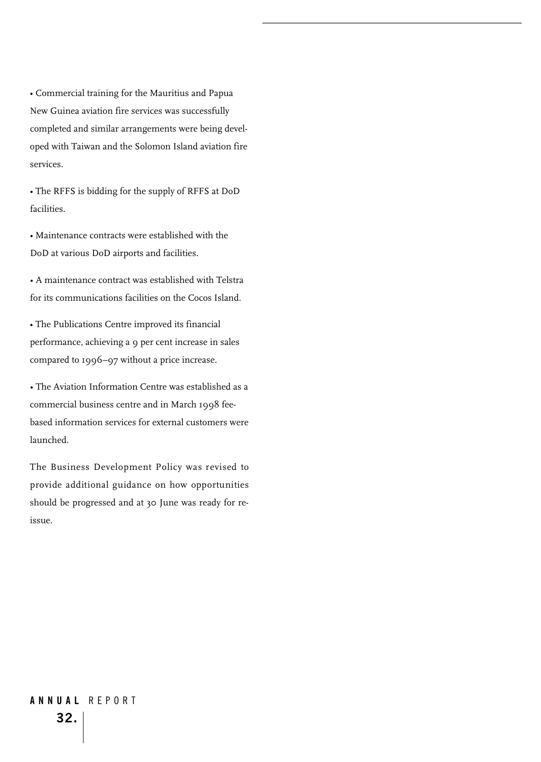• Commercial training for the Mauritius and Papua New Guinea aviation fire services was successfully completed and similar arrangements were being developed with Taiwan and the Solomon Island aviation fire services.

• The RFFS is bidding for the supply of RFFS at DoD facilities.

• Maintenance contracts were established with the DoD at various DoD airports and facilities.

• A maintenance contract was established with Telstra for its communications facilities on the Cocos Island.

• The Publications Centre improved its financial performance, achieving a 9 per cent increase in sales compared to 1996–97 without a price increase.

• The Aviation Information Centre was established as a commercial business centre and in March 1998 feebased information services for external customers were launched.

The Business Development Policy was revised to provide additional guidance on how opportunities should be progressed and at 30 June was ready for reissue.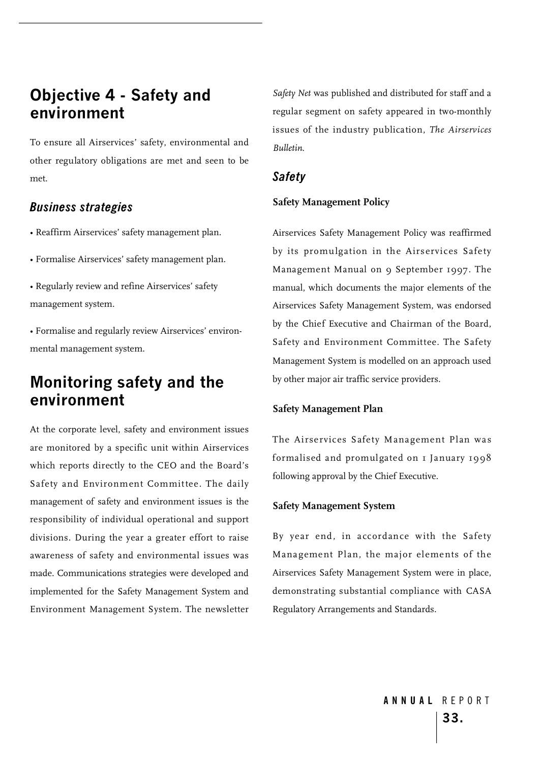## **Objective 4 - Safety and environment**

To ensure all Airservices' safety, environmental and other regulatory obligations are met and seen to be met.

### *Business strategies*

- Reaffirm Airservices' safety management plan.
- Formalise Airservices' safety management plan.
- Regularly review and refine Airservices' safety management system.

• Formalise and regularly review Airservices' environmental management system.

## **Monitoring safety and the environment**

At the corporate level, safety and environment issues are monitored by a specific unit within Airservices which reports directly to the CEO and the Board's Safety and Environment Committee. The daily management of safety and environment issues is the responsibility of individual operational and support divisions. During the year a greater effort to raise awareness of safety and environmental issues was made. Communications strategies were developed and implemented for the Safety Management System and Environment Management System. The newsletter

*Safety Net* was published and distributed for staff and a regular segment on safety appeared in two-monthly issues of the industry publication, *The Airservices Bulletin*.

### *S a f e t y*

#### **Safety Management Policy**

Airservices Safety Management Policy was reaffirmed by its promulgation in the Airservices Safety Management Manual on 9 September 1997. The manual, which documents the major elements of the Airservices Safety Management System, was endorsed by the Chief Executive and Chairman of the Board, Safety and Environment Committee. The Safety Management System is modelled on an approach used by other major air traffic service providers.

#### **Safety Management Plan**

The Airservices Safety Management Plan was formalised and promulgated on I January 1998 following approval by the Chief Executive.

#### **Safety Management System**

By year end, in accordance with the Safety Management Plan, the major elements of the Airservices Safety Management System were in place, demonstrating substantial compliance with CASA Regulatory Arrangements and Standards.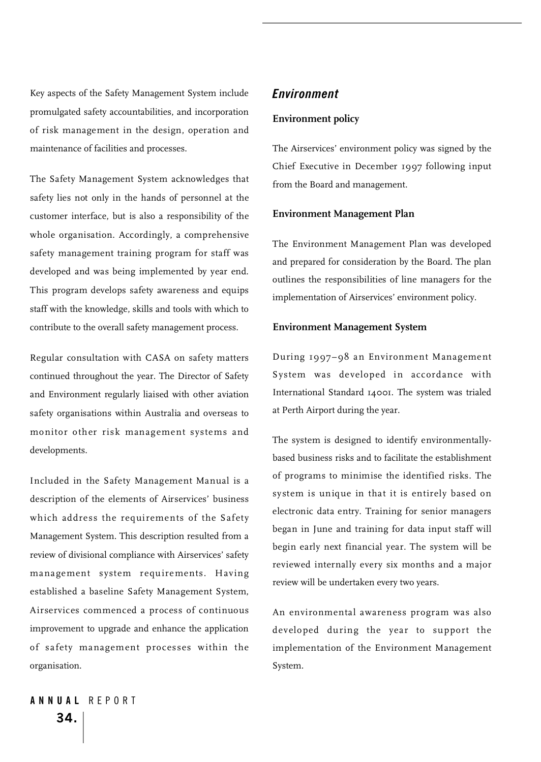Key aspects of the Safety Management System include promulgated safety accountabilities, and incorporation of risk management in the design, operation and maintenance of facilities and processes.

The Safety Management System acknowledges that safety lies not only in the hands of personnel at the customer interface, but is also a responsibility of the whole organisation. Accordingly, a comprehensive safety management training program for staff was developed and was being implemented by year end. This program develops safety awareness and equips staff with the knowledge, skills and tools with which to contribute to the overall safety management process.

Regular consultation with CASA on safety matters continued throughout the year. The Director of Safety and Environment regularly liaised with other aviation safety organisations within Australia and overseas to monitor other risk management systems and developments.

Included in the Safety Management Manual is a description of the elements of Airservices' business which address the requirements of the Safety Management System. This description resulted from a review of divisional compliance with Airservices' safety management system requirements. Having established a baseline Safety Management System, Airservices commenced a process of continuous improvement to upgrade and enhance the application of safety management processes within the organisation.

### *E n v i r o n m e n t*

#### **Environment policy**

The Airservices' environment policy was signed by the Chief Executive in December 1997 following input from the Board and management.

#### **Environment Management Plan**

The Environment Management Plan was developed and prepared for consideration by the Board. The plan outlines the responsibilities of line managers for the implementation of Airservices' environment policy.

#### **Environment Management System**

During 1997–98 an Environment Management System was developed in accordance with International Standard 14001. The system was trialed at Perth Airport during the year.

The system is designed to identify environmentallybased business risks and to facilitate the establishment of programs to minimise the identified risks. The system is unique in that it is entirely based on electronic data entry. Training for senior managers began in June and training for data input staff will begin early next financial year. The system will be reviewed internally every six months and a major review will be undertaken every two years.

An environmental awareness program was also developed during the year to support the implementation of the Environment Management System.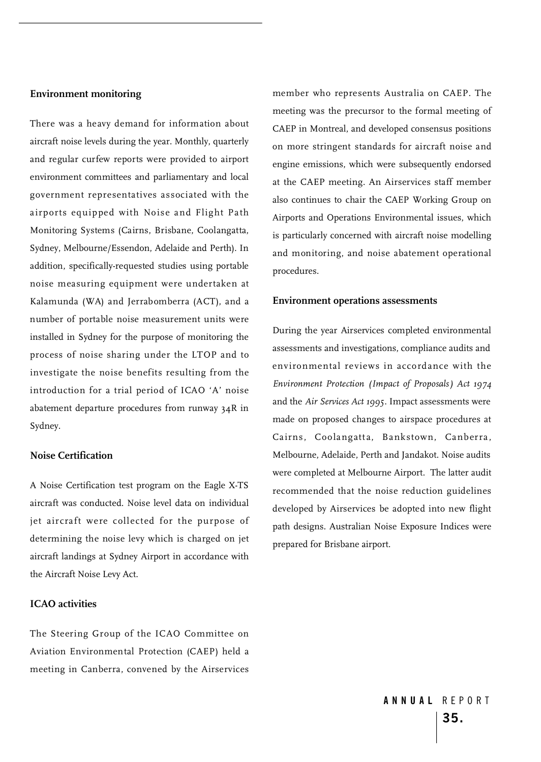#### **Environment monitoring**

There was a heavy demand for information about aircraft noise levels during the year. Monthly, quarterly and regular curfew reports were provided to airport environment committees and parliamentary and local government representatives associated with the airports equipped with Noise and Flight Path Monitoring Systems (Cairns, Brisbane, Coolangatta, Sydney, Melbourne/Essendon, Adelaide and Perth). In addition, specifically-requested studies using portable noise measuring equipment were undertaken at Kalamunda (WA) and Jerrabomberra (ACT), and a number of portable noise measurement units were installed in Sydney for the purpose of monitoring the process of noise sharing under the LTOP and to investigate the noise benefits resulting from the introduction for a trial period of ICAO 'A' noise abatement departure procedures from runway 34R in Sydney.

#### **Noise Certification**

A Noise Certification test program on the Eagle X-TS aircraft was conducted. Noise level data on individual jet aircraft were collected for the purpose of determining the noise levy which is charged on jet aircraft landings at Sydney Airport in accordance with the Aircraft Noise Levy Act.

### **ICAO activities**

The Steering Group of the ICAO Committee on Aviation Environmental Protection (CAEP) held a meeting in Canberra, convened by the Airservices member who represents Australia on CAEP. The meeting was the precursor to the formal meeting of CAEP in Montreal, and developed consensus positions on more stringent standards for aircraft noise and engine emissions, which were subsequently endorsed at the CAEP meeting. An Airservices staff member also continues to chair the CAEP Working Group on Airports and Operations Environmental issues, which is particularly concerned with aircraft noise modelling and monitoring, and noise abatement operational procedures.

#### **Environment operations assessments**

During the year Airservices completed environmental assessments and investigations, compliance audits and environmental reviews in accordance with the *Environment Protection (Impact of Proposals) Act 1974* and the *Air Services Act 1995*. Impact assessments were made on proposed changes to airspace procedures at Cairns, Coolangatta, Bankstown, Canberra, Melbourne, Adelaide, Perth and Jandakot. Noise audits were completed at Melbourne Airport. The latter audit recommended that the noise reduction guidelines developed by Airservices be adopted into new flight path designs. Australian Noise Exposure Indices were prepared for Brisbane airport.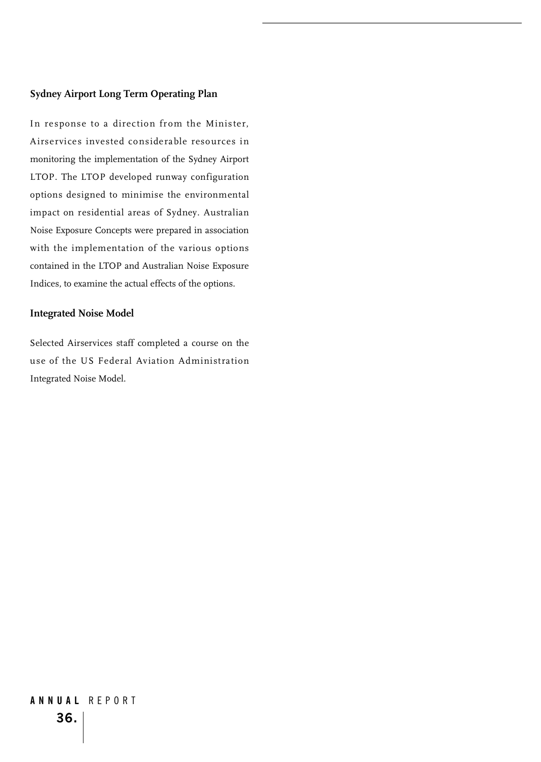#### **Sydney Airport Long Term Operating Plan**

In response to a direction from the Minister, Airservices invested considerable resources in monitoring the implementation of the Sydney Airport LTOP. The LTOP developed runway configuration options designed to minimise the environmental impact on residential areas of Sydney. Australian Noise Exposure Concepts were prepared in association with the implementation of the various options contained in the LTOP and Australian Noise Exposure Indices, to examine the actual effects of the options.

#### **Integrated Noise Model**

Selected Airservices staff completed a course on the use of the US Federal Aviation Administration Integrated Noise Model.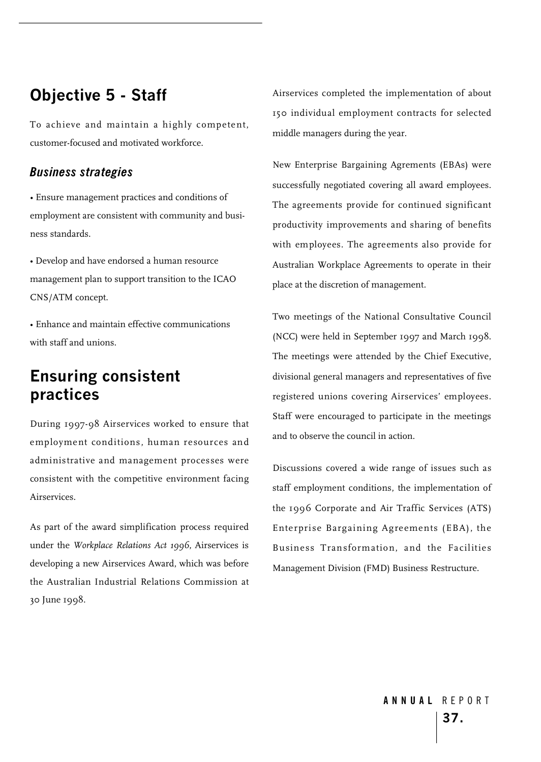## **Objective 5 - Staff**

To achieve and maintain a highly competent, customer-focused and motivated workforce.

### *Business strategies*

• Ensure management practices and conditions of employment are consistent with community and business standards.

• Develop and have endorsed a human resource management plan to support transition to the ICAO CNS/ATM concept.

• Enhance and maintain effective communications with staff and unions.

## **Ensuring consistent practices**

During 1997-98 Airservices worked to ensure that employment conditions, human resources and administrative and management processes were consistent with the competitive environment facing Airservices.

As part of the award simplification process required under the *Workplace Relations Act 1996*, Airservices is developing a new Airservices Award, which was before the Australian Industrial Relations Commission at 30 June 1998.

Airservices completed the implementation of about 150 individual employment contracts for selected middle managers during the year.

New Enterprise Bargaining Agrements (EBAs) were successfully negotiated covering all award employees. The agreements provide for continued significant productivity improvements and sharing of benefits with employees. The agreements also provide for Australian Workplace Agreements to operate in their place at the discretion of management.

Two meetings of the National Consultative Council (NCC) were held in September 1997 and March 1998. The meetings were attended by the Chief Executive, divisional general managers and representatives of five registered unions covering Airservices' employees. Staff were encouraged to participate in the meetings and to observe the council in action.

Discussions covered a wide range of issues such as staff employment conditions, the implementation of the 1996 Corporate and Air Traffic Services (ATS) Enterprise Bargaining Agreements (EBA), the Business Transformation, and the Facilities Management Division (FMD) Business Restructure.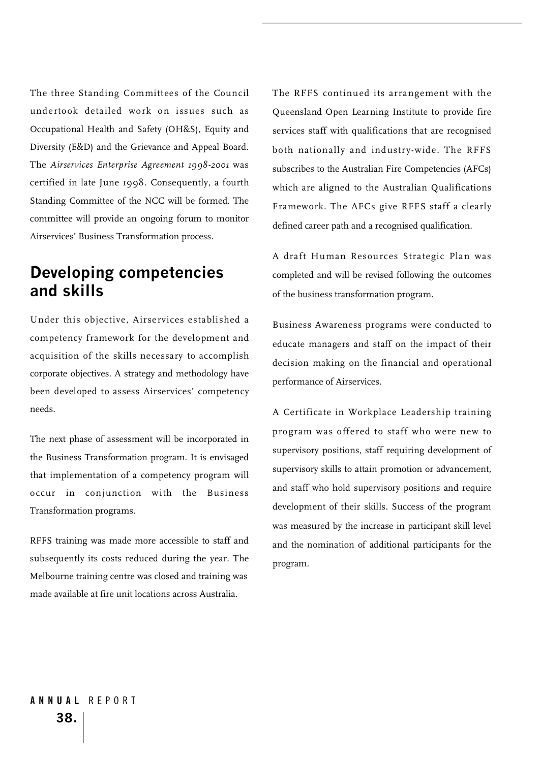The three Standing Committees of the Council undertook detailed work on issues such as Occupational Health and Safety (OH&S), Equity and Diversity (E&D) and the Grievance and Appeal Board. The Airservices Enterprise Agreement 1998-2001 was certified in late June 1998. Consequently, a fourth Standing Committee of the NCC will be formed. The committee will provide an ongoing forum to monitor Airservices' Business Transformation process.

## **Developing competencies and skills**

Under this objective, Airservices established a competency framework for the development and acquisition of the skills necessary to accomplish corporate objectives. A strategy and methodology have been developed to assess Airservices' competency needs.

The next phase of assessment will be incorporated in the Business Transformation program. It is envisaged that implementation of a competency program will occur in conjunction with the Business Transformation programs.

RFFS training was made more accessible to staff and subsequently its costs reduced during the year. The Melbourne training centre was closed and training was made available at fire unit locations across Australia.

The RFFS continued its arrangement with the Queensland Open Learning Institute to provide fire services staff with qualifications that are recognised both nationally and industry-wide. The RFFS subscribes to the Australian Fire Competencies (AFCs) which are aligned to the Australian Qualifications Framework. The AFCs give RFFS staff a clearly defined career path and a recognised qualification.

A draft Human Resources Strategic Plan was completed and will be revised following the outcomes of the business transformation program.

Business Awareness programs were conducted to educate managers and staff on the impact of their decision making on the financial and operational performance of Airservices.

A Certificate in Workplace Leadership training program was offered to staff who were new to supervisory positions, staff requiring development of supervisory skills to attain promotion or advancement, and staff who hold supervisory positions and require development of their skills. Success of the program was measured by the increase in participant skill level and the nomination of additional participants for the program.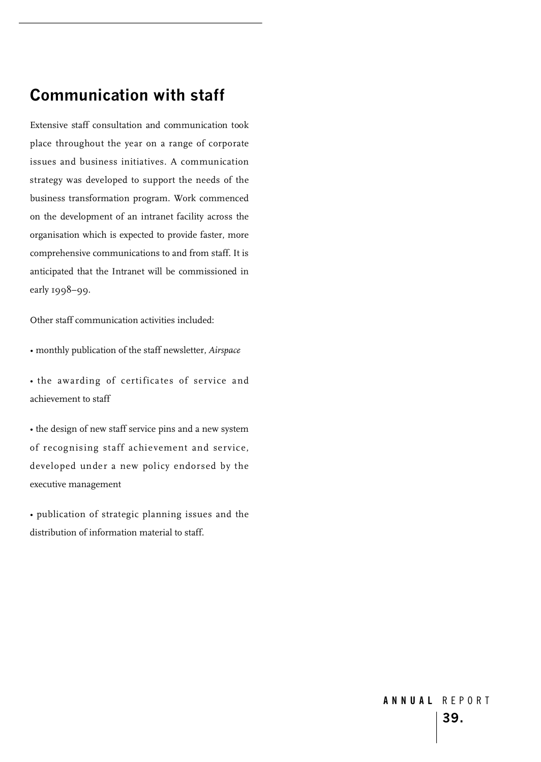## **Communication with staff**

Extensive staff consultation and communication took place throughout the year on a range of corporate issues and business initiatives. A communication strategy was developed to support the needs of the business transformation program. Work commenced on the development of an intranet facility across the organisation which is expected to provide faster, more comprehensive communications to and from staff. It is anticipated that the Intranet will be commissioned in early 1998–99.

Other staff communication activities included:

• monthly publication of the staff newsletter, *Airspace*

• the awarding of certificates of service and achievement to staff

• the design of new staff service pins and a new system of recognising staff achievement and service, developed under a new policy endorsed by the executive management

• publication of strategic planning issues and the distribution of information material to staff.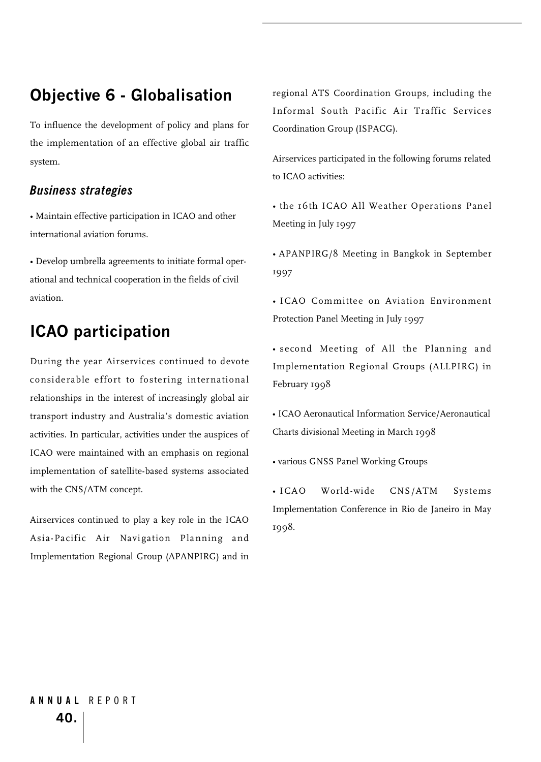## **Objective 6 - Globalisation**

To influence the development of policy and plans for the implementation of an effective global air traffic system.

### *Business strategies*

• Maintain effective participation in ICAO and other international aviation forums.

• Develop umbrella agreements to initiate formal operational and technical cooperation in the fields of civil aviation.

## **ICAO participation**

During the year Airservices continued to devote considerable effort to fostering international relationships in the interest of increasingly global air transport industry and Australia's domestic aviation activities. In particular, activities under the auspices of ICAO were maintained with an emphasis on regional implementation of satellite-based systems associated with the CNS/ATM concept.

Airservices continued to play a key role in the ICAO Asia-Pacific Air Navigation Planning and Implementation Regional Group (APANPIRG) and in

regional ATS Coordination Groups, including the Informal South Pacific Air Traffic Services Coordination Group (ISPACG).

Airservices participated in the following forums related to ICAO activities:

• the 16th ICAO All Weather Operations Panel Meeting in July 1997

• APANPIRG/8 Meeting in Bangkok in September 1997

• ICAO Committee on Aviation Environment Protection Panel Meeting in July 1997

• second Meeting of All the Planning and Implementation Regional Groups (ALLPIRG) in February 1998

• ICAO Aeronautical Information Service/Aeronautical Charts divisional Meeting in March 1998

• various GNSS Panel Working Groups

• ICAO World-wide CNS/ATM Systems Implementation Conference in Rio de Janeiro in May 1998.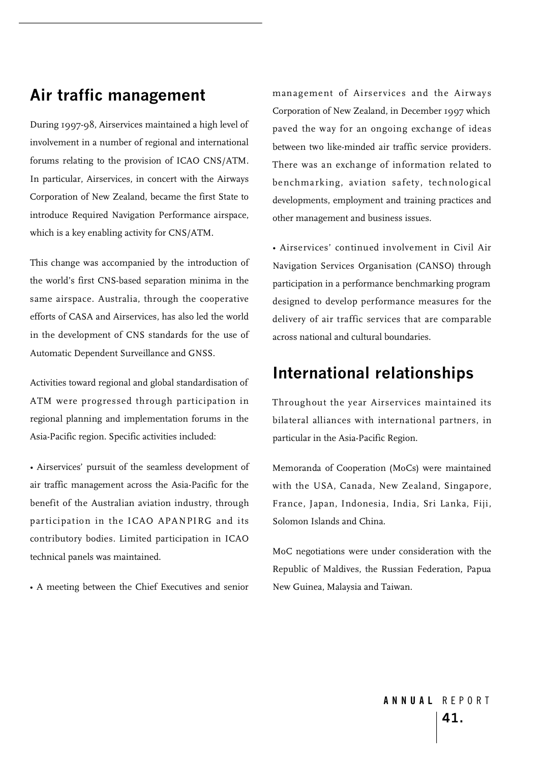## **Air traffic management**

During 1997-98, Airservices maintained a high level of involvement in a number of regional and international forums relating to the provision of ICAO CNS/ATM. In particular, Airservices, in concert with the Airways Corporation of New Zealand, became the first State to introduce Required Navigation Performance airspace, which is a key enabling activity for CNS/ATM.

This change was accompanied by the introduction of the world's first CNS-based separation minima in the same airspace. Australia, through the cooperative efforts of CASA and Airservices, has also led the world in the development of CNS standards for the use of Automatic Dependent Surveillance and GNSS.

Activities toward regional and global standardisation of ATM were progressed through participation in regional planning and implementation forums in the Asia-Pacific region. Specific activities included:

• Airservices' pursuit of the seamless development of air traffic management across the Asia-Pacific for the benefit of the Australian aviation industry, through participation in the ICAO APANPIRG and its contributory bodies. Limited participation in ICAO technical panels was maintained.

• A meeting between the Chief Executives and senior

management of Airservices and the Airway s Corporation of New Zealand, in December 1997 which paved the way for an ongoing exchange of ideas between two like-minded air traffic service providers. There was an exchange of information related to benchmarking, aviation safety, technological developments, employment and training practices and other management and business issues.

• Airservices' continued involvement in Civil Air Navigation Services Organisation (CANSO) through participation in a performance benchmarking program designed to develop performance measures for the delivery of air traffic services that are comparable across national and cultural boundaries.

## **International relationships**

Throughout the year Airservices maintained its bilateral alliances with international partners, in particular in the Asia-Pacific Region.

Memoranda of Cooperation (MoCs) were maintained with the USA, Canada, New Zealand, Singapore, France, Japan, Indonesia, India, Sri Lanka, Fiji, Solomon Islands and China.

MoC negotiations were under consideration with the Republic of Maldives, the Russian Federation, Papua New Guinea, Malaysia and Taiwan.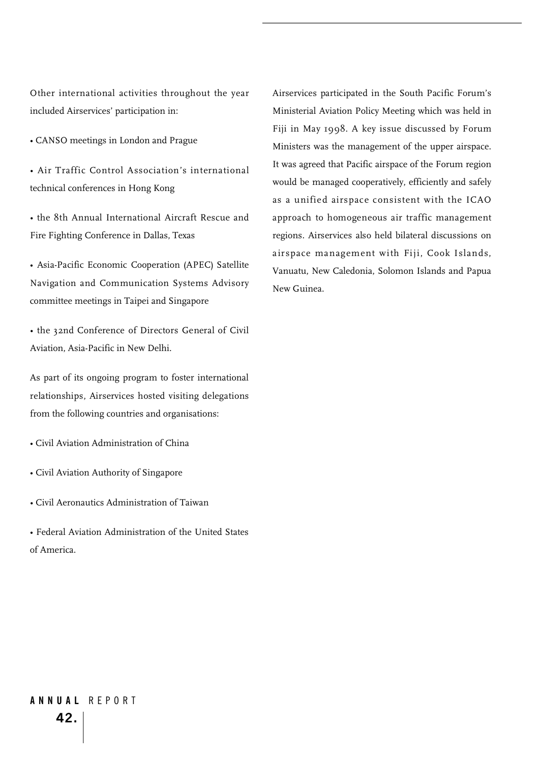Other international activities throughout the year included Airservices' participation in:

• CANSO meetings in London and Prague

• Air Traffic Control Association's international technical conferences in Hong Kong

• the 8th Annual International Aircraft Rescue and Fire Fighting Conference in Dallas, Texas

• Asia-Pacific Economic Cooperation (APEC) Satellite Navigation and Communication Systems Advisory committee meetings in Taipei and Singapore

• the 32nd Conference of Directors General of Civil Aviation, Asia-Pacific in New Delhi.

As part of its ongoing program to foster international relationships, Airservices hosted visiting delegations from the following countries and organisations:

• Civil Aviation Administration of China

- Civil Aviation Authority of Singapore
- Civil Aeronautics Administration of Taiwan
- Federal Aviation Administration of the United States of America.

Airservices participated in the South Pacific Forum's Ministerial Aviation Policy Meeting which was held in Fiji in May 1998. A key issue discussed by Forum Ministers was the management of the upper airspace. It was agreed that Pacific airspace of the Forum region would be managed cooperatively, efficiently and safely as a unified airspace consistent with the ICAO approach to homogeneous air traffic management regions. Airservices also held bilateral discussions on airspace management with Fiji, Cook Islands, Vanuatu, New Caledonia, Solomon Islands and Papua New Guinea.

### **A N N U A L** R E P O R T

**4 2.**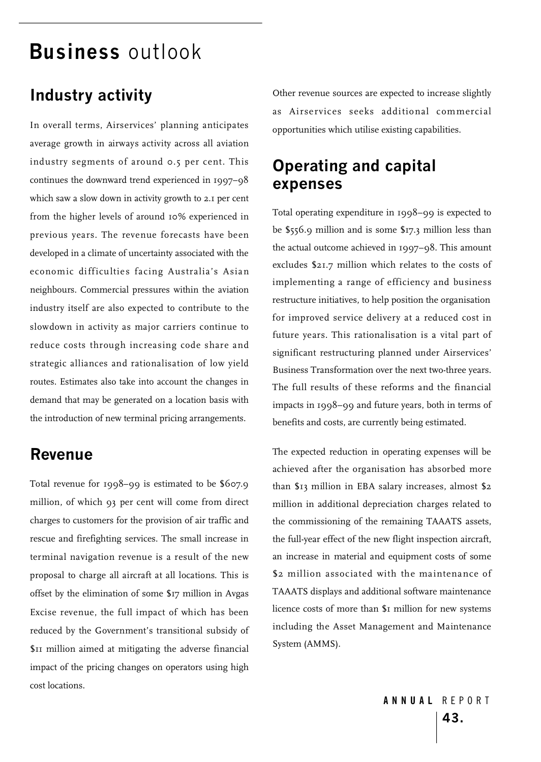# **Business outlook**

## **Industry activity**

In overall terms, Airservices' planning anticipates average growth in airways activity across all aviation industry segments of around 0.5 per cent. This continues the downward trend experienced in 1997–98 which saw a slow down in activity growth to 2.1 per cent from the higher levels of around 10% experienced in previous years. The revenue forecasts have been developed in a climate of uncertainty associated with the economic difficulties facing Australia's Asian neighbours. Commercial pressures within the aviation industry itself are also expected to contribute to the slowdown in activity as major carriers continue to reduce costs through increasing code share and strategic alliances and rationalisation of low yield routes. Estimates also take into account the changes in demand that may be generated on a location basis with the introduction of new terminal pricing arrangements.

## **Revenue**

Total revenue for 1998–99 is estimated to be \$607.9 million, of which 93 per cent will come from direct charges to customers for the provision of air traffic and rescue and firefighting services. The small increase in terminal navigation revenue is a result of the new proposal to charge all aircraft at all locations. This is offset by the elimination of some \$17 million in Avgas Excise revenue, the full impact of which has been reduced by the Government's transitional subsidy of \$11 million aimed at mitigating the adverse financial impact of the pricing changes on operators using high cost locations.

Other revenue sources are expected to increase slightly as Airservices seeks additional commercial opportunities which utilise existing capabilities.

## **Operating and capital expenses**

Total operating expenditure in 1998–99 is expected to be \$556.9 million and is some \$17.3 million less than the actual outcome achieved in 1997–98. This amount excludes \$21.7 million which relates to the costs of implementing a range of efficiency and business restructure initiatives, to help position the organisation for improved service delivery at a reduced cost in future years. This rationalisation is a vital part of significant restructuring planned under Airservices' Business Transformation over the next two-three years. The full results of these reforms and the financial impacts in 1998–99 and future years, both in terms of benefits and costs, are currently being estimated.

The expected reduction in operating expenses will be achieved after the organisation has absorbed more than \$13 million in EBA salary increases, almost \$2 million in additional depreciation charges related to the commissioning of the remaining TAAATS assets, the full-year effect of the new flight inspection aircraft, an increase in material and equipment costs of some \$2 million associated with the maintenance of TAAATS displays and additional software maintenance licence costs of more than \$1 million for new systems including the Asset Management and Maintenance System (AMMS).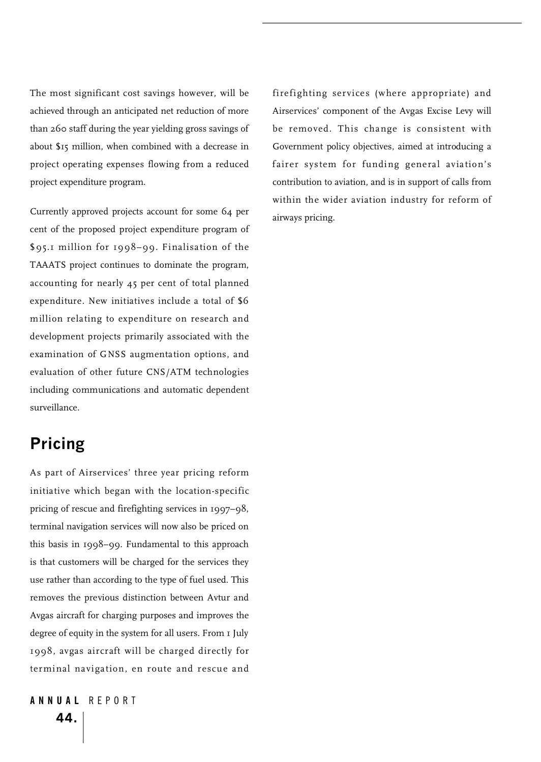The most significant cost savings however, will be achieved through an anticipated net reduction of more than 260 staff during the year yielding gross savings of about \$15 million, when combined with a decrease in project operating expenses flowing from a reduced project expenditure program.

Currently approved projects account for some 64 per cent of the proposed project expenditure program of \$95.1 million for 1998–99. Finalisation of the TAAATS project continues to dominate the program, accounting for nearly 45 per cent of total planned expenditure. New initiatives include a total of \$6 million relating to expenditure on research and development projects primarily associated with the examination of GNSS augmentation options, and evaluation of other future CNS/ATM technologies including communications and automatic dependent surveillance.

## **Pricing**

As part of Airservices' three year pricing reform initiative which began with the location-specific pricing of rescue and firefighting services in 1997–98, terminal navigation services will now also be priced on this basis in 1998–99. Fundamental to this approach is that customers will be charged for the services they use rather than according to the type of fuel used. This removes the previous distinction between Avtur and Avgas aircraft for charging purposes and improves the degree of equity in the system for all users. From 1 July 1998, avgas aircraft will be charged directly for terminal navigation, en route and rescue and firefighting services (where appropriate) and Airservices' component of the Avgas Excise Levy will be removed. This change is consistent with Government policy objectives, aimed at introducing a fairer system for funding general aviation's contribution to aviation, and is in support of calls from within the wider aviation industry for reform of airways pricing.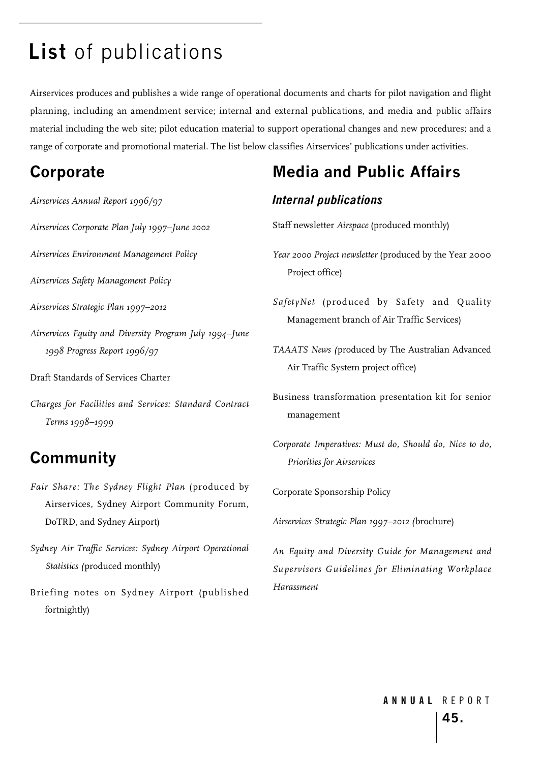# **List** of publications

Airservices produces and publishes a wide range of operational documents and charts for pilot navigation and flight planning, including an amendment service; internal and external publications, and media and public affairs material including the web site; pilot education material to support operational changes and new procedures; and a range of corporate and promotional material. The list below classifies Airservices' publications under activities.

## **Corporate**

*Airservices Annual Report 1996/97*

*Airservices Corporate Plan July 1997–June 2002*

*Airservices Environment Management Policy*

*Airservices Safety Management Policy*

*Airservices Strategic Plan 1997–2012*

*Airservices Equity and Diversity Program July 1994–June 1998 Progress Report 1996/97*

Draft Standards of Services Charter

*Charges for Facilities and Services: Standard Contract Terms 1998–1999*

## **Community**

- *Fair Share: The Sydney Flight Plan* (produced by Airservices, Sydney Airport Community Forum, DoTRD, and Sydney Airport)
- *Sydney Air Traffic Services: Sydney Airport Operational Statistics (*produced monthly)
- Briefing notes on Sydney Airport (published fortnightly)

## **Media and Public Affairs**

### *Internal publications*

Staff newsletter *Airspace* (produced monthly)

- *Year 2000 Project newsletter* (produced by the Year 2000 Project office)
- *SafetyNet* (produced by Safety and Quality Management branch of Air Traffic Services)
- *TAAATS News (*produced by The Australian Advanced Air Traffic System project office)
- Business transformation presentation kit for senior management
- *Corporate Imperatives: Must do, Should do, Nice to do, Priorities for Airservices*

Corporate Sponsorship Policy

*Airservices Strategic Plan 1997–2012 (*brochure)

*An Equity and Diversity Guide for Management and Supervisors Guidelines for Eliminating Workplace Harassment*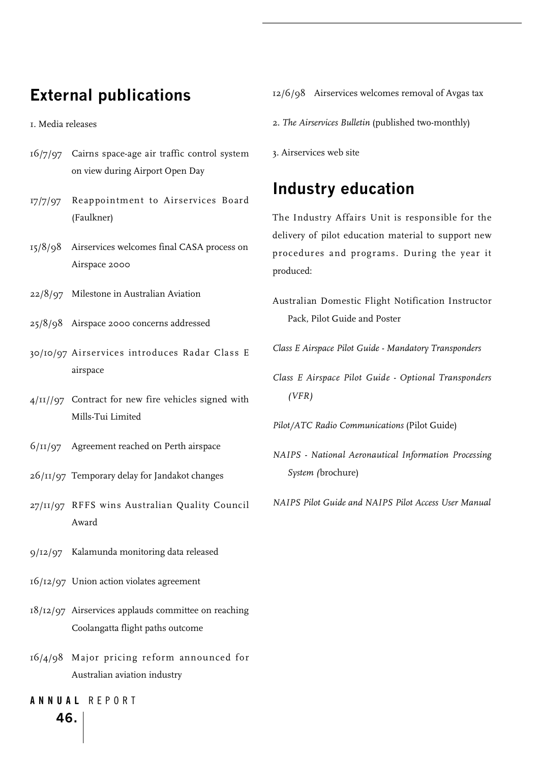## **External publications**

1. Media releases

- 16/7/97 Cairns space-age air traffic control system on view during Airport Open Day
- 17/7/97 Reappointment to Airservices Board (Faulkner)
- 15/8/98 Airservices welcomes final CASA process on Airspace 2000
- 22/8/97 Milestone in Australian Aviation
- 25/8/98 Airspace 2000 concerns addressed
- 30/10/97 Airservices introduces Radar Class E airspace
- 4/11//97 Contract for new fire vehicles signed with Mills-Tui Limited
- 6/11/97 Agreement reached on Perth airspace
- 26/11/97 Temporary delay for Jandakot changes
- 27/11/97 RFFS wins Australian Quality Council Award
- 9/12/97 Kalamunda monitoring data released
- 16/12/97 Union action violates agreement
- 18/12/97 Airservices applauds committee on reaching Coolangatta flight paths outcome
- 16/4/98 Major pricing reform announced for Australian aviation industry

**A N N U A L** R E P O R T **4 6.**

- 12/6/98 Airservices welcomes removal of Avgas tax
- 2. *The Airservices Bulletin* (published two-monthly)
- 3. Airservices web site

## **Industry education**

The Industry Affairs Unit is responsible for the delivery of pilot education material to support new procedures and programs. During the year it produced:

- Australian Domestic Flight Notification Instructor Pack, Pilot Guide and Poster
- *Class E Airspace Pilot Guide Mandatory Transponders*
- *Class E Airspace Pilot Guide Optional Transponders (VFR)*
- *Pilot/ATC Radio Communications* (Pilot Guide)
- *NAIPS National Aeronautical Information Processing System (*brochure)
- *NAIPS Pilot Guide and NAIPS Pilot Access User Manual*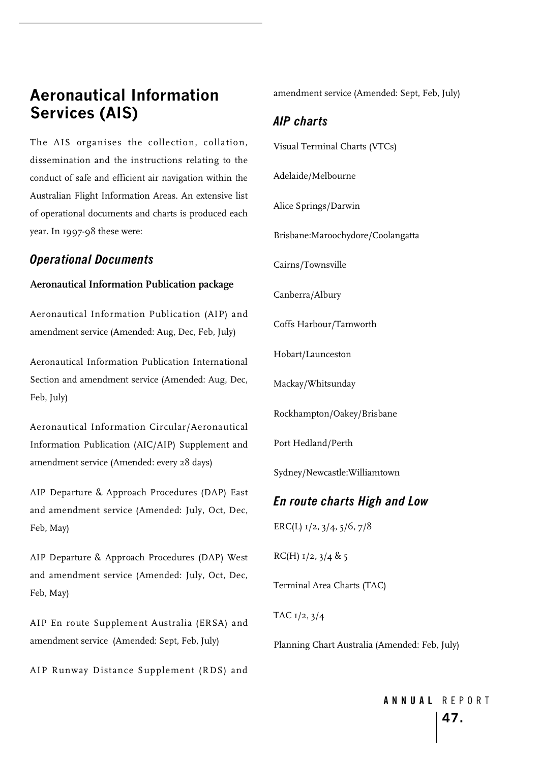## **Aeronautical Information Services (AIS)**

The AIS organises the collection, collation, dissemination and the instructions relating to the conduct of safe and efficient air navigation within the Australian Flight Information Areas. An extensive list of operational documents and charts is produced each year. In 1997-98 these were:

### *Operational Documents*

#### **Aeronautical Information Publication package**

Aeronautical Information Publication (AIP) and amendment service (Amended: Aug, Dec, Feb, July)

Aeronautical Information Publication International Section and amendment service (Amended: Aug, Dec, Feb, July)

Aeronautical Information Circular/Aeronautical Information Publication (AIC/AIP) Supplement and amendment service (Amended: every 28 days)

AIP Departure & Approach Procedures (DAP) East and amendment service (Amended: July, Oct, Dec, Feb, May)

AIP Departure & Approach Procedures (DAP) West and amendment service (Amended: July, Oct, Dec, Feb, May)

AIP En route Supplement Australia (ERSA) and amendment service (Amended: Sept, Feb, July)

AIP Runway Distance Supplement (RDS) and

amendment service (Amended: Sept, Feb, July)

### *AIP charts*

Visual Terminal Charts (VTCs)

Adelaide/Melbourne

Alice Springs/Darwin

Brisbane:Maroochydore/Coolangatta

Cairns/Townsville

Canberra/Albury

Coffs Harbour/Tamworth

Hobart/Launceston

Mackay/Whitsunday

Rockhampton/Oakey/Brisbane

Port Hedland/Perth

Sydney/Newcastle:Williamtown

### *En route charts High and Low*

ERC(L)  $1/2$ ,  $3/4$ ,  $5/6$ ,  $7/8$ 

 $RC(H)$   $1/2$ ,  $3/4$  & 5

Terminal Area Charts (TAC)

TAC 1/2, 3/4

Planning Chart Australia (Amended: Feb, July)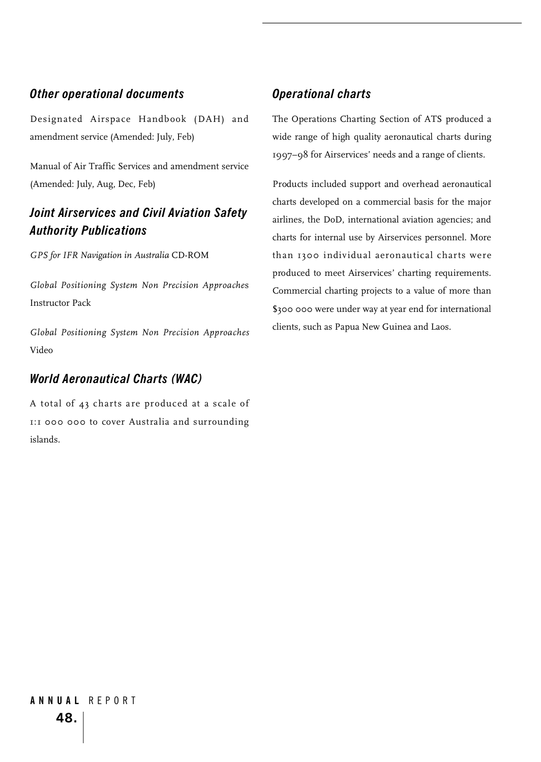### *Other operational documents*

Designated Airspace Handbook (DAH) and amendment service (Amended: July, Feb)

Manual of Air Traffic Services and amendment service (Amended: July, Aug, Dec, Feb)

## *Joint Airservices and Civil Aviation Safety Authority Publications*

*GPS for IFR Navigation in Australia* CD-ROM

*Global Positioning System Non Precision Approache*s Instructor Pack

*Global Positioning System Non Precision Approaches* Video

### *World Aeronautical Charts (WAC)*

A total of 43 charts are produced at a scale of 1:1 000 000 to cover Australia and surrounding islands.

### *Operational charts*

The Operations Charting Section of ATS produced a wide range of high quality aeronautical charts during 1997–98 for Airservices' needs and a range of clients.

Products included support and overhead aeronautical charts developed on a commercial basis for the major airlines, the DoD, international aviation agencies; and charts for internal use by Airservices personnel. More than 1300 individual aeronautical charts were produced to meet Airservices' charting requirements. Commercial charting projects to a value of more than \$300 000 were under way at year end for international clients, such as Papua New Guinea and Laos.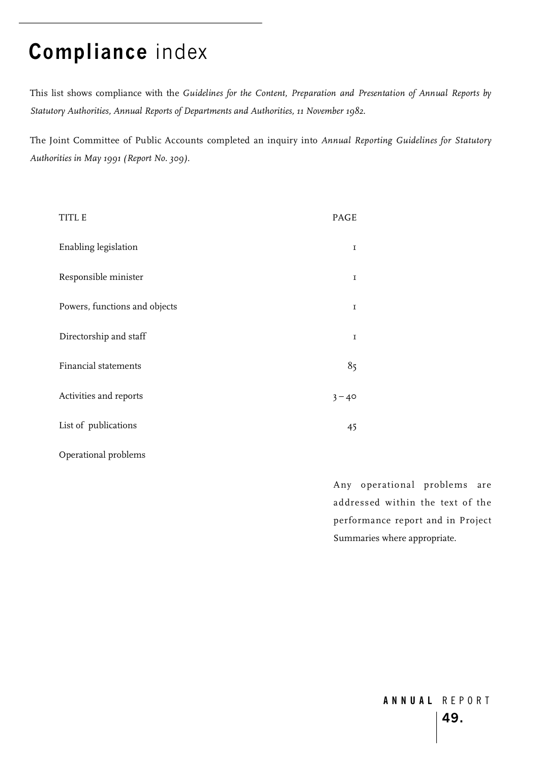# **Compliance** index

This list shows compliance with the *Guidelines for the Content, Preparation and Presentation of Annual Reports by Statutory Authorities, Annual Reports of Departments and Authorities, 11 November 1982*.

The Joint Committee of Public Accounts completed an inquiry into *Annual Reporting Guidelines for Statutory Authorities in May 1991 (Report No. 309)*.

| TITL E                        | PAGE         |
|-------------------------------|--------------|
| Enabling legislation          | I            |
| Responsible minister          | $\mathbf I$  |
| Powers, functions and objects | $\mathbf I$  |
| Directorship and staff        | $\mathbf{I}$ |
| Financial statements          | 85           |
| Activities and reports        | $3 - 40$     |
| List of publications          | 45           |

Operational problems

Any operational problems are addressed within the text of the performance report and in Project Summaries where appropriate.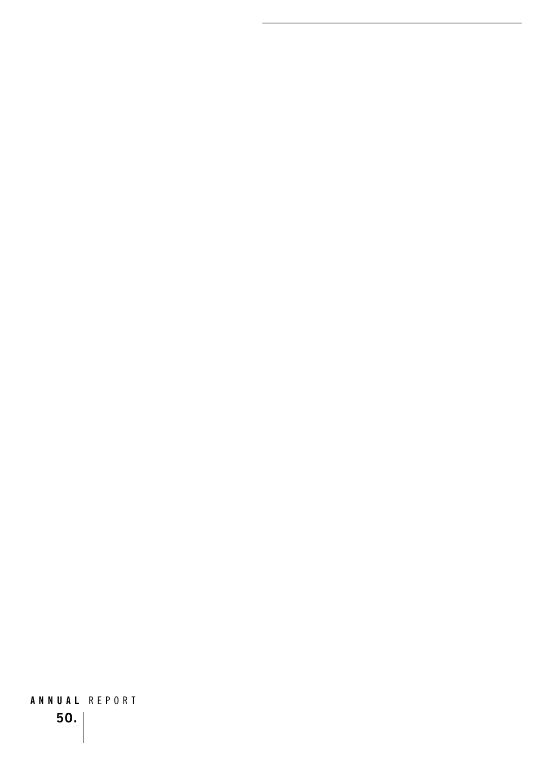## **A N N U A L** R E P O R T

**5 0.**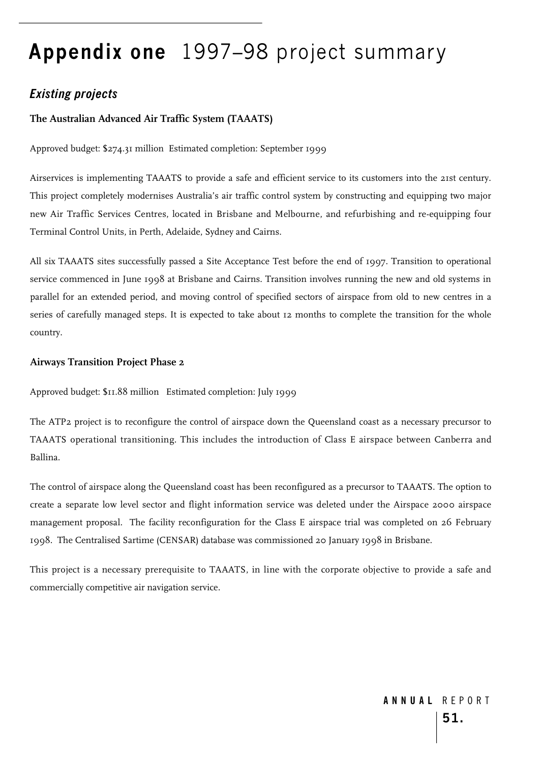# **Appendix one** 1997–98 project summary

## *Existing projects*

### **The Australian Advanced Air Traffic System (TAAATS)**

Approved budget: \$274.31 million Estimated completion: September 1999

Airservices is implementing TAAATS to provide a safe and efficient service to its customers into the 21st century. This project completely modernises Australia's air traffic control system by constructing and equipping two major new Air Traffic Services Centres, located in Brisbane and Melbourne, and refurbishing and re-equipping four Terminal Control Units, in Perth, Adelaide, Sydney and Cairns.

All six TAAATS sites successfully passed a Site Acceptance Test before the end of 1997. Transition to operational service commenced in June 1998 at Brisbane and Cairns. Transition involves running the new and old systems in parallel for an extended period, and moving control of specified sectors of airspace from old to new centres in a series of carefully managed steps. It is expected to take about 12 months to complete the transition for the whole country.

#### **Airways Transition Project Phase 2**

Approved budget: \$11.88 million Estimated completion: July 1999

The ATP2 project is to reconfigure the control of airspace down the Queensland coast as a necessary precursor to TAAATS operational transitioning. This includes the introduction of Class E airspace between Canberra and Ballina.

The control of airspace along the Queensland coast has been reconfigured as a precursor to TAAATS. The option to create a separate low level sector and flight information service was deleted under the Airspace 2000 airspace management proposal. The facility reconfiguration for the Class E airspace trial was completed on 26 February 1998. The Centralised Sartime (CENSAR) database was commissioned 20 January 1998 in Brisbane.

This project is a necessary prerequisite to TAAATS, in line with the corporate objective to provide a safe and commercially competitive air navigation service.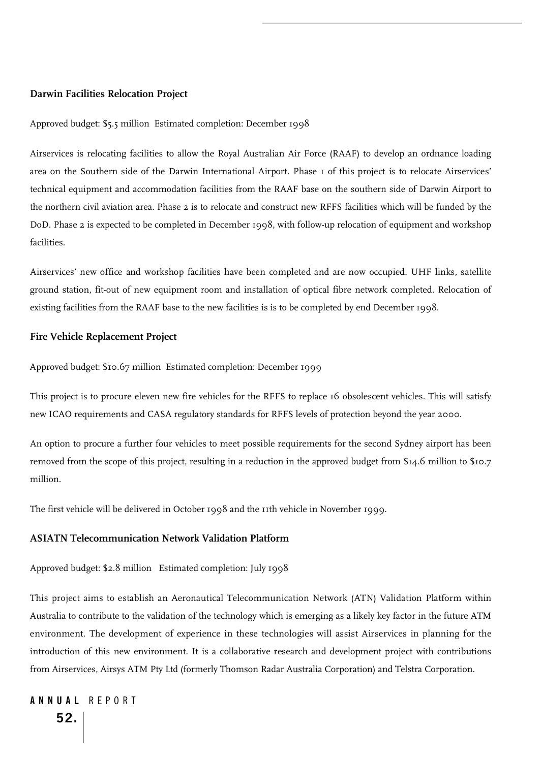#### **Darwin Facilities Relocation Project**

Approved budget: \$5.5 million Estimated completion: December 1998

Airservices is relocating facilities to allow the Royal Australian Air Force (RAAF) to develop an ordnance loading area on the Southern side of the Darwin International Airport. Phase 1 of this project is to relocate Airservices' technical equipment and accommodation facilities from the RAAF base on the southern side of Darwin Airport to the northern civil aviation area. Phase 2 is to relocate and construct new RFFS facilities which will be funded by the DoD. Phase 2 is expected to be completed in December 1998, with follow-up relocation of equipment and workshop facilities.

Airservices' new office and workshop facilities have been completed and are now occupied. UHF links, satellite ground station, fit-out of new equipment room and installation of optical fibre network completed. Relocation of existing facilities from the RAAF base to the new facilities is is to be completed by end December 1998.

#### **Fire Vehicle Replacement Project**

Approved budget: \$10.67 million Estimated completion: December 1999

This project is to procure eleven new fire vehicles for the RFFS to replace 16 obsolescent vehicles. This will satisfy new ICAO requirements and CASA regulatory standards for RFFS levels of protection beyond the year 2000.

An option to procure a further four vehicles to meet possible requirements for the second Sydney airport has been removed from the scope of this project, resulting in a reduction in the approved budget from \$14.6 million to \$10.7 million.

The first vehicle will be delivered in October 1998 and the 11th vehicle in November 1999.

#### **ASIATN Telecommunication Network Validation Platform**

Approved budget: \$2.8 million Estimated completion: July 1998

This project aims to establish an Aeronautical Telecommunication Network (ATN) Validation Platform within Australia to contribute to the validation of the technology which is emerging as a likely key factor in the future ATM environment. The development of experience in these technologies will assist Airservices in planning for the introduction of this new environment. It is a collaborative research and development project with contributions from Airservices, Airsys ATM Pty Ltd (formerly Thomson Radar Australia Corporation) and Telstra Corporation.

**A N N U A L** R E P O R T **5 2.**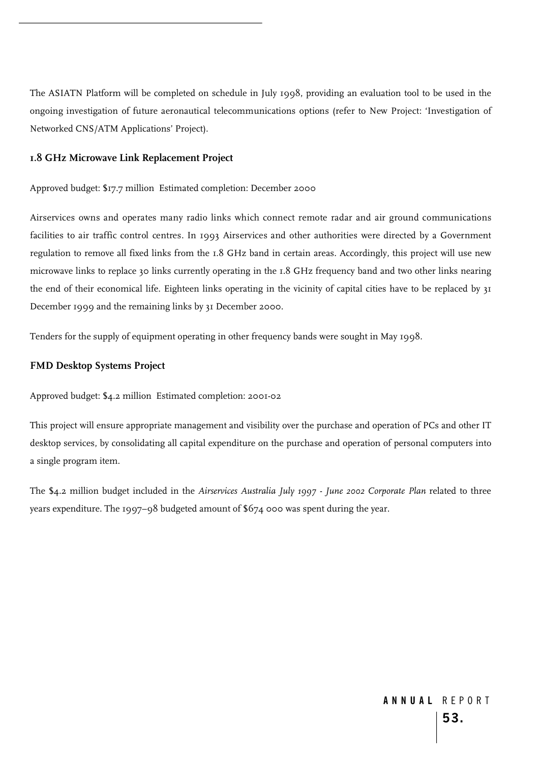The ASIATN Platform will be completed on schedule in July 1998, providing an evaluation tool to be used in the ongoing investigation of future aeronautical telecommunications options (refer to New Project: 'Investigation of Networked CNS/ATM Applications' Project).

#### **1.8 GHz Microwave Link Replacement Project**

Approved budget: \$17.7 million Estimated completion: December 2000

Airservices owns and operates many radio links which connect remote radar and air ground communications facilities to air traffic control centres. In 1993 Airservices and other authorities were directed by a Government regulation to remove all fixed links from the 1.8 GHz band in certain areas. Accordingly, this project will use new microwave links to replace 30 links currently operating in the 1.8 GHz frequency band and two other links nearing the end of their economical life. Eighteen links operating in the vicinity of capital cities have to be replaced by 31 December 1999 and the remaining links by 31 December 2000.

Tenders for the supply of equipment operating in other frequency bands were sought in May 1998.

#### **FMD Desktop Systems Project**

Approved budget: \$4.2 million Estimated completion: 2001-02

This project will ensure appropriate management and visibility over the purchase and operation of PCs and other IT desktop services, by consolidating all capital expenditure on the purchase and operation of personal computers into a single program item.

The \$4.2 million budget included in the *Airservices Australia July 1997 - June 2002 Corporate Plan* related to three years expenditure. The 1997–98 budgeted amount of \$674 000 was spent during the year.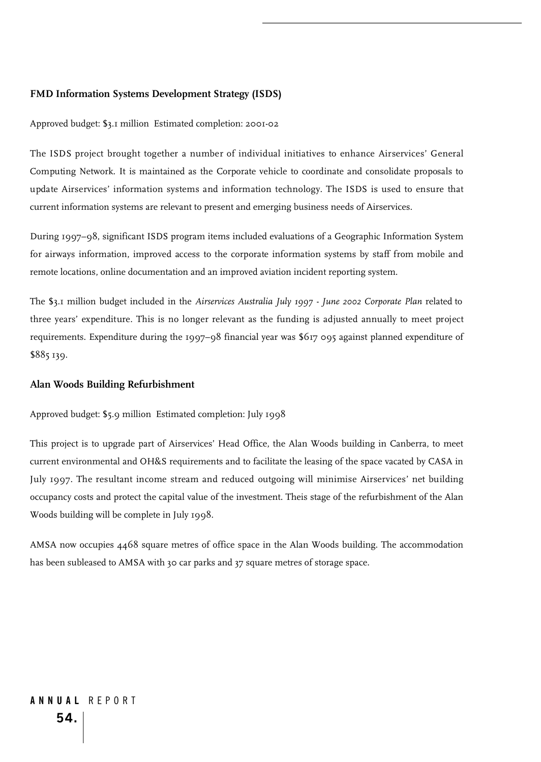#### **FMD Information Systems Development Strategy (ISDS)**

#### Approved budget: \$3.1 million Estimated completion: 2001-02

The ISDS project brought together a number of individual initiatives to enhance Airservices' General Computing Network. It is maintained as the Corporate vehicle to coordinate and consolidate proposals to update Airservices' information systems and information technology. The ISDS is used to ensure that current information systems are relevant to present and emerging business needs of Airservices.

During 1997–98, significant ISDS program items included evaluations of a Geographic Information System for airways information, improved access to the corporate information systems by staff from mobile and remote locations, online documentation and an improved aviation incident reporting system.

The \$3.1 million budget included in the *Airservices Australia July 1997 - June 2002 Corporate Plan* related to three years' expenditure. This is no longer relevant as the funding is adjusted annually to meet project requirements. Expenditure during the 1997–98 financial year was \$617 095 against planned expenditure of \$885 139.

#### **Alan Woods Building Refurbishment**

#### Approved budget: \$5.9 million Estimated completion: July 1998

This project is to upgrade part of Airservices' Head Office, the Alan Woods building in Canberra, to meet current environmental and OH&S requirements and to facilitate the leasing of the space vacated by CASA in July 1997. The resultant income stream and reduced outgoing will minimise Airservices' net building occupancy costs and protect the capital value of the investment. Theis stage of the refurbishment of the Alan Woods building will be complete in July 1998.

AMSA now occupies 4468 square metres of office space in the Alan Woods building. The accommodation has been subleased to AMSA with 30 car parks and 37 square metres of storage space.

## **A N N U A L** R E P O R T

**5 4.**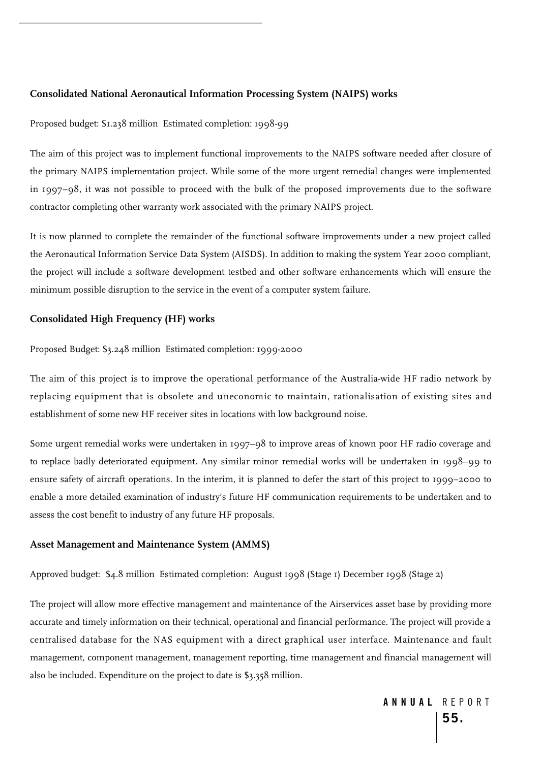#### **Consolidated National Aeronautical Information Processing System (NAIPS) works**

#### Proposed budget: \$1.238 million Estimated completion: 1998-99

The aim of this project was to implement functional improvements to the NAIPS software needed after closure of the primary NAIPS implementation project. While some of the more urgent remedial changes were implemented in 1997–98, it was not possible to proceed with the bulk of the proposed improvements due to the software contractor completing other warranty work associated with the primary NAIPS project.

It is now planned to complete the remainder of the functional software improvements under a new project called the Aeronautical Information Service Data System (AISDS). In addition to making the system Year 2000 compliant, the project will include a software development testbed and other software enhancements which will ensure the minimum possible disruption to the service in the event of a computer system failure.

### **Consolidated High Frequency (HF) works**

Proposed Budget: \$3.248 million Estimated completion: 1999-2000

The aim of this project is to improve the operational performance of the Australia-wide HF radio network by replacing equipment that is obsolete and uneconomic to maintain, rationalisation of existing sites and establishment of some new HF receiver sites in locations with low background noise.

Some urgent remedial works were undertaken in 1997–98 to improve areas of known poor HF radio coverage and to replace badly deteriorated equipment. Any similar minor remedial works will be undertaken in 1998–99 to ensure safety of aircraft operations. In the interim, it is planned to defer the start of this project to 1999–2000 to enable a more detailed examination of industry's future HF communication requirements to be undertaken and to assess the cost benefit to industry of any future HF proposals.

#### **Asset Management and Maintenance System (AMMS)**

Approved budget: \$4.8 million Estimated completion: August 1998 (Stage 1) December 1998 (Stage 2)

The project will allow more effective management and maintenance of the Airservices asset base by providing more accurate and timely information on their technical, operational and financial performance. The project will provide a centralised database for the NAS equipment with a direct graphical user interface. Maintenance and fault management, component management, management reporting, time management and financial management will also be included. Expenditure on the project to date is \$3.358 million.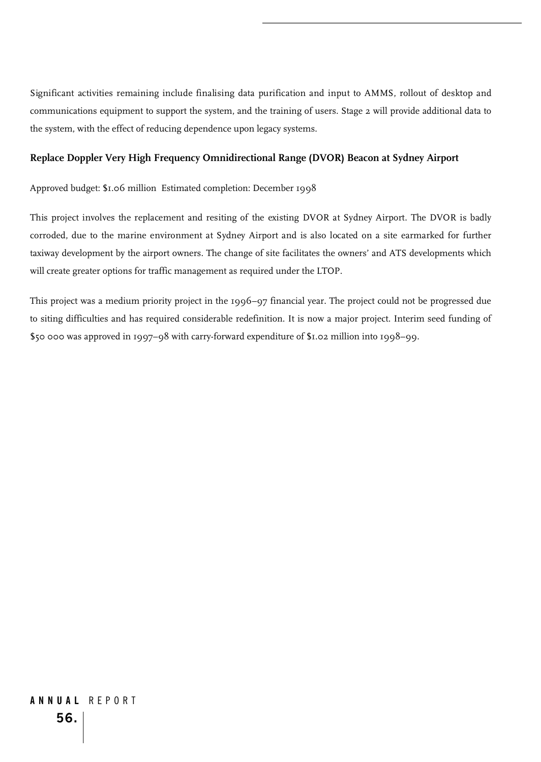Significant activities remaining include finalising data purification and input to AMMS, rollout of desktop and communications equipment to support the system, and the training of users. Stage 2 will provide additional data to the system, with the effect of reducing dependence upon legacy systems.

#### **Replace Doppler Very High Frequency Omnidirectional Range (DVOR) Beacon at Sydney Airport**

Approved budget: \$1.06 million Estimated completion: December 1998

This project involves the replacement and resiting of the existing DVOR at Sydney Airport. The DVOR is badly corroded, due to the marine environment at Sydney Airport and is also located on a site earmarked for further taxiway development by the airport owners. The change of site facilitates the owners' and ATS developments which will create greater options for traffic management as required under the LTOP.

This project was a medium priority project in the 1996–97 financial year. The project could not be progressed due to siting difficulties and has required considerable redefinition. It is now a major project. Interim seed funding of \$50 000 was approved in 1997–98 with carry-forward expenditure of \$1.02 million into 1998–99.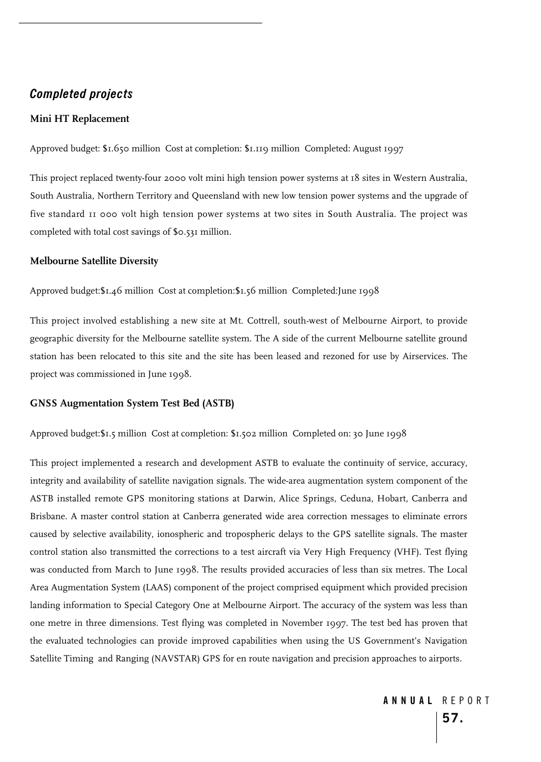### *Completed projects*

#### **Mini HT Replacement**

Approved budget: \$1.650 million Cost at completion: \$1.119 million Completed: August 1997

This project replaced twenty-four 2000 volt mini high tension power systems at 18 sites in Western Australia, South Australia, Northern Territory and Queensland with new low tension power systems and the upgrade of five standard 11 000 volt high tension power systems at two sites in South Australia. The project was completed with total cost savings of \$0.531 million.

#### **Melbourne Satellite Diversity**

Approved budget:\$1.46 million Cost at completion:\$1.56 million Completed:June 1998

This project involved establishing a new site at Mt. Cottrell, south-west of Melbourne Airport, to provide geographic diversity for the Melbourne satellite system. The A side of the current Melbourne satellite ground station has been relocated to this site and the site has been leased and rezoned for use by Airservices. The project was commissioned in June 1998.

#### **GNSS Augmentation System Test Bed (ASTB)**

Approved budget:\$1.5 million Cost at completion: \$1.502 million Completed on: 30 June 1998

This project implemented a research and development ASTB to evaluate the continuity of service, accuracy, integrity and availability of satellite navigation signals. The wide-area augmentation system component of the ASTB installed remote GPS monitoring stations at Darwin, Alice Springs, Ceduna, Hobart, Canberra and Brisbane. A master control station at Canberra generated wide area correction messages to eliminate errors caused by selective availability, ionospheric and tropospheric delays to the GPS satellite signals. The master control station also transmitted the corrections to a test aircraft via Very High Frequency (VHF). Test flying was conducted from March to June 1998. The results provided accuracies of less than six metres. The Local Area Augmentation System (LAAS) component of the project comprised equipment which provided precision landing information to Special Category One at Melbourne Airport. The accuracy of the system was less than one metre in three dimensions. Test flying was completed in November 1997. The test bed has proven that the evaluated technologies can provide improved capabilities when using the US Government's Navigation Satellite Timing and Ranging (NAVSTAR) GPS for en route navigation and precision approaches to airports.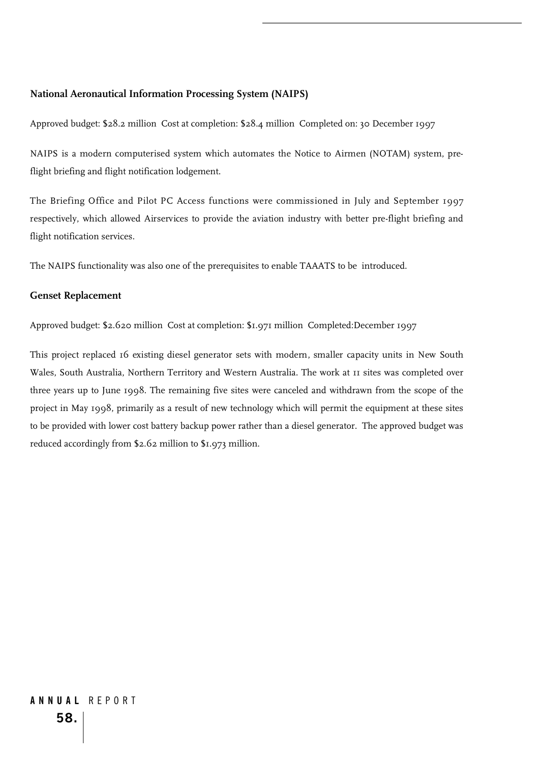#### **National Aeronautical Information Processing System (NAIPS)**

Approved budget: \$28.2 million Cost at completion: \$28.4 million Completed on: 30 December 1997

NAIPS is a modern computerised system which automates the Notice to Airmen (NOTAM) system, preflight briefing and flight notification lodgement.

The Briefing Office and Pilot PC Access functions were commissioned in July and September 1997 respectively, which allowed Airservices to provide the aviation industry with better pre-flight briefing and flight notification services.

The NAIPS functionality was also one of the prerequisites to enable TAAATS to be introduced.

#### **Genset Replacement**

Approved budget: \$2.620 million Cost at completion: \$1.971 million Completed:December 1997

This project replaced 16 existing diesel generator sets with modern, smaller capacity units in New South Wales, South Australia, Northern Territory and Western Australia. The work at 11 sites was completed over three years up to June 1998. The remaining five sites were canceled and withdrawn from the scope of the project in May 1998, primarily as a result of new technology which will permit the equipment at these sites to be provided with lower cost battery backup power rather than a diesel generator. The approved budget was reduced accordingly from \$2.62 million to \$1.973 million.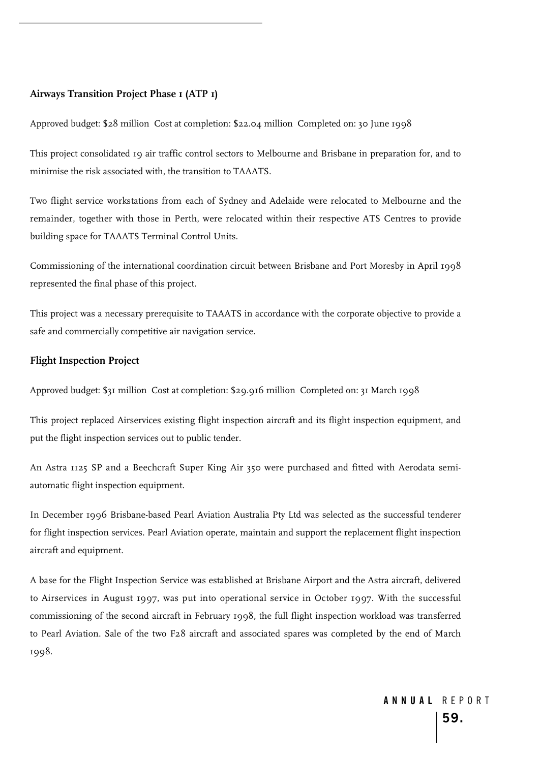#### **Airways Transition Project Phase 1 (ATP 1)**

Approved budget: \$28 million Cost at completion: \$22.04 million Completed on: 30 June 1998

This project consolidated 19 air traffic control sectors to Melbourne and Brisbane in preparation for, and to minimise the risk associated with, the transition to TAAATS.

Two flight service workstations from each of Sydney and Adelaide were relocated to Melbourne and the remainder, together with those in Perth, were relocated within their respective ATS Centres to provide building space for TAAATS Terminal Control Units.

Commissioning of the international coordination circuit between Brisbane and Port Moresby in April 1998 represented the final phase of this project.

This project was a necessary prerequisite to TAAATS in accordance with the corporate objective to provide a safe and commercially competitive air navigation service.

#### **Flight Inspection Project**

Approved budget: \$31 million Cost at completion: \$29.916 million Completed on: 31 March 1998

This project replaced Airservices existing flight inspection aircraft and its flight inspection equipment, and put the flight inspection services out to public tender.

An Astra 1125 SP and a Beechcraft Super King Air 350 were purchased and fitted with Aerodata semiautomatic flight inspection equipment.

In December 1996 Brisbane-based Pearl Aviation Australia Pty Ltd was selected as the successful tenderer for flight inspection services. Pearl Aviation operate, maintain and support the replacement flight inspection aircraft and equipment.

A base for the Flight Inspection Service was established at Brisbane Airport and the Astra aircraft, delivered to Airservices in August 1997, was put into operational service in October 1997. With the successful commissioning of the second aircraft in February 1998, the full flight inspection workload was transferred to Pearl Aviation. Sale of the two F28 aircraft and associated spares was completed by the end of March 1998.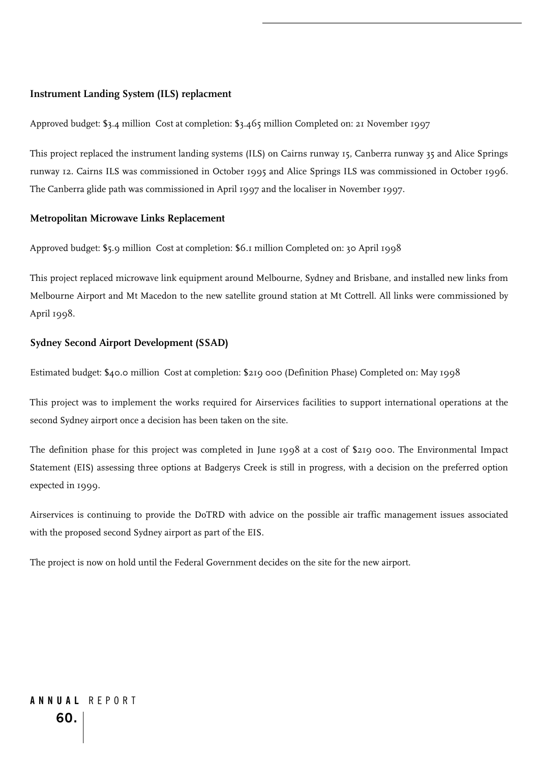#### **Instrument Landing System (ILS) replacment**

Approved budget: \$3.4 million Cost at completion: \$3.465 million Completed on: 21 November 1997

This project replaced the instrument landing systems (ILS) on Cairns runway 15, Canberra runway 35 and Alice Springs runway 12. Cairns ILS was commissioned in October 1995 and Alice Springs ILS was commissioned in October 1996. The Canberra glide path was commissioned in April 1997 and the localiser in November 1997.

### **Metropolitan Microwave Links Replacement**

Approved budget: \$5.9 million Cost at completion: \$6.1 million Completed on: 30 April 1998

This project replaced microwave link equipment around Melbourne, Sydney and Brisbane, and installed new links from Melbourne Airport and Mt Macedon to the new satellite ground station at Mt Cottrell. All links were commissioned by April 1998.

#### **Sydney Second Airport Development (SSAD)**

Estimated budget: \$40.0 million Cost at completion: \$219 000 (Definition Phase) Completed on: May 1998

This project was to implement the works required for Airservices facilities to support international operations at the second Sydney airport once a decision has been taken on the site.

The definition phase for this project was completed in June 1998 at a cost of \$219 000. The Environmental Impact Statement (EIS) assessing three options at Badgerys Creek is still in progress, with a decision on the preferred option expected in 1999.

Airservices is continuing to provide the DoTRD with advice on the possible air traffic management issues associated with the proposed second Sydney airport as part of the EIS.

The project is now on hold until the Federal Government decides on the site for the new airport.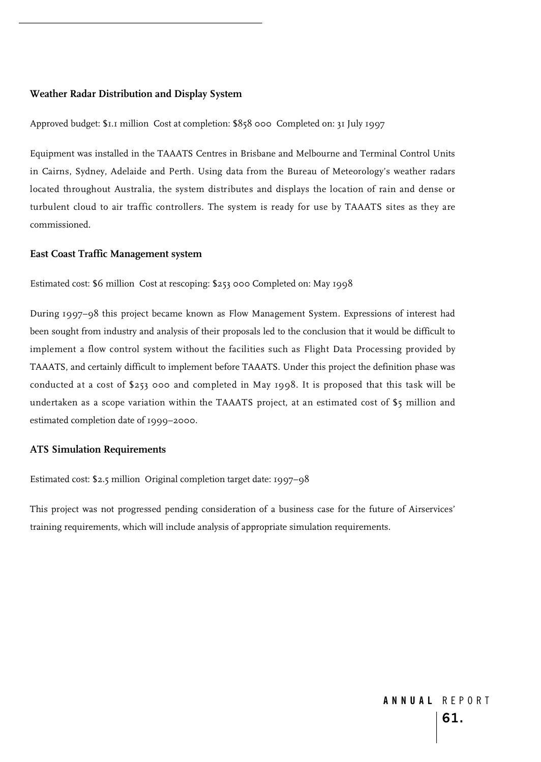#### **Weather Radar Distribution and Display System**

Approved budget: \$1.1 million Cost at completion: \$858 000 Completed on: 31 July 1997

Equipment was installed in the TAAATS Centres in Brisbane and Melbourne and Terminal Control Units in Cairns, Sydney, Adelaide and Perth. Using data from the Bureau of Meteorology's weather radars located throughout Australia, the system distributes and displays the location of rain and dense or turbulent cloud to air traffic controllers. The system is ready for use by TAAATS sites as they are commissioned.

#### **East Coast Traffic Management system**

Estimated cost: \$6 million Cost at rescoping: \$253 000 Completed on: May 1998

During 1997–98 this project became known as Flow Management System. Expressions of interest had been sought from industry and analysis of their proposals led to the conclusion that it would be difficult to implement a flow control system without the facilities such as Flight Data Processing provided by TAAATS, and certainly difficult to implement before TAAATS. Under this project the definition phase was conducted at a cost of \$253 000 and completed in May 1998. It is proposed that this task will be undertaken as a scope variation within the TAAATS project, at an estimated cost of \$5 million and estimated completion date of 1999–2000.

#### **ATS Simulation Requirements**

Estimated cost: \$2.5 million Original completion target date: 1997–98

This project was not progressed pending consideration of a business case for the future of Airservices' training requirements, which will include analysis of appropriate simulation requirements.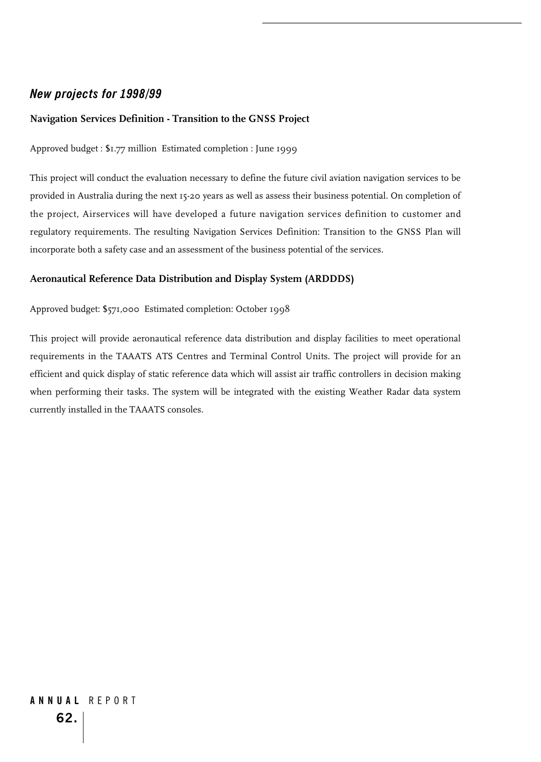### *New projects for 1998/99*

#### **Navigation Services Definition - Transition to the GNSS Project**

Approved budget : \$1.77 million Estimated completion : June 1999

This project will conduct the evaluation necessary to define the future civil aviation navigation services to be provided in Australia during the next 15-20 years as well as assess their business potential. On completion of the project, Airservices will have developed a future navigation services definition to customer and regulatory requirements. The resulting Navigation Services Definition: Transition to the GNSS Plan will incorporate both a safety case and an assessment of the business potential of the services.

#### **Aeronautical Reference Data Distribution and Display System (ARDDDS)**

Approved budget: \$571,000 Estimated completion: October 1998

This project will provide aeronautical reference data distribution and display facilities to meet operational requirements in the TAAATS ATS Centres and Terminal Control Units. The project will provide for an efficient and quick display of static reference data which will assist air traffic controllers in decision making when performing their tasks. The system will be integrated with the existing Weather Radar data system currently installed in the TAAATS consoles.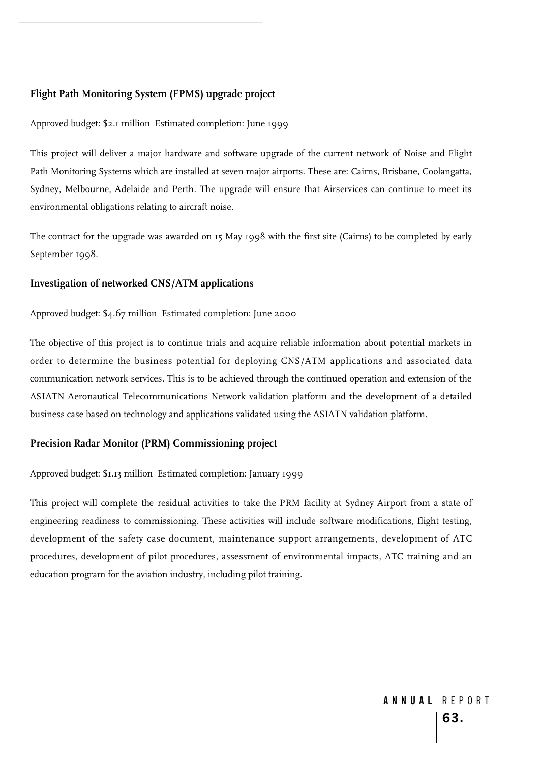#### **Flight Path Monitoring System (FPMS) upgrade project**

Approved budget: \$2.1 million Estimated completion: June 1999

This project will deliver a major hardware and software upgrade of the current network of Noise and Flight Path Monitoring Systems which are installed at seven major airports. These are: Cairns, Brisbane, Coolangatta, Sydney, Melbourne, Adelaide and Perth. The upgrade will ensure that Airservices can continue to meet its environmental obligations relating to aircraft noise.

The contract for the upgrade was awarded on 15 May 1998 with the first site (Cairns) to be completed by early September 1998.

#### **Investigation of networked CNS/ATM applications**

Approved budget: \$4.67 million Estimated completion: June 2000

The objective of this project is to continue trials and acquire reliable information about potential markets in order to determine the business potential for deploying CNS/ATM applications and associated data communication network services. This is to be achieved through the continued operation and extension of the ASIATN Aeronautical Telecommunications Network validation platform and the development of a detailed business case based on technology and applications validated using the ASIATN validation platform.

#### **Precision Radar Monitor (PRM) Commissioning project**

Approved budget: \$1.13 million Estimated completion: January 1999

This project will complete the residual activities to take the PRM facility at Sydney Airport from a state of engineering readiness to commissioning. These activities will include software modifications, flight testing, development of the safety case document, maintenance support arrangements, development of ATC procedures, development of pilot procedures, assessment of environmental impacts, ATC training and an education program for the aviation industry, including pilot training.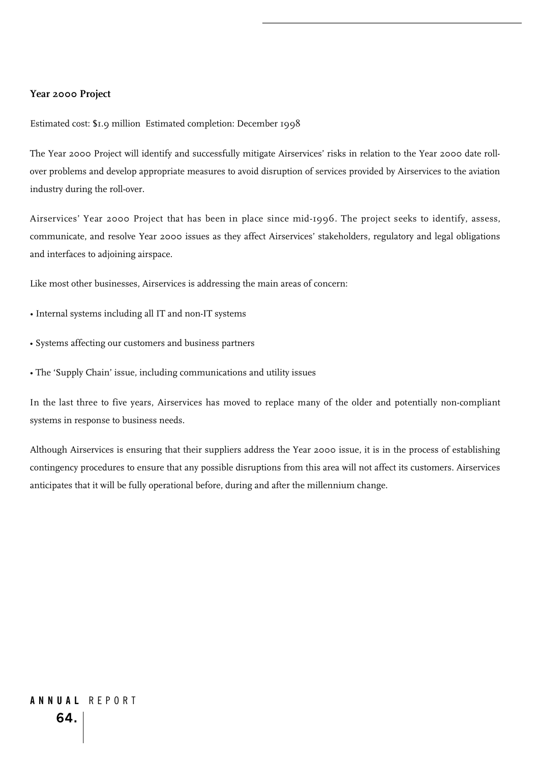#### **Year 2000 Project**

Estimated cost: \$1.9 million Estimated completion: December 1998

The Year 2000 Project will identify and successfully mitigate Airservices' risks in relation to the Year 2000 date rollover problems and develop appropriate measures to avoid disruption of services provided by Airservices to the aviation industry during the roll-over.

Airservices' Year 2000 Project that has been in place since mid-1996. The project seeks to identify, assess, communicate, and resolve Year 2000 issues as they affect Airservices' stakeholders, regulatory and legal obligations and interfaces to adjoining airspace.

Like most other businesses, Airservices is addressing the main areas of concern:

- Internal systems including all IT and non-IT systems
- Systems affecting our customers and business partners
- The 'Supply Chain' issue, including communications and utility issues

In the last three to five years, Airservices has moved to replace many of the older and potentially non-compliant systems in response to business needs.

Although Airservices is ensuring that their suppliers address the Year 2000 issue, it is in the process of establishing contingency procedures to ensure that any possible disruptions from this area will not affect its customers. Airservices anticipates that it will be fully operational before, during and after the millennium change.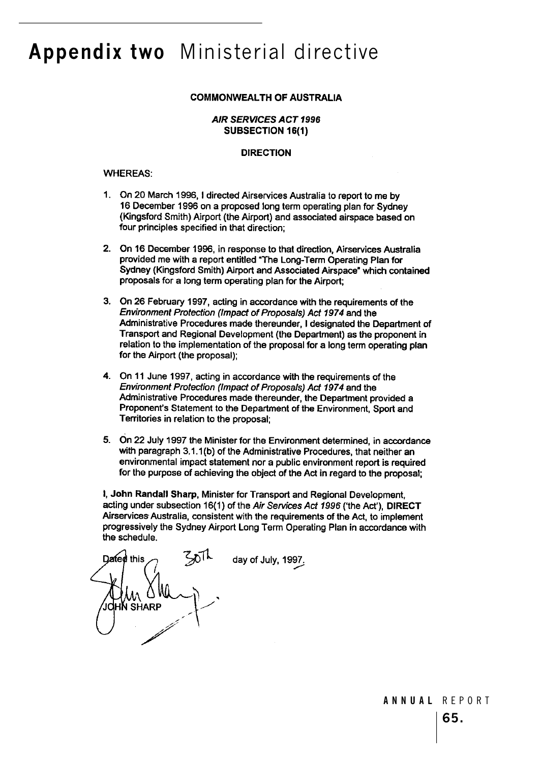# Appendix two Ministerial directive

#### **COMMONWEALTH OF AUSTRALIA**

#### **AIR SERVICES ACT 1996 SUBSECTION 16(1)**

#### **DIRECTION**

#### **WHEREAS:**

- 1. On 20 March 1996, I directed Airservices Australia to report to me by 16 December 1996 on a proposed long term operating plan for Sydney (Kingsford Smith) Airport (the Airport) and associated airspace based on four principles specified in that direction;
- 2. On 16 December 1996, in response to that direction, Airservices Australia provided me with a report entitled "The Long-Term Operating Plan for Sydney (Kingsford Smith) Airport and Associated Airspace" which contained proposals for a long term operating plan for the Airport;
- 3. On 26 February 1997, acting in accordance with the requirements of the Environment Protection (Impact of Proposals) Act 1974 and the Administrative Procedures made thereunder, I designated the Department of Transport and Regional Development (the Department) as the proponent in relation to the implementation of the proposal for a long term operating plan for the Airport (the proposal);
- 4. On 11 June 1997, acting in accordance with the requirements of the Environment Protection (Impact of Proposals) Act 1974 and the Administrative Procedures made thereunder, the Department provided a Proponent's Statement to the Department of the Environment, Sport and Territories in relation to the proposal:
- 5. On 22 July 1997 the Minister for the Environment determined, in accordance with paragraph 3.1.1(b) of the Administrative Procedures, that neither an environmental impact statement nor a public environment report is required for the purpose of achieving the object of the Act in regard to the proposal:

I, John Randall Sharp, Minister for Transport and Regional Development, acting under subsection 16(1) of the Air Services Act 1996 ('the Act'), DIRECT Airservices Australia, consistent with the requirements of the Act, to implement progressively the Sydney Airport Long Term Operating Plan in accordance with the schedule.

day of July, 1997.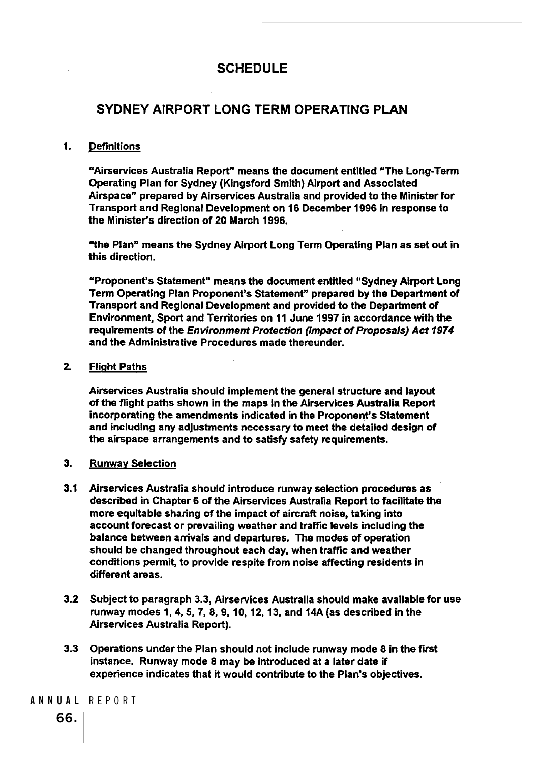## **SCHEDULE**

## SYDNEY AIRPORT LONG TERM OPERATING PLAN

#### $\mathbf{1}$ **Definitions**

"Airservices Australia Report" means the document entitled "The Long-Term Operating Plan for Sydney (Kingsford Smith) Airport and Associated Airspace" prepared by Airservices Australia and provided to the Minister for Transport and Regional Development on 16 December 1996 in response to the Minister's direction of 20 March 1996.

"the Plan" means the Sydney Airport Long Term Operating Plan as set out in this direction.

"Proponent's Statement" means the document entitled "Sydney Airport Long Term Operating Plan Proponent's Statement" prepared by the Department of Transport and Regional Development and provided to the Department of Environment, Sport and Territories on 11 June 1997 in accordance with the requirements of the Environment Protection (Impact of Proposals) Act 1974 and the Administrative Procedures made thereunder.

#### $2<sub>-</sub>$ **Flight Paths**

Airservices Australia should implement the general structure and layout of the flight paths shown in the maps in the Airservices Australia Report incorporating the amendments indicated in the Proponent's Statement and including any adjustments necessary to meet the detailed design of the airspace arrangements and to satisfy safety requirements.

#### $3<sub>1</sub>$ **Runway Selection**

- 3.1 Airservices Australia should introduce runway selection procedures as described in Chapter 6 of the Airservices Australia Report to facilitate the more equitable sharing of the impact of aircraft noise, taking into account forecast or prevailing weather and traffic levels including the balance between arrivals and departures. The modes of operation should be changed throughout each day, when traffic and weather conditions permit, to provide respite from noise affecting residents in different areas.
- 3.2 Subject to paragraph 3.3, Airservices Australia should make available for use runway modes 1, 4, 5, 7, 8, 9, 10, 12, 13, and 14A (as described in the Airservices Australia Report).
- 3.3 Operations under the Plan should not include runway mode 8 in the first instance. Runway mode 8 may be introduced at a later date if experience indicates that it would contribute to the Plan's objectives.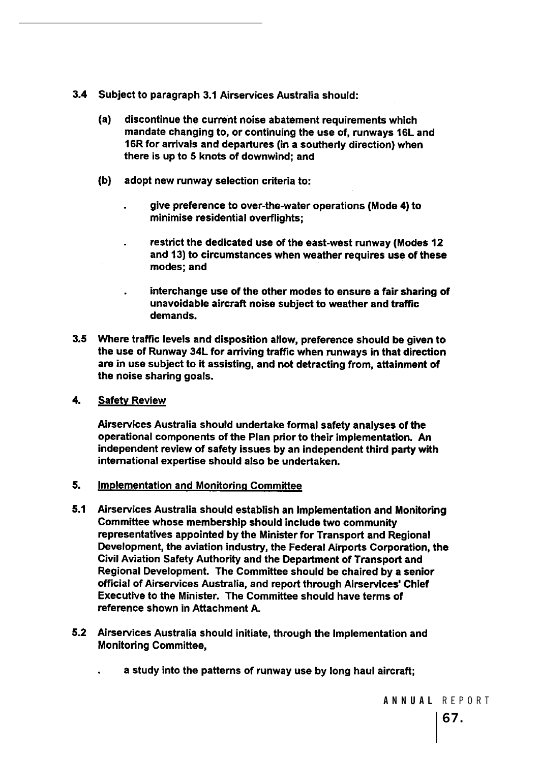- 3.4 Subject to paragraph 3.1 Airservices Australia should:
	- $(a)$ discontinue the current noise abatement requirements which mandate changing to, or continuing the use of, runways 16L and 16R for arrivals and departures (in a southerly direction) when there is up to 5 knots of downwind: and
	- (b) adopt new runway selection criteria to:
		- give preference to over-the-water operations (Mode 4) to minimise residential overflights:
		- restrict the dedicated use of the east-west runway (Modes 12 and 13) to circumstances when weather requires use of these modes: and
		- interchange use of the other modes to ensure a fair sharing of unavoidable aircraft noise subject to weather and traffic demands.
- 3.5 Where traffic levels and disposition allow, preference should be given to the use of Runway 34L for arriving traffic when runways in that direction are in use subject to it assisting, and not detracting from, attainment of the noise sharing goals.
- 4. **Safety Review**

 $\overline{a}$ 

Airservices Australia should undertake formal safety analyses of the operational components of the Plan prior to their implementation. An independent review of safety issues by an independent third party with international expertise should also be undertaken.

- 5. **Implementation and Monitoring Committee**
- $5.1$ Airservices Australia should establish an Implementation and Monitoring Committee whose membership should include two community representatives appointed by the Minister for Transport and Regional Development, the aviation industry, the Federal Airports Corporation, the Civil Aviation Safety Authority and the Department of Transport and Regional Development. The Committee should be chaired by a senior official of Airservices Australia, and report through Airservices' Chief Executive to the Minister. The Committee should have terms of reference shown in Attachment A.
- 5.2 Airservices Australia should initiate, through the Implementation and **Monitoring Committee,** 
	- a study into the patterns of runway use by long haul aircraft;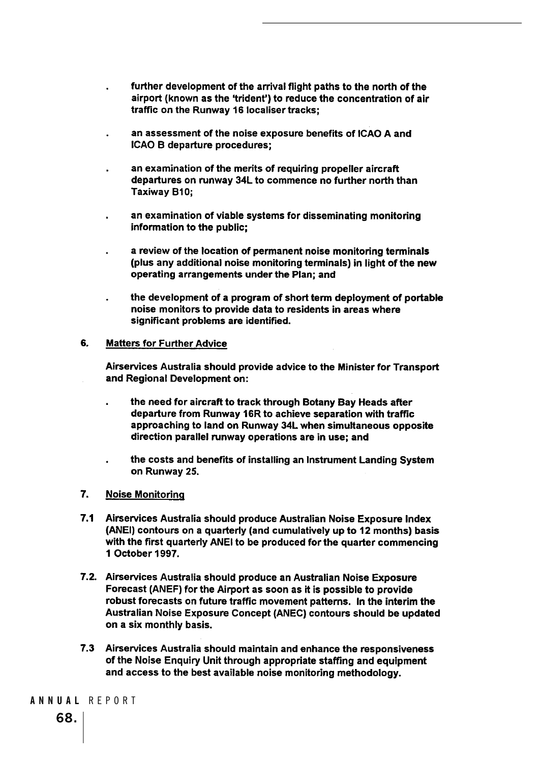- further development of the arrival flight paths to the north of the airport (known as the 'trident') to reduce the concentration of air traffic on the Runway 16 localiser tracks:
- an assessment of the noise exposure benefits of ICAO A and ICAO B departure procedures;
- an examination of the merits of requiring propeller aircraft departures on runway 34L to commence no further north than Taxiway B10;
- an examination of viable systems for disseminating monitoring information to the public;
- a review of the location of permanent noise monitoring terminals (plus any additional noise monitoring terminals) in light of the new operating arrangements under the Plan; and
- the development of a program of short term deployment of portable noise monitors to provide data to residents in areas where significant problems are identified.

#### 6. **Matters for Further Advice**

Airservices Australia should provide advice to the Minister for Transport and Regional Development on:

- the need for aircraft to track through Botany Bay Heads after departure from Runway 16R to achieve separation with traffic approaching to land on Runway 34L when simultaneous opposite direction parallel runway operations are in use; and
- the costs and benefits of installing an Instrument Landing System on Runway 25.
- $7.$ **Noise Monitoring**
- $7.1$ Airservices Australia should produce Australian Noise Exposure Index (ANEI) contours on a quarterly (and cumulatively up to 12 months) basis with the first quarterly ANEI to be produced for the quarter commencing 1 October 1997.
- 7.2. Airservices Australia should produce an Australian Noise Exposure Forecast (ANEF) for the Airport as soon as it is possible to provide robust forecasts on future traffic movement patterns. In the interim the Australian Noise Exposure Concept (ANEC) contours should be updated on a six monthly basis.
- 7.3 Airservices Australia should maintain and enhance the responsiveness of the Noise Enquiry Unit through appropriate staffing and equipment and access to the best available noise monitoring methodology.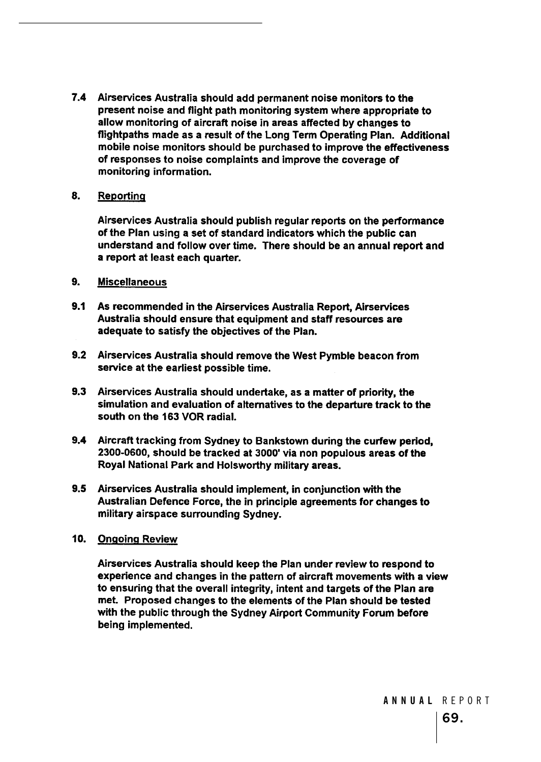7.4 Airservices Australia should add permanent noise monitors to the present noise and flight path monitoring system where appropriate to allow monitoring of aircraft noise in areas affected by changes to flightpaths made as a result of the Long Term Operating Plan. Additional mobile noise monitors should be purchased to improve the effectiveness of responses to noise complaints and improve the coverage of monitoring information.

#### 8. Reporting

Airservices Australia should publish regular reports on the performance of the Plan using a set of standard indicators which the public can understand and follow over time. There should be an annual report and a report at least each quarter.

#### 9. **Miscellaneous**

- 9.1 As recommended in the Airservices Australia Report, Airservices Australia should ensure that equipment and staff resources are adequate to satisfy the objectives of the Plan.
- 9.2 Airservices Australia should remove the West Pymble beacon from service at the earliest possible time.
- $9.3$ Airservices Australia should undertake, as a matter of priority, the simulation and evaluation of alternatives to the departure track to the south on the 163 VOR radial.
- $9.4$ Aircraft tracking from Sydney to Bankstown during the curfew period, 2300-0600, should be tracked at 3000' via non populous areas of the Royal National Park and Holsworthy military areas.
- 9.5 Airservices Australia should implement, in conjunction with the Australian Defence Force, the in principle agreements for changes to military airspace surrounding Sydney.

## 10. Ongoing Review

Airservices Australia should keep the Plan under review to respond to experience and changes in the pattern of aircraft movements with a view to ensuring that the overall integrity, intent and targets of the Plan are met. Proposed changes to the elements of the Plan should be tested with the public through the Sydney Airport Community Forum before being implemented.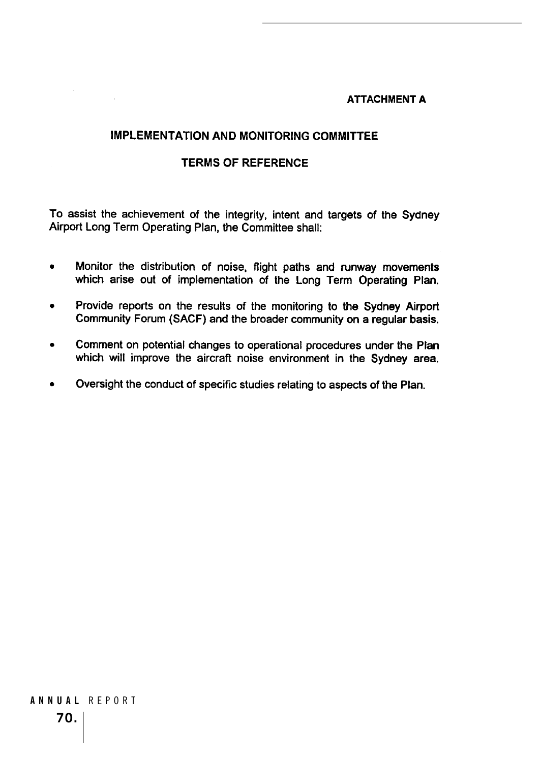## **ATTACHMENT A**

## **IMPLEMENTATION AND MONITORING COMMITTEE**

## **TERMS OF REFERENCE**

To assist the achievement of the integrity, intent and targets of the Sydney Airport Long Term Operating Plan, the Committee shall:

- Monitor the distribution of noise, flight paths and runway movements  $\bullet$ which arise out of implementation of the Long Term Operating Plan.
- Provide reports on the results of the monitoring to the Sydney Airport  $\bullet$ Community Forum (SACF) and the broader community on a regular basis.
- Comment on potential changes to operational procedures under the Plan  $\bullet$ which will improve the aircraft noise environment in the Sydney area.
- Oversight the conduct of specific studies relating to aspects of the Plan.  $\bullet$

## **ANNUAL REPORT**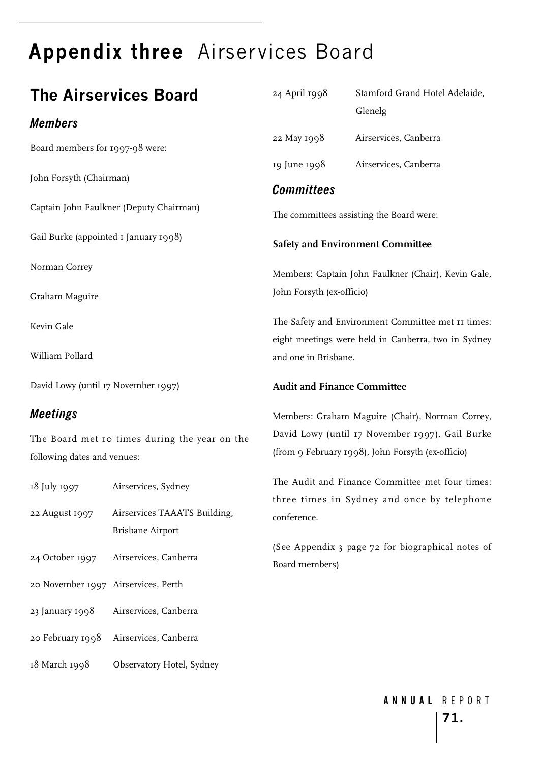# Appendix three Airservices Board

| <b>The Airservices Board</b>          |                                               | 24 April 1998                                                               | Stamford Grand Hotel Adelaide,                                                                 |  |
|---------------------------------------|-----------------------------------------------|-----------------------------------------------------------------------------|------------------------------------------------------------------------------------------------|--|
| <b>Members</b>                        |                                               |                                                                             | Glenelg                                                                                        |  |
| Board members for 1997-98 were:       |                                               | 22 May 1998                                                                 | Airservices, Canberra                                                                          |  |
|                                       |                                               | 19 June 1998                                                                | Airservices, Canberra                                                                          |  |
| John Forsyth (Chairman)               |                                               | <b>Committees</b>                                                           |                                                                                                |  |
|                                       | Captain John Faulkner (Deputy Chairman)       |                                                                             | The committees assisting the Board were:                                                       |  |
| Gail Burke (appointed I January 1998) |                                               |                                                                             | <b>Safety and Environment Committee</b>                                                        |  |
| Norman Correy                         |                                               |                                                                             | Members: Captain John Faulkner (Chair), Kevin Gale,                                            |  |
| Graham Maguire                        |                                               | John Forsyth (ex-officio)                                                   |                                                                                                |  |
| Kevin Gale                            |                                               | The Safety and Environment Committee met II times:                          |                                                                                                |  |
| William Pollard                       |                                               | eight meetings were held in Canberra, two in Sydney<br>and one in Brisbane. |                                                                                                |  |
| David Lowy (until 17 November 1997)   |                                               | <b>Audit and Finance Committee</b>                                          |                                                                                                |  |
| <b>Meetings</b>                       |                                               |                                                                             | Members: Graham Maguire (Chair), Norman Correy,                                                |  |
|                                       | The Board met 10 times during the year on the | David Lowy (until 17 November 1997), Gail Burke                             |                                                                                                |  |
| following dates and venues:           |                                               |                                                                             | (from 9 February 1998), John Forsyth (ex-officio)                                              |  |
| 18 July 1997                          | Airservices, Sydney                           |                                                                             | The Audit and Finance Committee met four times:<br>three times in Sydney and once by telephone |  |
| 22 August 1997                        | Airservices TAAATS Building,                  | conference.                                                                 |                                                                                                |  |
|                                       | <b>Brisbane Airport</b>                       |                                                                             |                                                                                                |  |
| 24 October 1997                       | Airservices, Canberra                         | Board members)                                                              | (See Appendix 3 page 72 for biographical notes of                                              |  |
| 20 November 1997 Airservices, Perth   |                                               |                                                                             |                                                                                                |  |
| 23 January 1998                       | Airservices, Canberra                         |                                                                             |                                                                                                |  |
| 20 February 1998                      | Airservices, Canberra                         |                                                                             |                                                                                                |  |

18 March 1998 Observatory Hotel, Sydney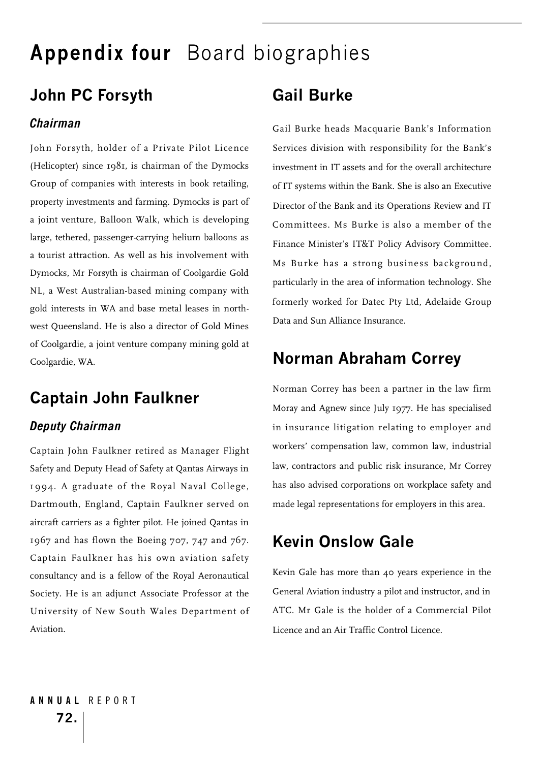# **Appendix four** Board biographies

# **John PC Forsyth**

## *C h a i r m a n*

John Forsyth, holder of a Private Pilot Licence (Helicopter) since 1981, is chairman of the Dymocks Group of companies with interests in book retailing, property investments and farming. Dymocks is part of a joint venture, Balloon Walk, which is developing large, tethered, passenger-carrying helium balloons as a tourist attraction. As well as his involvement with Dymocks, Mr Forsyth is chairman of Coolgardie Gold NL, a West Australian-based mining company with gold interests in WA and base metal leases in northwest Queensland. He is also a director of Gold Mines of Coolgardie, a joint venture company mining gold at Coolgardie, WA.

# **Captain John Faulkner**

## *Deputy Chairman*

Captain John Faulkner retired as Manager Flight Safety and Deputy Head of Safety at Qantas Airways in 1 994. A graduate of the Royal Naval College, Dartmouth, England, Captain Faulkner served on aircraft carriers as a fighter pilot. He joined Qantas in 1967 and has flown the Boeing 707, 747 and 767. Captain Faulkner has his own aviation safety consultancy and is a fellow of the Royal Aeronautical Society. He is an adjunct Associate Professor at the University of New South Wales Department of Aviation.

# **Gail Burke**

Gail Burke heads Macquarie Bank's Information Services division with responsibility for the Bank's investment in IT assets and for the overall architecture of IT systems within the Bank. She is also an Executive Director of the Bank and its Operations Review and IT Committees. Ms Burke is also a member of the Finance Minister's IT&T Policy Advisory Committee. Ms Burke has a strong business background, particularly in the area of information technology. She formerly worked for Datec Pty Ltd, Adelaide Group Data and Sun Alliance Insurance.

## **Norman Abraham Correy**

Norman Correy has been a partner in the law firm Moray and Agnew since July 1977. He has specialised in insurance litigation relating to employer and workers' compensation law, common law, industrial law, contractors and public risk insurance, Mr Correy has also advised corporations on workplace safety and made legal representations for employers in this area.

# **Kevin Onslow Gale**

Kevin Gale has more than 40 years experience in the General Aviation industry a pilot and instructor, and in ATC. Mr Gale is the holder of a Commercial Pilot Licence and an Air Traffic Control Licence.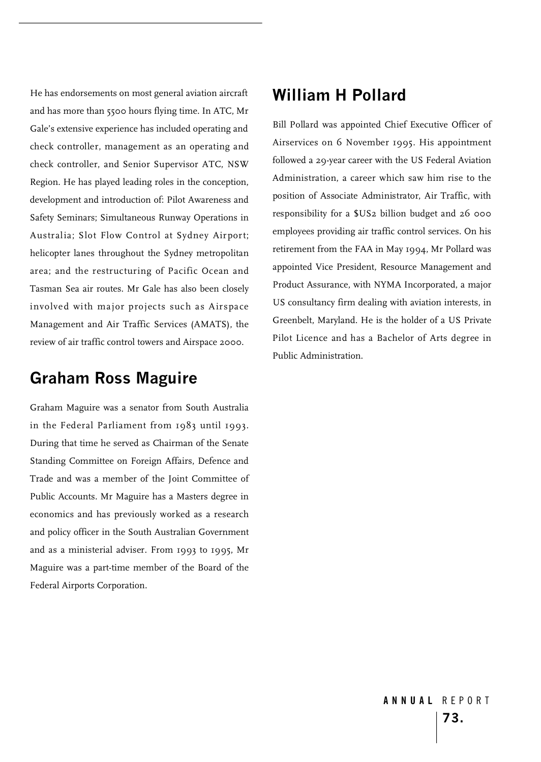He has endorsements on most general aviation aircraft and has more than 5500 hours flying time. In ATC, Mr Gale's extensive experience has included operating and check controller, management as an operating and check controller, and Senior Supervisor ATC, NSW Region. He has played leading roles in the conception, development and introduction of: Pilot Awareness and Safety Seminars; Simultaneous Runway Operations in Australia; Slot Flow Control at Sydney Airport; helicopter lanes throughout the Sydney metropolitan area; and the restructuring of Pacific Ocean and Tasman Sea air routes. Mr Gale has also been closely involved with major projects such as Airspace Management and Air Traffic Services (AMATS), the review of air traffic control towers and Airspace 2000.

# **Graham Ross Maguire**

Graham Maguire was a senator from South Australia in the Federal Parliament from 1983 until 1993. During that time he served as Chairman of the Senate Standing Committee on Foreign Affairs, Defence and Trade and was a member of the Joint Committee of Public Accounts. Mr Maguire has a Masters degree in economics and has previously worked as a research and policy officer in the South Australian Government and as a ministerial adviser. From 1993 to 1995, Mr Maguire was a part-time member of the Board of the Federal Airports Corporation.

# **William H Pollard**

Bill Pollard was appointed Chief Executive Officer of Airservices on 6 November 1995. His appointment followed a 29-year career with the US Federal Aviation Administration, a career which saw him rise to the position of Associate Administrator, Air Traffic, with responsibility for a \$US2 billion budget and 26 000 employees providing air traffic control services. On his retirement from the FAA in May 1994, Mr Pollard was appointed Vice President, Resource Management and Product Assurance, with NYMA Incorporated, a major US consultancy firm dealing with aviation interests, in Greenbelt, Maryland. He is the holder of a US Private Pilot Licence and has a Bachelor of Arts degree in Public Administration.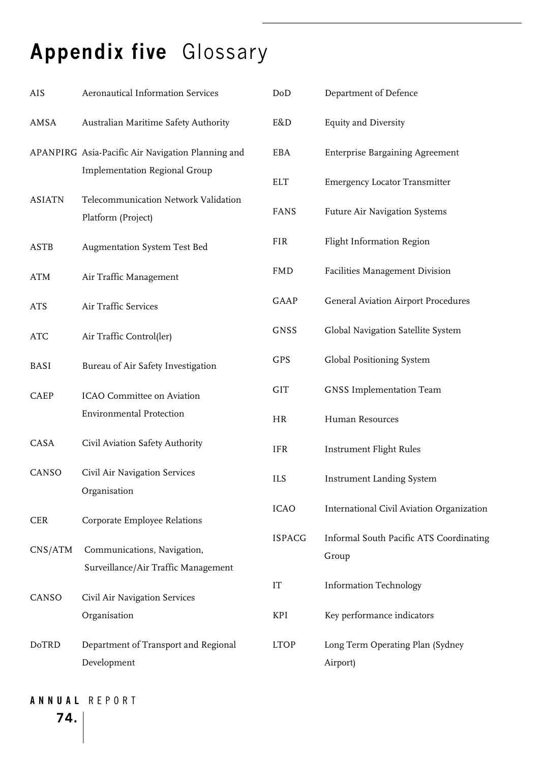# **Appendix five** Glossary

| AIS           | <b>Aeronautical Information Services</b>                           | DoD           | Department of Defence                            |
|---------------|--------------------------------------------------------------------|---------------|--------------------------------------------------|
| AMSA          | Australian Maritime Safety Authority                               | E&D           | Equity and Diversity                             |
|               | APANPIRG Asia-Pacific Air Navigation Planning and                  | EBA           | <b>Enterprise Bargaining Agreement</b>           |
|               | <b>Implementation Regional Group</b>                               | ELT           | <b>Emergency Locator Transmitter</b>             |
| <b>ASIATN</b> | Telecommunication Network Validation<br>Platform (Project)         | FANS          | Future Air Navigation Systems                    |
| ASTB          | Augmentation System Test Bed                                       | FIR           | Flight Information Region                        |
| ATM           | Air Traffic Management                                             | FMD           | Facilities Management Division                   |
| ATS           | Air Traffic Services                                               | GAAP          | <b>General Aviation Airport Procedures</b>       |
| <b>ATC</b>    | Air Traffic Control(ler)                                           | GNSS          | Global Navigation Satellite System               |
| BASI          | Bureau of Air Safety Investigation                                 | GPS           | Global Positioning System                        |
| CAEP          | ICAO Committee on Aviation                                         | GIT           | GNSS Implementation Team                         |
|               | Environmental Protection                                           | HR            | Human Resources                                  |
| CASA          | Civil Aviation Safety Authority                                    | <b>IFR</b>    | Instrument Flight Rules                          |
| CANSO         | Civil Air Navigation Services<br>Organisation                      | ILS           | <b>Instrument Landing System</b>                 |
| <b>CER</b>    | Corporate Employee Relations                                       | <b>ICAO</b>   | International Civil Aviation Organization        |
| CNS/ATM       | Communications, Navigation,<br>Surveillance/Air Traffic Management | <b>ISPACG</b> | Informal South Pacific ATS Coordinating<br>Group |
| CANSO         | Civil Air Navigation Services                                      | IT            | <b>Information Technology</b>                    |
|               | Organisation                                                       | KPI           | Key performance indicators                       |
| DoTRD         | Department of Transport and Regional<br>Development                | <b>LTOP</b>   | Long Term Operating Plan (Sydney<br>Airport)     |

**7 4.**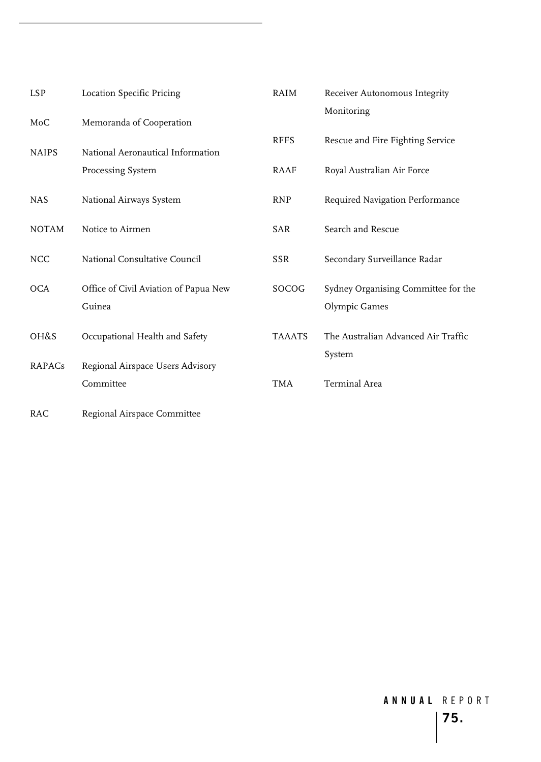| <b>LSP</b>   | Location Specific Pricing                       | RAIM          | Receiver Autonomous Integrity                        |
|--------------|-------------------------------------------------|---------------|------------------------------------------------------|
| MoC          | Memoranda of Cooperation                        |               | Monitoring                                           |
| <b>NAIPS</b> | National Aeronautical Information               | <b>RFFS</b>   | Rescue and Fire Fighting Service                     |
|              | Processing System                               | RAAF          | Royal Australian Air Force                           |
| <b>NAS</b>   | National Airways System                         | <b>RNP</b>    | Required Navigation Performance                      |
| <b>NOTAM</b> | Notice to Airmen                                | <b>SAR</b>    | Search and Rescue                                    |
| <b>NCC</b>   | National Consultative Council                   | <b>SSR</b>    | Secondary Surveillance Radar                         |
| <b>OCA</b>   | Office of Civil Aviation of Papua New<br>Guinea | SOCOG         | Sydney Organising Committee for the<br>Olympic Games |
| OH&S         | Occupational Health and Safety                  | <b>TAAATS</b> | The Australian Advanced Air Traffic<br>System        |
| RAPACs       | Regional Airspace Users Advisory                |               |                                                      |
|              | Committee                                       | <b>TMA</b>    | Terminal Area                                        |
|              |                                                 |               |                                                      |

RAC Regional Airspace Committee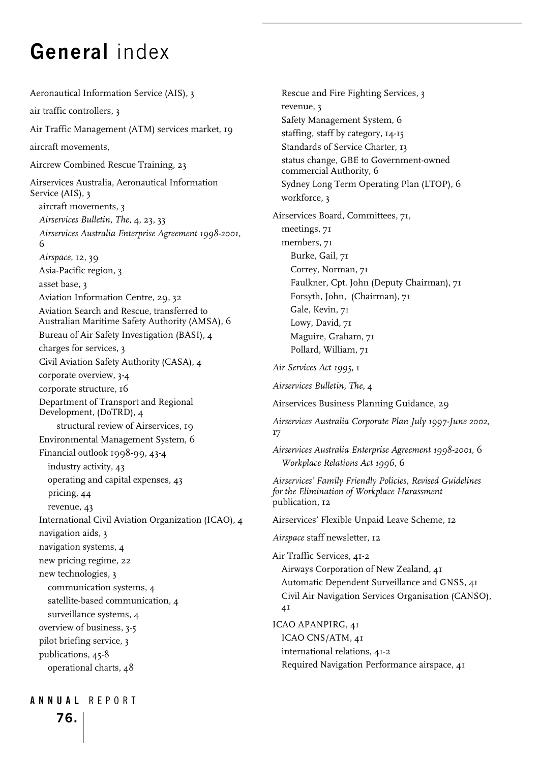# General index

Aeronautical Information Service (AIS), 3 air traffic controllers, 3 Air Traffic Management (ATM) services market, 19 aircraft movements, Aircrew Combined Rescue Training, 23 Airservices Australia, Aeronautical Information Service (AIS), 3 aircraft movements, 3 *Airservices Bulletin, The*, 4, 23, 33 *Airservices Australia Enterprise Agreement 1998-2001*, 6 *Airspace*, 12, 39 Asia-Pacific region, 3 asset base, 3 Aviation Information Centre, 29, 32 Aviation Search and Rescue, transferred to Australian Maritime Safety Authority (AMSA), 6 Bureau of Air Safety Investigation (BASI), 4 charges for services, 3 Civil Aviation Safety Authority (CASA), 4 corporate overview, 3-4 corporate structure, 16 Department of Transport and Regional Development, (DoTRD), 4 structural review of Airservices, 19 Environmental Management System, 6 Financial outlook 1998-99, 43-4 industry activity, 43 operating and capital expenses, 43 pricing, 44 revenue, 43 International Civil Aviation Organization (ICAO), 4 navigation aids, 3 navigation systems, 4 new pricing regime, 22 new technologies, 3 communication systems, 4 satellite-based communication, 4 surveillance systems, 4 overview of business, 3-5 pilot briefing service, 3 publications, 45-8 operational charts, 48

Rescue and Fire Fighting Services, 3 revenue, 3 Safety Management System, 6 staffing, staff by category, 14-15 Standards of Service Charter, 13 status change, GBE to Government-owned commercial Authority, 6 Sydney Long Term Operating Plan (LTOP), 6 workforce, 3 Airservices Board, Committees, 71, meetings, 71 members, 71 Burke, Gail, 71 Correy, Norman, 71 Faulkner, Cpt. John (Deputy Chairman), 71 Forsyth, John, (Chairman), 71 Gale, Kevin, 71 Lowy, David, 71 Maguire, Graham, 71 Pollard, William, 71 *Air Services Act 1995*, 1 *Airservices Bulletin, The*, 4 Airservices Business Planning Guidance, 29 *Airservices Australia Corporate Plan July 1997-June 2002*, 17 *Airservices Australia Enterprise Agreement 1998-2001*, 6 *Workplace Relations Act 1996*, 6 *Airservices' Family Friendly Policies, Revised Guidelines for the Elimination of Workplace Harassment* publication, 12 Airservices' Flexible Unpaid Leave Scheme, 12 *Airspace* staff newsletter, 12 Air Traffic Services, 41-2 Airways Corporation of New Zealand, 41 Automatic Dependent Surveillance and GNSS, 41 Civil Air Navigation Services Organisation (CANSO), 41 ICAO APANPIRG, 41 ICAO CNS/ATM, 41 international relations, 41-2 Required Navigation Performance airspace, 41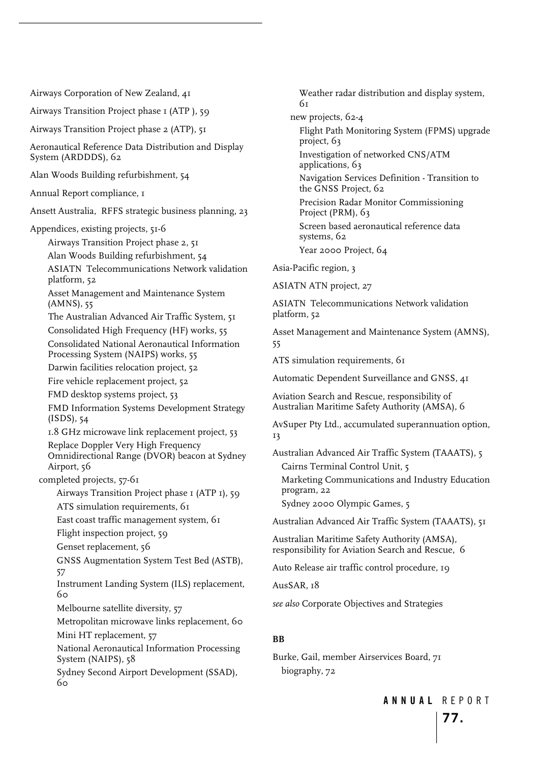Airways Corporation of New Zealand, 41

Airways Transition Project phase I (ATP), 59

Airways Transition Project phase 2 (ATP), 51

Aeronautical Reference Data Distribution and Display System (ARDDDS), 62

Alan Woods Building refurbishment, 54

Annual Report compliance, 1

Ansett Australia, RFFS strategic business planning, 23

Appendices, existing projects, 51-6

Airways Transition Project phase 2, 51 Alan Woods Building refurbishment, 54 ASIATN Telecommunications Network validation platform, 52

Asset Management and Maintenance System (AMNS), 55

The Australian Advanced Air Traffic System, 51 Consolidated High Frequency (HF) works, 55

Consolidated National Aeronautical Information Processing System (NAIPS) works, 55

Darwin facilities relocation project, 52

Fire vehicle replacement project, 52

FMD desktop systems project, 53

FMD Information Systems Development Strategy (ISDS), 54

1.8 GHz microwave link replacement project, 53

Replace Doppler Very High Frequency

Omnidirectional Range (DVOR) beacon at Sydney Airport, 56

completed projects, 57-61

Airways Transition Project phase I (ATP I), 59

ATS simulation requirements, 61

East coast traffic management system, 61

Flight inspection project, 59

Genset replacement, 56

GNSS Augmentation System Test Bed (ASTB), 57

Instrument Landing System (ILS) replacement, 60

Melbourne satellite diversity, 57

Metropolitan microwave links replacement, 60 Mini HT replacement, 57

National Aeronautical Information Processing System (NAIPS), 58

Sydney Second Airport Development (SSAD), 60

Weather radar distribution and display system, **61** 

new projects, 62-4

Flight Path Monitoring System (FPMS) upgrade project, 63

Investigation of networked CNS/ATM applications, 63

Navigation Services Definition - Transition to the GNSS Project, 62

Precision Radar Monitor Commissioning Project (PRM), 63 Screen based aeronautical reference data systems, 62

Year 2000 Project, 64

Asia-Pacific region, 3

ASIATN ATN project, 27

ASIATN Telecommunications Network validation platform, 52

Asset Management and Maintenance System (AMNS), 55

ATS simulation requirements, 61

Automatic Dependent Surveillance and GNSS, 41

Aviation Search and Rescue, responsibility of Australian Maritime Safety Authority (AMSA), 6

AvSuper Pty Ltd., accumulated superannuation option, 13

Australian Advanced Air Traffic System (TAAATS), 5 Cairns Terminal Control Unit, 5

Marketing Communications and Industry Education program, 22

Sydney 2000 Olympic Games, 5

Australian Advanced Air Traffic System (TAAATS), 51

Australian Maritime Safety Authority (AMSA), responsibility for Aviation Search and Rescue, 6

Auto Release air traffic control procedure, 19

AusSAR, 18

*see also* Corporate Objectives and Strategies

## **BB**

Burke, Gail, member Airservices Board, 71 biography, 72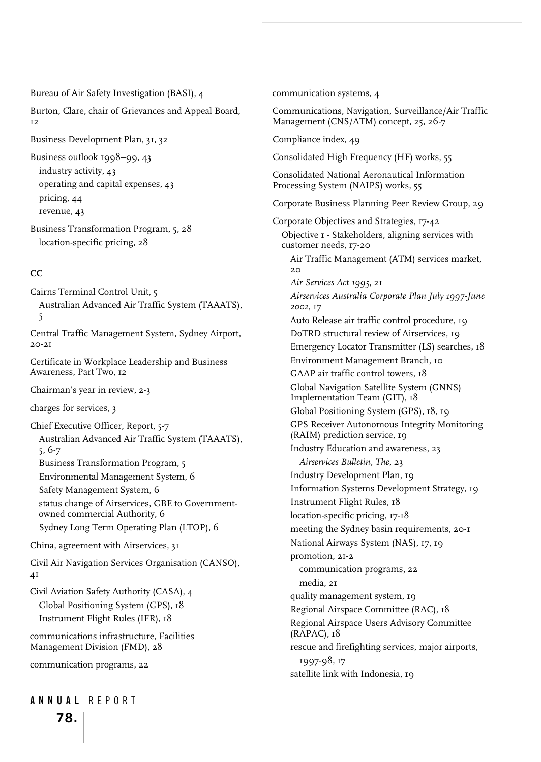Bureau of Air Safety Investigation (BASI), 4

Burton, Clare, chair of Grievances and Appeal Board, 12

Business Development Plan, 31, 32

Business outlook 1998–99, 43 industry activity, 43 operating and capital expenses, 43 pricing, 44 revenue, 43

Business Transformation Program, 5, 28 location-specific pricing, 28

## **CC**

Cairns Terminal Control Unit, 5 Australian Advanced Air Traffic System (TAAATS), 5

Central Traffic Management System, Sydney Airport, 20-21

Certificate in Workplace Leadership and Business Awareness, Part Two, 12

Chairman's year in review, 2-3

charges for services, 3

Chief Executive Officer, Report, 5-7 Australian Advanced Air Traffic System (TAAATS), 5, 6-7 Business Transformation Program, 5 Environmental Management System, 6 Safety Management System, 6 status change of Airservices, GBE to Governmentowned commercial Authority, 6 Sydney Long Term Operating Plan (LTOP), 6

China, agreement with Airservices, 31

Civil Air Navigation Services Organisation (CANSO), 41

Civil Aviation Safety Authority (CASA), 4 Global Positioning System (GPS), 18 Instrument Flight Rules (IFR), 18

communications infrastructure, Facilities Management Division (FMD), 28

communication programs, 22

**7 8.**

communication systems, 4 Communications, Navigation, Surveillance/Air Traffic Management (CNS/ATM) concept, 25, 26-7 Compliance index, 49 Consolidated High Frequency (HF) works, 55 Consolidated National Aeronautical Information Processing System (NAIPS) works, 55 Corporate Business Planning Peer Review Group, 29 Corporate Objectives and Strategies, 17-42 Objective 1 - Stakeholders, aligning services with customer needs, 17-20 Air Traffic Management (ATM) services market,  $20$ *Air Services Act 1995*, 21 *Airservices Australia Corporate Plan July 1997-June 2002*, 17 Auto Release air traffic control procedure, 19 DoTRD structural review of Airservices, 19 Emergency Locator Transmitter (LS) searches, 18 Environment Management Branch, 10 GAAP air traffic control towers,  $18$ Global Navigation Satellite System (GNNS) Implementation Team (GIT), 18 Global Positioning System (GPS), 18, 19 GPS Receiver Autonomous Integrity Monitoring (RAIM) prediction service, 19 Industry Education and awareness, 23 *Airservices Bulletin, The*, 23 Industry Development Plan, 19 Information Systems Development Strategy, 19 Instrument Flight Rules, 18 location-specific pricing, 17-18 meeting the Sydney basin requirements, 20-1 National Airways System (NAS), 17, 19 promotion, 21-2 communication programs, 22 media, 21 quality management system, 19 Regional Airspace Committee (RAC), 18 Regional Airspace Users Advisory Committee (RAPAC), 18 rescue and firefighting services, major airports, 1997-98, 17 satellite link with Indonesia, 19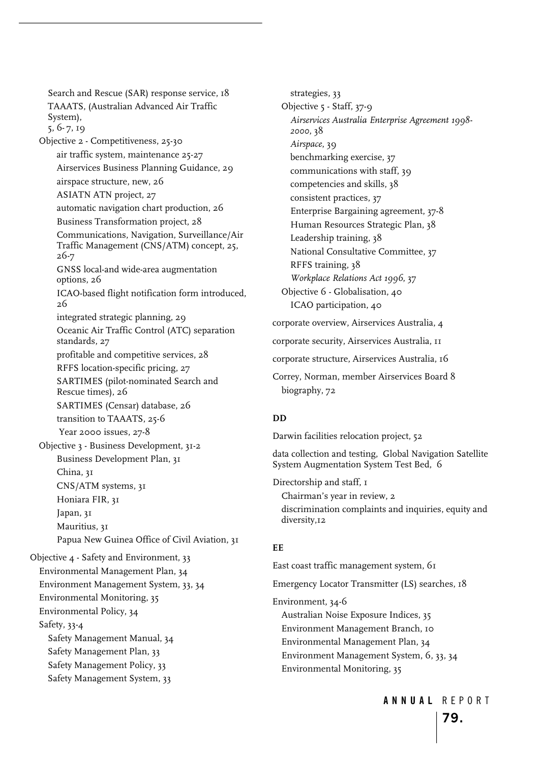Search and Rescue (SAR) response service, 18 TAAATS, (Australian Advanced Air Traffic System),  $5, 6 - 7, 19$ Objective 2 - Competitiveness, 25-30 air traffic system, maintenance 25-27 Airservices Business Planning Guidance, 29 airspace structure, new, 26 ASIATN ATN project, 27 automatic navigation chart production, 26 Business Transformation project, 28 Communications, Navigation, Surveillance/Air Traffic Management (CNS/ATM) concept, 25, 26-7 GNSS local-and wide-area augmentation options, 26 ICAO-based flight notification form introduced, 26 integrated strategic planning, 29 Oceanic Air Traffic Control (ATC) separation standards, 27 profitable and competitive services, 28 RFFS location-specific pricing, 27 SARTIMES (pilot-nominated Search and Rescue times), 26 SARTIMES (Censar) database, 26 transition to TAAATS, 25-6 Year 2000 issues, 27-8 Objective 3 - Business Development, 31-2 Business Development Plan, 31 China, 31 CNS/ATM systems, 31 Honiara FIR, 31 Japan, 31 Mauritius, 31 Papua New Guinea Office of Civil Aviation, 31 Objective 4 - Safety and Environment, 33 Environmental Management Plan, 34 Environment Management System, 33, 34 Environmental Monitoring, 35 Environmental Policy, 34 Safety, 33-4 Safety Management Manual, 34 Safety Management Plan, 33 Safety Management Policy, 33 Safety Management System, 33

strategies, 33 Objective 5 - Staff, 37-9 *Airservices Australia Enterprise Agreement 1998- 2000*, 38 *Airspace*, 39 benchmarking exercise, 37 communications with staff, 39 competencies and skills, 38 consistent practices, 37 Enterprise Bargaining agreement, 37-8 Human Resources Strategic Plan, 38 Leadership training, 38 National Consultative Committee, 37 RFFS training, 38 *Workplace Relations Act 1996*, 37 Objective 6 - Globalisation, 40 ICAO participation, 40 corporate overview, Airservices Australia, 4 corporate security, Airservices Australia, 11 corporate structure, Airservices Australia, 16 Correy, Norman, member Airservices Board 8 biography, 72

## **DD**

Darwin facilities relocation project, 52

data collection and testing, Global Navigation Satellite System Augmentation System Test Bed, 6

Directorship and staff, 1 Chairman's year in review, 2 discrimination complaints and inquiries, equity and diversity,12

#### **EE**

East coast traffic management system, 61

Emergency Locator Transmitter (LS) searches, 18

Environment, 34-6 Australian Noise Exposure Indices, 35 Environment Management Branch, 10 Environmental Management Plan, 34 Environment Management System, 6, 33, 34 Environmental Monitoring, 35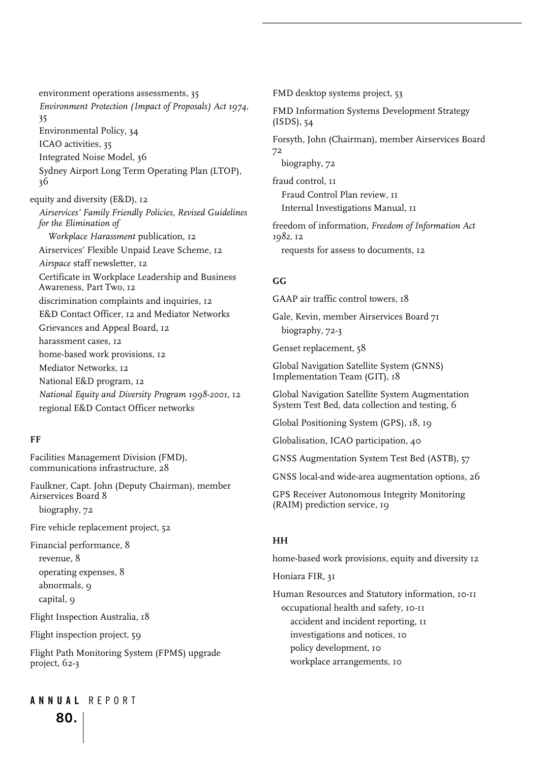environment operations assessments, 35 *Environment Protection (Impact of Proposals) Act 1974*, 35 Environmental Policy, 34 ICAO activities, 35 Integrated Noise Model, 36 Sydney Airport Long Term Operating Plan (LTOP), 36 equity and diversity (E&D), 12 *Airservices' Family Friendly Policies, Revised Guidelines for the Elimination of Workplace Harassment* publication, 12 Airservices' Flexible Unpaid Leave Scheme, 12 *Airspace* staff newsletter, 12 Certificate in Workplace Leadership and Business Awareness, Part Two, 12 discrimination complaints and inquiries, 12 E&D Contact Officer, 12 and Mediator Networks Grievances and Appeal Board, 12 harassment cases, 12 home-based work provisions, 12 Mediator Networks, 12 National E&D program, 12 *National Equity and Diversity Program 1998-2001*, 12 regional E&D Contact Officer networks

## **FF**

Facilities Management Division (FMD), communications infrastructure, 28

Faulkner, Capt. John (Deputy Chairman), member Airservices Board 8 biography, 72

Fire vehicle replacement project, 52

Financial performance, 8 revenue, 8 operating expenses, 8 abnormals, 9 capital, 9

Flight Inspection Australia, 18

Flight inspection project, 59

Flight Path Monitoring System (FPMS) upgrade project, 62-3

**8 0.**

FMD desktop systems project, 53

FMD Information Systems Development Strategy (ISDS), 54

Forsyth, John (Chairman), member Airservices Board 72

biography, 72

fraud control, 11 Fraud Control Plan review, 11 Internal Investigations Manual, 11

freedom of information, *Freedom of Information Act 1982*, 12 requests for assess to documents, 12

## **GG**

GAAP air traffic control towers, 18

Gale, Kevin, member Airservices Board 71 biography, 72-3

Genset replacement, 58

Global Navigation Satellite System (GNNS) Implementation Team (GIT), 18

Global Navigation Satellite System Augmentation System Test Bed, data collection and testing, 6

Global Positioning System (GPS), 18, 19

Globalisation, ICAO participation, 40

GNSS Augmentation System Test Bed (ASTB), 57

GNSS local-and wide-area augmentation options, 26

GPS Receiver Autonomous Integrity Monitoring (RAIM) prediction service, 19

#### **HH**

home-based work provisions, equity and diversity 12

Honiara FIR, 31

Human Resources and Statutory information, 10-11 occupational health and safety, 10-11 accident and incident reporting, 11 investigations and notices, 10 policy development, 10 workplace arrangements, 10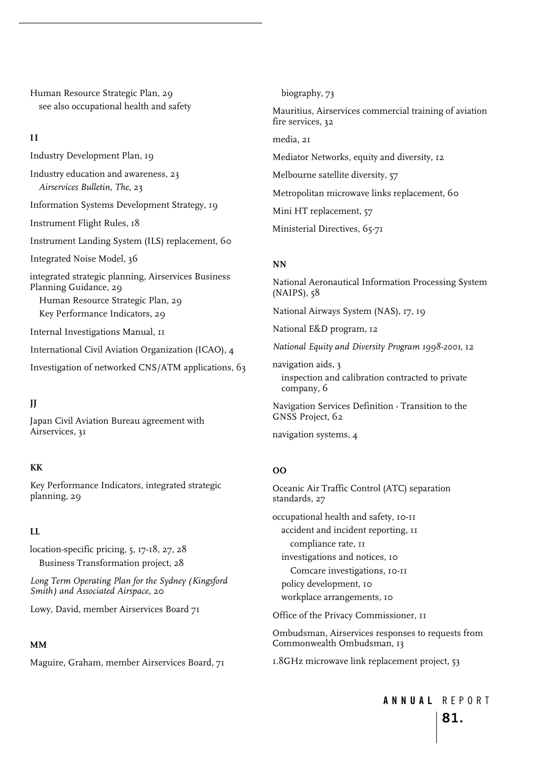Human Resource Strategic Plan, 29 see also occupational health and safety

## **II**

Industry Development Plan, 19 Industry education and awareness, 23 *Airservices Bulletin, The*, 23 Information Systems Development Strategy, 19 Instrument Flight Rules, 18 Instrument Landing System (ILS) replacement, 60 Integrated Noise Model, 36 integrated strategic planning, Airservices Business Planning Guidance, 29 Human Resource Strategic Plan, 29 Key Performance Indicators, 29 Internal Investigations Manual, 11 International Civil Aviation Organization (ICAO), 4 Investigation of networked CNS/ATM applications, 63

## **JJ**

Japan Civil Aviation Bureau agreement with Airservices, 31

## **KK**

Key Performance Indicators, integrated strategic planning, 29

## **LL**

location-specific pricing, 5, 17-18, 27, 28 Business Transformation project, 28

*Long Term Operating Plan for the Sydney (Kingsford Smith) and Associated Airspace*, 20

Lowy, David, member Airservices Board 71

## **MM**

Maguire, Graham, member Airservices Board, 71

biography, 73 Mauritius, Airservices commercial training of aviation fire services, 32 media, 21 Mediator Networks, equity and diversity, 12 Melbourne satellite diversity, 57 Metropolitan microwave links replacement, 60 Mini HT replacement, 57 Ministerial Directives, 65-71

## **NN**

National Aeronautical Information Processing System (NAIPS), 58 National Airways System (NAS), 17, 19

National E&D program, 12

*National Equity and Diversity Program 1998-2001*, 12

navigation aids, 3 inspection and calibration contracted to private company, 6

Navigation Services Definition - Transition to the GNSS Project, 62

navigation systems, 4

## **OO**

Oceanic Air Traffic Control (ATC) separation standards, 27 occupational health and safety, 10-11 accident and incident reporting, 11 compliance rate, 11 investigations and notices, 10 Comcare investigations, 10-11 policy development, 10 workplace arrangements, 10 Office of the Privacy Commissioner, 11

Ombudsman, Airservices responses to requests from Commonwealth Ombudsman, 13

1.8GHz microwave link replacement project, 53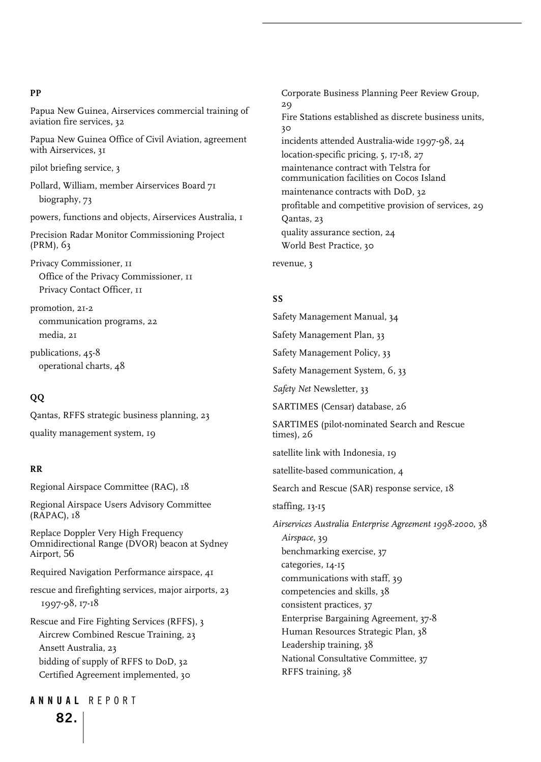#### **PP**

Papua New Guinea, Airservices commercial training of aviation fire services, 32

Papua New Guinea Office of Civil Aviation, agreement with Airservices, 31

pilot briefing service, 3

Pollard, William, member Airservices Board 71 biography, 73

powers, functions and objects, Airservices Australia, 1

Precision Radar Monitor Commissioning Project (PRM), 63

Privacy Commissioner, 11 Office of the Privacy Commissioner, 11 Privacy Contact Officer, 11

promotion, 21-2 communication programs, 22 media, 21

publications, 45-8 operational charts, 48

## **QQ**

Qantas, RFFS strategic business planning, 23 quality management system, 19

## **RR**

Regional Airspace Committee (RAC), 18

Regional Airspace Users Advisory Committee  $(RAPAC)$ ,  $18$ 

Replace Doppler Very High Frequency Omnidirectional Range (DVOR) beacon at Sydney Airport, 56

Required Navigation Performance airspace, 41

rescue and firefighting services, major airports, 23 1997-98, 17-18

Rescue and Fire Fighting Services (RFFS), 3 Aircrew Combined Rescue Training, 23 Ansett Australia, 23 bidding of supply of RFFS to DoD, 32 Certified Agreement implemented, 30

**A N N U A L** R E P O R T

Corporate Business Planning Peer Review Group, 29 Fire Stations established as discrete business units, 30 incidents attended Australia-wide 1997-98, 24 location-specific pricing, 5, 17-18, 27 maintenance contract with Telstra for communication facilities on Cocos Island maintenance contracts with DoD, 32 profitable and competitive provision of services, 29 Qantas, 23 quality assurance section, 24 World Best Practice, 30 revenue, 3

## **SS**

Safety Management Manual, 34 Safety Management Plan, 33 Safety Management Policy, 33 Safety Management System, 6, 33 *Safety Net* Newsletter, 33 SARTIMES (Censar) database, 26 SARTIMES (pilot-nominated Search and Rescue times), 26 satellite link with Indonesia, 19 satellite-based communication, 4 Search and Rescue (SAR) response service, 18 staffing, 13-15 *Airservices Australia Enterprise Agreement 1998-2000*, 38 *Airspace*, 39 benchmarking exercise, 37 categories, 14-15 communications with staff, 39 competencies and skills, 38 consistent practices, 37 Enterprise Bargaining Agreement, 37-8 Human Resources Strategic Plan, 38 Leadership training, 38 National Consultative Committee, 37 RFFS training, 38

**8 2.**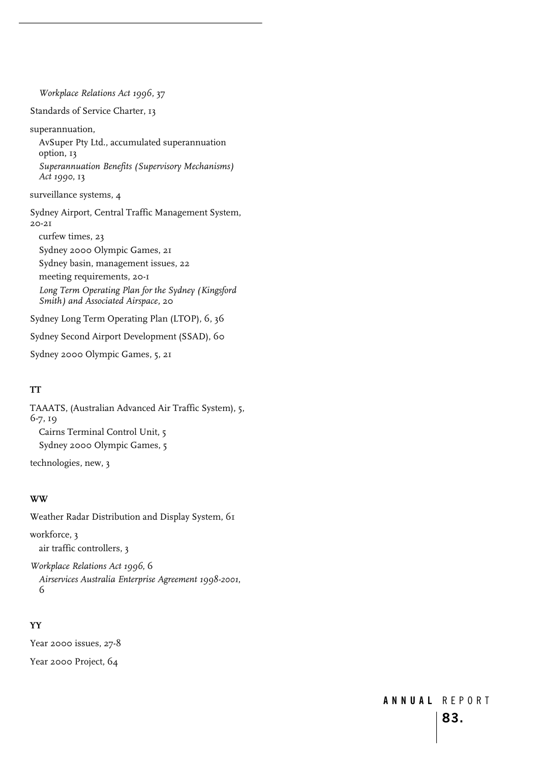*Workplace Relations Act 1996*, 37 Standards of Service Charter, 13 superannuation, AvSuper Pty Ltd., accumulated superannuation option, 13 *Superannuation Benefits (Supervisory Mechanisms) Act 1990*, 13 surveillance systems, 4 Sydney Airport, Central Traffic Management System, 20-21 curfew times, 23 Sydney 2000 Olympic Games, 21 Sydney basin, management issues, 22 meeting requirements, 20-1 *Long Term Operating Plan for the Sydney (Kingsford Smith) and Associated Airspace*, 20 Sydney Long Term Operating Plan (LTOP), 6, 36 Sydney Second Airport Development (SSAD), 60

Sydney 2000 Olympic Games, 5, 21

## **TT**

TAAATS, (Australian Advanced Air Traffic System), 5, 6-7, 19 Cairns Terminal Control Unit, 5 Sydney 2000 Olympic Games, 5

technologies, new, 3

## **WW**

Weather Radar Distribution and Display System, 61

workforce, 3

air traffic controllers, 3

*Workplace Relations Act 1996*, 6 *Airservices Australia Enterprise Agreement 1998-2001*, 6

## **YY**

Year 2000 issues, 27-8

Year 2000 Project, 64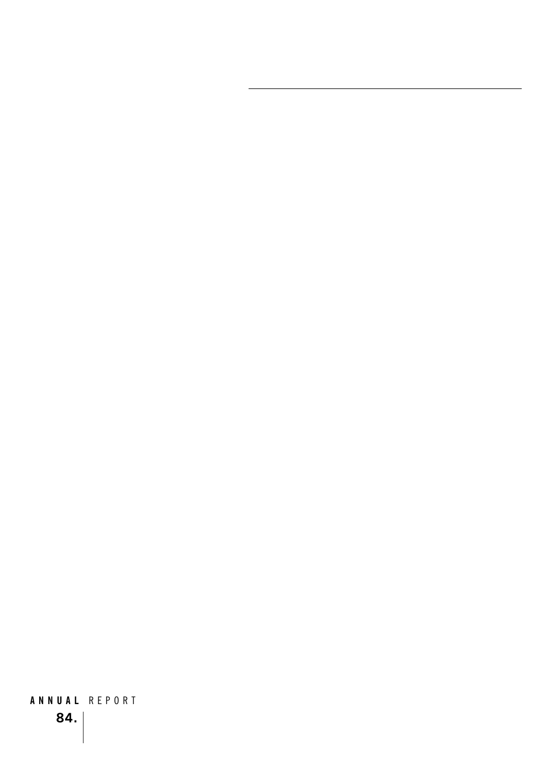## **A N N U A L** R E P O R T

**8 4.**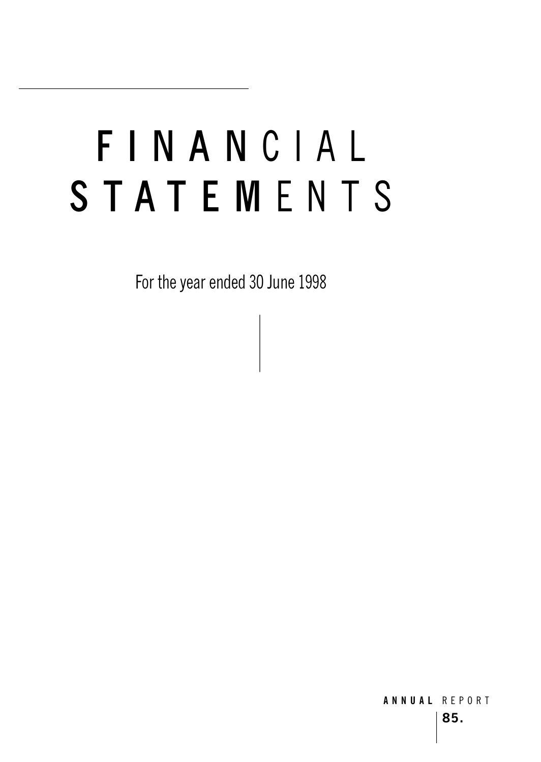# **F I N A N** C I A L **S T A T E M** E N T S

For the year ended 30 June 1998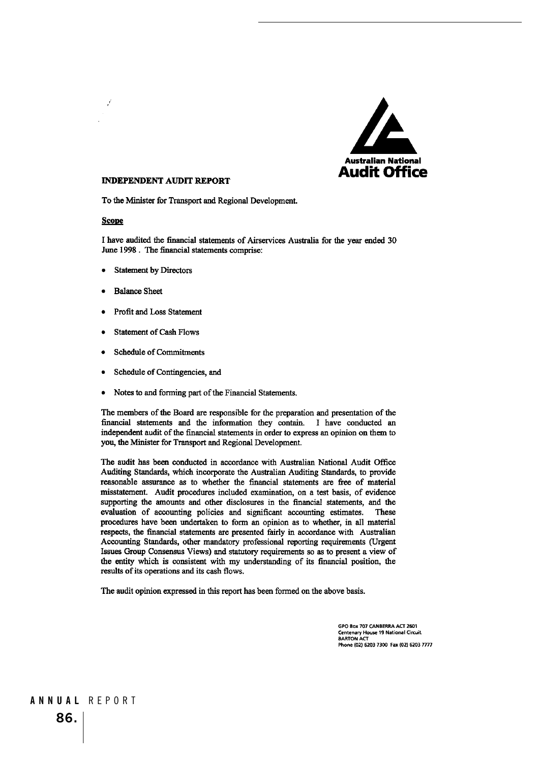

#### **INDEPENDENT AUDIT REPORT**

To the Minister for Transport and Regional Development.

#### **Scope**

I have audited the financial statements of Airservices Australia for the year ended 30 June 1998. The financial statements comprise:

- **Statement by Directors**
- **Balance Sheet**
- Profit and Loss Statement
- **Statement of Cash Flows**
- Schedule of Commitments
- Schedule of Contingencies, and
- Notes to and forming part of the Financial Statements.

The members of the Board are responsible for the preparation and presentation of the financial statements and the information they contain. I have conducted an independent audit of the financial statements in order to express an opinion on them to you, the Minister for Transport and Regional Development.

The audit has been conducted in accordance with Australian National Audit Office Auditing Standards, which incorporate the Australian Auditing Standards, to provide reasonable assurance as to whether the financial statements are free of material misstatement. Audit procedures included examination, on a test basis, of evidence supporting the amounts and other disclosures in the financial statements, and the evaluation of accounting policies and significant accounting estimates. These procedures have been undertaken to form an opinion as to whether, in all material respects, the financial statements are presented fairly in accordance with Australian Accounting Standards, other mandatory professional reporting requirements (Urgent Issues Group Consensus Views) and statutory requirements so as to present a view of the entity which is consistent with my understanding of its financial position, the results of its operations and its cash flows.

The audit opinion expressed in this report has been formed on the above basis.

GPO Box 707 CANBERRA ACT 2601 Centenary House 19 National Circuit Phone (02) 6203 7300 Fax (02) 6203 7777

**ANNUAL REPORT** 

86.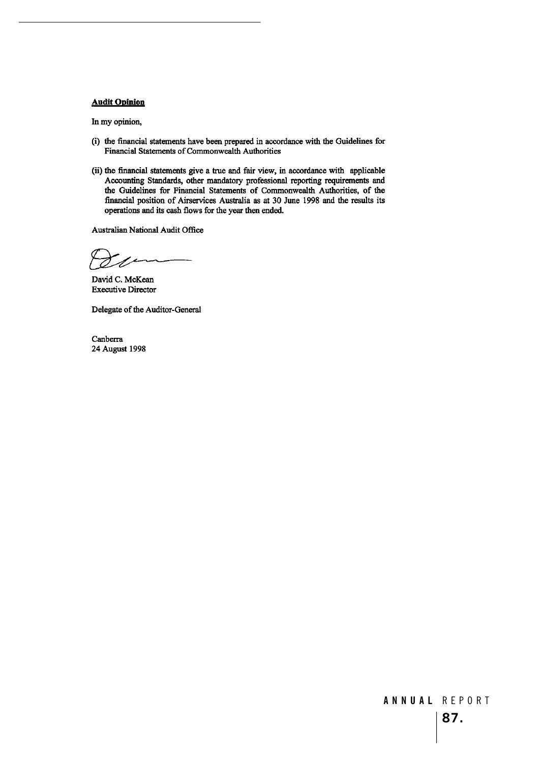#### **Audit Opinion**

In my opinion,

- (i) the financial statements have been prepared in accordance with the Guidelines for Financial Statements of Commonwealth Authorities
- (ii) the financial statements give a true and fair view, in accordance with applicable Accounting Standards, other mandatory professional reporting requirements and the Guidelines for Financial Statements of Commonwealth Authorities, of the financial position of Airservices Australia as at 30 June 1998 and the results its operations and its cash flows for the year then ended.

Australian National Audit Office

David C. McKean **Executive Director** 

Delegate of the Auditor-General

Canberra 24 August 1998

## **ANNUAL REPORT**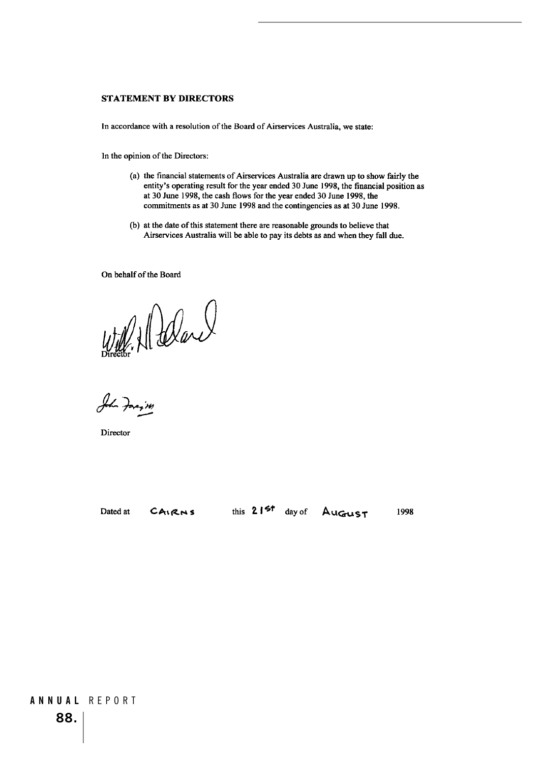#### **STATEMENT BY DIRECTORS**

In accordance with a resolution of the Board of Airservices Australia, we state:

In the opinion of the Directors:

- (a) the financial statements of Airservices Australia are drawn up to show fairly the entity's operating result for the year ended 30 June 1998, the financial position as at 30 June 1998, the cash flows for the year ended 30 June 1998, the commitments as at 30 June 1998 and the contingencies as at 30 June 1998.
- (b) at the date of this statement there are reasonable grounds to believe that Airservices Australia will be able to pay its debts as and when they fall due.

On behalf of the Board

Will Dave

John Jones 14

Director

Dated at

CAIRNS

this 21st day of August

1998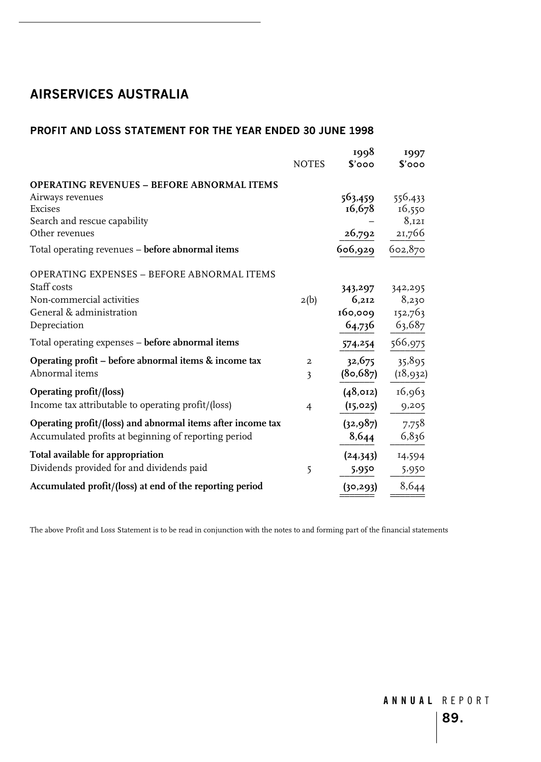## **PROFIT AND LOSS STATEMENT FOR THE YEAR ENDED 30 JUNE 1998**

|                                                             | <b>NOTES</b>   | 1998<br>$S'$ 000 | 1997<br>$\mathbf{\hat{S}}$ 000 |
|-------------------------------------------------------------|----------------|------------------|--------------------------------|
| <b>OPERATING REVENUES - BEFORE ABNORMAL ITEMS</b>           |                |                  |                                |
| Airways revenues                                            |                | 563,459          | 556,433                        |
| Excises                                                     |                | 16,678           | 16,550                         |
| Search and rescue capability                                |                |                  | 8,121                          |
| Other revenues                                              |                | 26,792           | 21,766                         |
| Total operating revenues - before abnormal items            |                | 606,929          | 602,870                        |
| OPERATING EXPENSES - BEFORE ABNORMAL ITEMS                  |                |                  |                                |
| Staff costs                                                 |                | 343,297          | 342,295                        |
| Non-commercial activities                                   | 2(b)           | 6,212            | 8,230                          |
| General & administration                                    |                | 160,009          | 152,763                        |
| Depreciation                                                |                | 64,736           | 63,687                         |
| Total operating expenses - before abnormal items            |                | 574,254          | 566,975                        |
| Operating profit - before abnormal items & income tax       | $\overline{a}$ | 32,675           | 35,895                         |
| Abnormal items                                              | 3              | (80, 687)        | (18, 932)                      |
| Operating profit/(loss)                                     |                | (48,012)         | 16,963                         |
| Income tax attributable to operating profit/(loss)          | $\overline{4}$ | (15, 025)        | 9,205                          |
| Operating profit/(loss) and abnormal items after income tax |                | (32,987)         | 7,758                          |
| Accumulated profits at beginning of reporting period        |                | 8,644            | 6,836                          |
| Total available for appropriation                           |                | (24,343)         | 14,594                         |
| Dividends provided for and dividends paid                   | 5              | 5,950            | 5,950                          |
| Accumulated profit/(loss) at end of the reporting period    |                | (30, 293)        | 8,644                          |

The above Profit and Loss Statement is to be read in conjunction with the notes to and forming part of the financial statements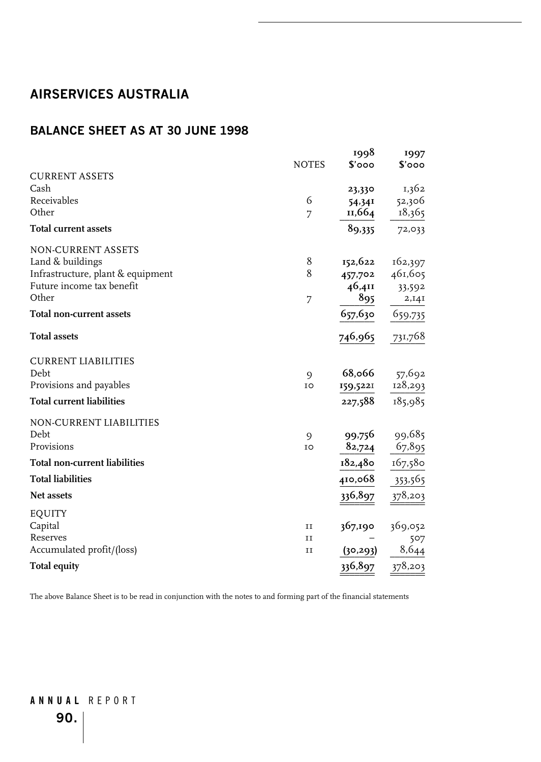## **BALANCE SHEET AS AT 30 JUNE 1998**

|                                   |                | 1998             | 1997              |
|-----------------------------------|----------------|------------------|-------------------|
|                                   | <b>NOTES</b>   | $$'$ 000         | $\mathsf{S}'$ 000 |
| <b>CURRENT ASSETS</b>             |                |                  |                   |
| Cash                              |                | 23,330           | 1,362             |
| Receivables<br>Other              | 6              | 54,341<br>II,664 | 52,306<br>18,365  |
|                                   | 7              |                  |                   |
| Total current assets              |                | 89,335           | 72,033            |
| NON-CURRENT ASSETS                |                |                  |                   |
| Land & buildings                  | 8              | 152,622          | 162,397           |
| Infrastructure, plant & equipment | 8              | 457,702          | 461,605           |
| Future income tax benefit         |                | 46,411           | 33,592            |
| Other                             | 7              | 895              | $2,141$           |
| Total non-current assets          |                | 657,630          | 659,735           |
| <b>Total assets</b>               |                | 746,965          | 731,768           |
| <b>CURRENT LIABILITIES</b>        |                |                  |                   |
| Debt                              | 9              | 68,066           | 57,692            |
| Provisions and payables           | IO             | 159,5221         | 128,293           |
| <b>Total current liabilities</b>  |                | 227,588          | 185,985           |
| NON-CURRENT LIABILITIES           |                |                  |                   |
| Debt                              | $\overline{9}$ | 99,756           | 99,685            |
| Provisions                        | IO             | 82,724           | 67,895            |
| Total non-current liabilities     |                | 182,480          | 167,580           |
| <b>Total liabilities</b>          |                | 410,068          | 353,565           |
| Net assets                        |                | 336,897          | 378,203           |
| EQUITY                            |                |                  |                   |
| Capital                           | $_{II}$        | 367,190          | 369,052           |
| Reserves                          | и              |                  | 507               |
| Accumulated profit/(loss)         | II             | (30, 293)        | 8,644             |
| <b>Total equity</b>               |                | 336,897          | 378,203           |

The above Balance Sheet is to be read in conjunction with the notes to and forming part of the financial statements

**A N N U A L** R E P O R T

**9 0.**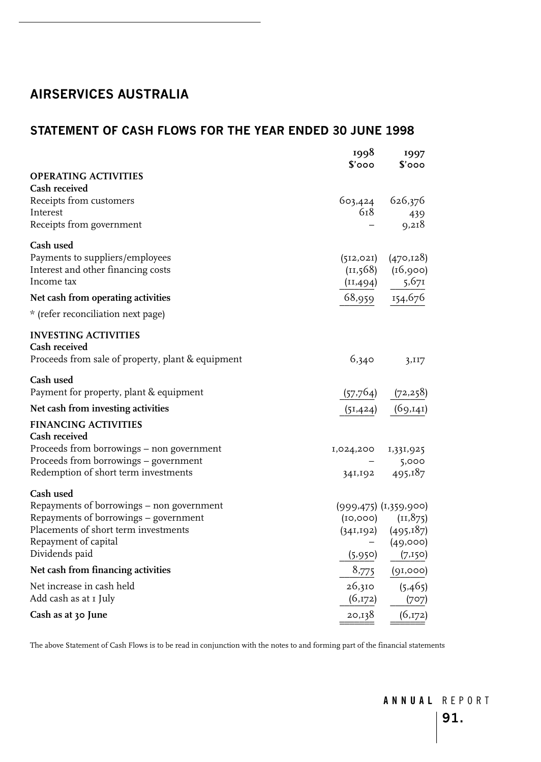## **STATEMENT OF CASH FLOWS FOR THE YEAR ENDED 30 JUNE 1998**

|                                                   | 1998<br>$\mathsf{S}'$ 000 | 1997<br>$s'$ ooo          |
|---------------------------------------------------|---------------------------|---------------------------|
| <b>OPERATING ACTIVITIES</b>                       |                           |                           |
| Cash received                                     |                           |                           |
| Receipts from customers                           |                           | 603,424 626,376           |
| Interest                                          | 618                       | 439                       |
| Receipts from government                          |                           | 9,218                     |
| Cash used                                         |                           |                           |
| Payments to suppliers/employees                   |                           | $(512,021)$ $(470,128)$   |
| Interest and other financing costs                |                           | $(11,568)$ $(16,900)$     |
| Income tax                                        |                           | $(II, 494)$ 5,671         |
| Net cash from operating activities                |                           | 68,959 154,676            |
| * (refer reconciliation next page)                |                           |                           |
| <b>INVESTING ACTIVITIES</b>                       |                           |                           |
| Cash received                                     |                           |                           |
| Proceeds from sale of property, plant & equipment | 6,340                     | 3,117                     |
| Cash used                                         |                           |                           |
| Payment for property, plant & equipment           | (57, 764)                 | (72, 258)                 |
| Net cash from investing activities                | (51, 424)                 | (69,141)                  |
| <b>FINANCING ACTIVITIES</b>                       |                           |                           |
| <b>Cash received</b>                              |                           |                           |
| Proceeds from borrowings - non government         | 1,024,200 1,331,925       |                           |
| Proceeds from borrowings - government             |                           | 5,000                     |
| Redemption of short term investments              | 341,192                   | 495,187                   |
| Cash used                                         |                           |                           |
| Repayments of borrowings - non government         |                           | $(999.475)$ $(1,359.900)$ |
| Repayments of borrowings - government             |                           | $(10,000)$ $(11,875)$     |
| Placements of short term investments              | (341,192)                 | (495,187)                 |
| Repayment of capital                              |                           | (49,000)                  |
| Dividends paid                                    | (5.950)                   | (7,150)                   |
| Net cash from financing activities                | 8,775                     | (91,000)                  |
| Net increase in cash held                         | 26,310                    | (5.465)                   |
| Add cash as at 1 July                             | (6,172)                   | (707)                     |
| Cash as at 30 June                                | 20,138                    | (6,172)                   |

The above Statement of Cash Flows is to be read in conjunction with the notes to and forming part of the financial statements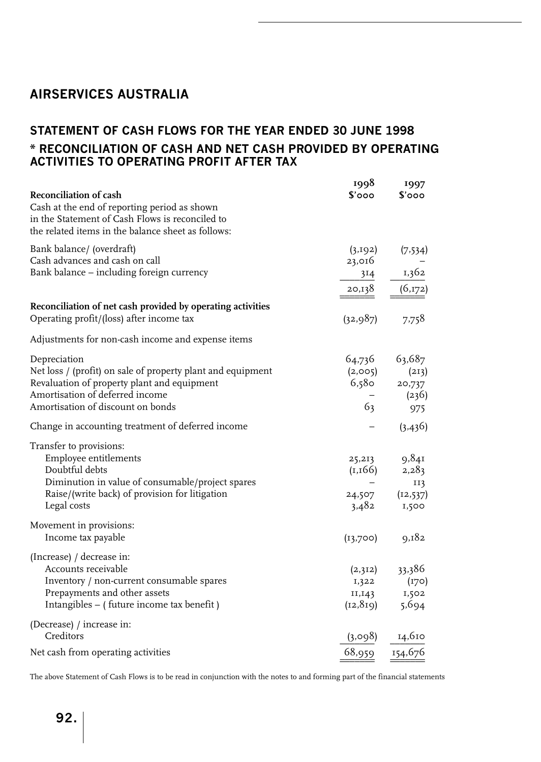## **STATEMENT OF CASH FLOWS FOR THE YEAR ENDED 30 JUNE 1998 \* RECONCILIATION OF CASH AND NET CASH PROVIDED BY OPERATING ACTIVITIES TO OPERATING PROFIT AFTER TAX**

| Reconciliation of cash<br>Cash at the end of reporting period as shown<br>in the Statement of Cash Flows is reconciled to                                                                          | 1998<br>$$'$ 000                         | 1997<br>$$'$ 000                                  |
|----------------------------------------------------------------------------------------------------------------------------------------------------------------------------------------------------|------------------------------------------|---------------------------------------------------|
| the related items in the balance sheet as follows:                                                                                                                                                 |                                          |                                                   |
| Bank balance/ (overdraft)<br>Cash advances and cash on call                                                                                                                                        | (3,192)<br>23,016                        | (7, 534)                                          |
| Bank balance - including foreign currency                                                                                                                                                          | $3^{14}$                                 | 1,362                                             |
|                                                                                                                                                                                                    | $\frac{20,138}{2}$                       | (6,172)                                           |
| Reconciliation of net cash provided by operating activities<br>Operating profit/(loss) after income tax                                                                                            | (32,987)                                 | 7,758                                             |
| Adjustments for non-cash income and expense items                                                                                                                                                  |                                          |                                                   |
| Depreciation<br>Net loss / (profit) on sale of property plant and equipment<br>Revaluation of property plant and equipment<br>Amortisation of deferred income<br>Amortisation of discount on bonds | 64,736<br>(2,005)<br>6,580<br>63         | 63,687<br>(213)<br>20,737<br>(236)<br>975         |
| Change in accounting treatment of deferred income                                                                                                                                                  |                                          | (3,436)                                           |
| Transfer to provisions:<br>Employee entitlements<br>Doubtful debts<br>Diminution in value of consumable/project spares<br>Raise/(write back) of provision for litigation<br>Legal costs            | 25,213<br>(1,166)<br>24,507<br>3,482     | 9,841<br>2,283<br>II3<br>(12, 537)<br>1,500       |
| Movement in provisions:<br>Income tax payable                                                                                                                                                      | (13,700)                                 | 9,182                                             |
| (Increase) / decrease in:<br>Accounts receivable<br>Inventory / non-current consumable spares<br>Prepayments and other assets<br>Intangibles - (future income tax benefit)                         | (2,312)<br>1,322<br>II, I43<br>(12, 819) | 33,386<br>(I70)<br>1,502<br>5,694                 |
| (Decrease) / increase in:<br>Creditors                                                                                                                                                             | (3.098)                                  |                                                   |
| Net cash from operating activities                                                                                                                                                                 |                                          | $\frac{(3,008)}{68,959}$ $\frac{14,610}{154,676}$ |

The above Statement of Cash Flows is to be read in conjunction with the notes to and forming part of the financial statements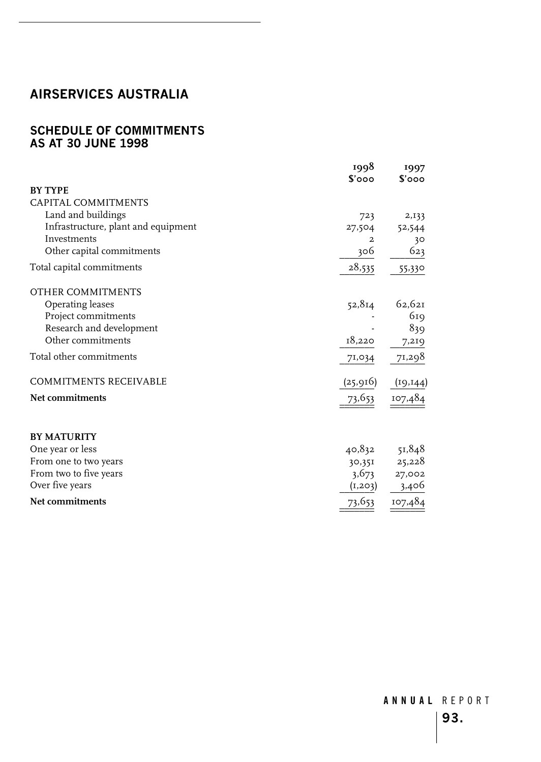## **SCHEDULE OF COMMITMENTS AS AT 30 JUNE 1998**

|                                     | 1998<br>$S'$ 000 | 1997<br>$\mathbf{\hat{S}}$ 000 |
|-------------------------------------|------------------|--------------------------------|
| <b>BY TYPE</b>                      |                  |                                |
| CAPITAL COMMITMENTS                 |                  |                                |
| Land and buildings                  | 723              | 2,133                          |
| Infrastructure, plant and equipment | 27,504           | 52,544                         |
| Investments                         |                  | 30                             |
| Other capital commitments           | 306              | 623                            |
| Total capital commitments           | 28,535           | 55,330                         |
| OTHER COMMITMENTS                   |                  |                                |
| Operating leases                    | 52,814           | 62,621                         |
| Project commitments                 |                  | 619                            |
| Research and development            |                  | 839                            |
| Other commitments                   | 18,220           | 7,219                          |
| Total other commitments             | 71,034           | 71,298                         |
| <b>COMMITMENTS RECEIVABLE</b>       | (25,916)         | (19, 144)                      |
| Net commitments                     | 73,653           | 107,484                        |
| <b>BY MATURITY</b>                  |                  |                                |
| One year or less                    | 40,832           | 51,848                         |
| From one to two years               | 30,351           | 25,228                         |
| From two to five years              | 3,673            | 27,002                         |
| Over five years                     |                  | $(1,203)$ 3,406                |
| Net commitments                     | 73,653           | 107,484                        |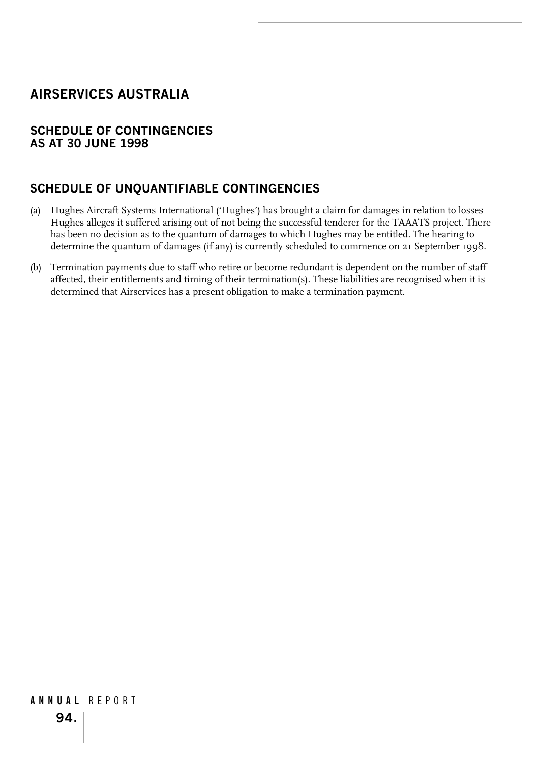## **SCHEDULE OF CONTINGENCIES AS AT 30 JUNE 1998**

## **SCHEDULE OF UNQUANTIFIABLE CONTINGENCIES**

- (a) Hughes Aircraft Systems International ('Hughes') has brought a claim for damages in relation to losses Hughes alleges it suffered arising out of not being the successful tenderer for the TAAATS project. There has been no decision as to the quantum of damages to which Hughes may be entitled. The hearing to determine the quantum of damages (if any) is currently scheduled to commence on 21 September 1998.
- (b) Termination payments due to staff who retire or become redundant is dependent on the number of staff affected, their entitlements and timing of their termination(s). These liabilities are recognised when it is determined that Airservices has a present obligation to make a termination payment.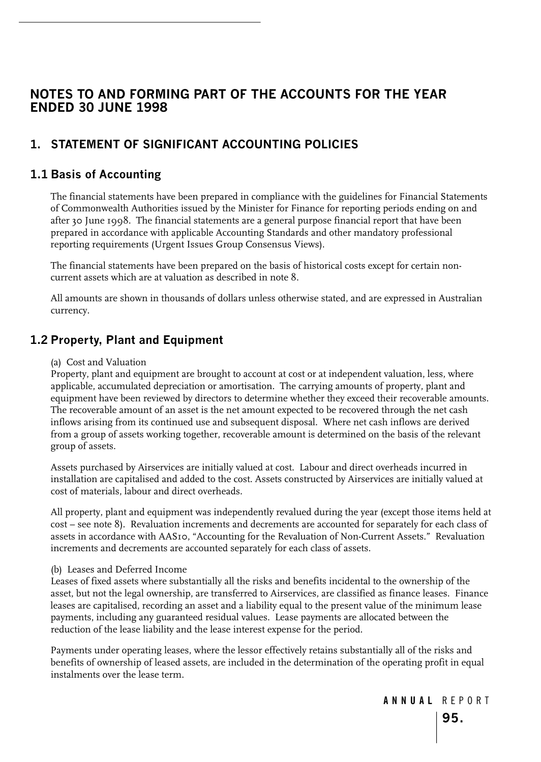## **NOTES TO AND FORMING PART OF THE ACCOUNTS FOR THE YEAR ENDED 30 JUNE 1998**

## **1. STATEMENT OF SIGNIFICANT ACCOUNTING POLICIES**

## **1.1 Basis of Accounting**

The financial statements have been prepared in compliance with the guidelines for Financial Statements of Commonwealth Authorities issued by the Minister for Finance for reporting periods ending on and after 30 June 1998. The financial statements are a general purpose financial report that have been prepared in accordance with applicable Accounting Standards and other mandatory professional reporting requirements (Urgent Issues Group Consensus Views).

The financial statements have been prepared on the basis of historical costs except for certain noncurrent assets which are at valuation as described in note 8.

All amounts are shown in thousands of dollars unless otherwise stated, and are expressed in Australian currency.

## **1.2 Property, Plant and Equipment**

## (a) Cost and Valuation

Property, plant and equipment are brought to account at cost or at independent valuation, less, where applicable, accumulated depreciation or amortisation. The carrying amounts of property, plant and equipment have been reviewed by directors to determine whether they exceed their recoverable amounts. The recoverable amount of an asset is the net amount expected to be recovered through the net cash inflows arising from its continued use and subsequent disposal. Where net cash inflows are derived from a group of assets working together, recoverable amount is determined on the basis of the relevant group of assets.

Assets purchased by Airservices are initially valued at cost. Labour and direct overheads incurred in installation are capitalised and added to the cost. Assets constructed by Airservices are initially valued at cost of materials, labour and direct overheads.

All property, plant and equipment was independently revalued during the year (except those items held at cost – see note 8). Revaluation increments and decrements are accounted for separately for each class of assets in accordance with AAS10, "Accounting for the Revaluation of Non-Current Assets." Revaluation increments and decrements are accounted separately for each class of assets.

## (b) Leases and Deferred Income

Leases of fixed assets where substantially all the risks and benefits incidental to the ownership of the asset, but not the legal ownership, are transferred to Airservices, are classified as finance leases. Finance leases are capitalised, recording an asset and a liability equal to the present value of the minimum lease payments, including any guaranteed residual values. Lease payments are allocated between the reduction of the lease liability and the lease interest expense for the period.

Payments under operating leases, where the lessor effectively retains substantially all of the risks and benefits of ownership of leased assets, are included in the determination of the operating profit in equal instalments over the lease term.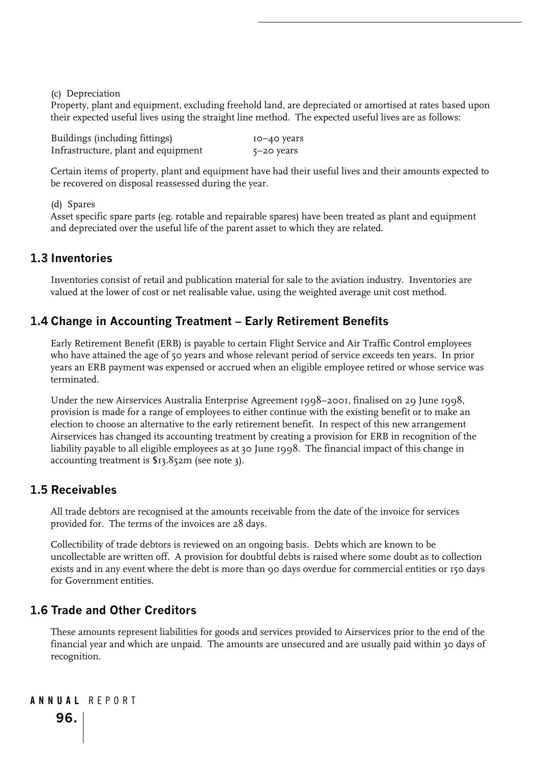(c) Depreciation

Property, plant and equipment, excluding freehold land, are depreciated or amortised at rates based upon their expected useful lives using the straight line method. The expected useful lives are as follows:

| Buildings (including fittings)      | 10–40 years |
|-------------------------------------|-------------|
| Infrastructure, plant and equipment | 5–20 years  |

Certain items of property, plant and equipment have had their useful lives and their amounts expected to be recovered on disposal reassessed during the year.

(d) Spares

Asset specific spare parts (eg. rotable and repairable spares) have been treated as plant and equipment and depreciated over the useful life of the parent asset to which they are related.

## **1.3 Inventories**

Inventories consist of retail and publication material for sale to the aviation industry. Inventories are valued at the lower of cost or net realisable value, using the weighted average unit cost method.

## **1.4 Change in Accounting Treatment – Early Retirement Benefits**

Early Retirement Benefit (ERB) is payable to certain Flight Service and Air Traffic Control employees who have attained the age of 50 years and whose relevant period of service exceeds ten years. In prior years an ERB payment was expensed or accrued when an eligible employee retired or whose service was terminated.

Under the new Airservices Australia Enterprise Agreement 1998–2001, finalised on 29 June 1998, provision is made for a range of employees to either continue with the existing benefit or to make an election to choose an alternative to the early retirement benefit. In respect of this new arrangement Airservices has changed its accounting treatment by creating a provision for ERB in recognition of the liability payable to all eligible employees as at 30 June 1998. The financial impact of this change in accounting treatment is \$13.852m (see note 3).

## **1.5 Receivables**

All trade debtors are recognised at the amounts receivable from the date of the invoice for services provided for. The terms of the invoices are 28 days.

Collectibility of trade debtors is reviewed on an ongoing basis. Debts which are known to be uncollectable are written off. A provision for doubtful debts is raised where some doubt as to collection exists and in any event where the debt is more than 90 days overdue for commercial entities or 150 days for Government entities.

## **1.6 Trade and Other Creditors**

These amounts represent liabilities for goods and services provided to Airservices prior to the end of the financial year and which are unpaid. The amounts are unsecured and are usually paid within 30 days of recognition.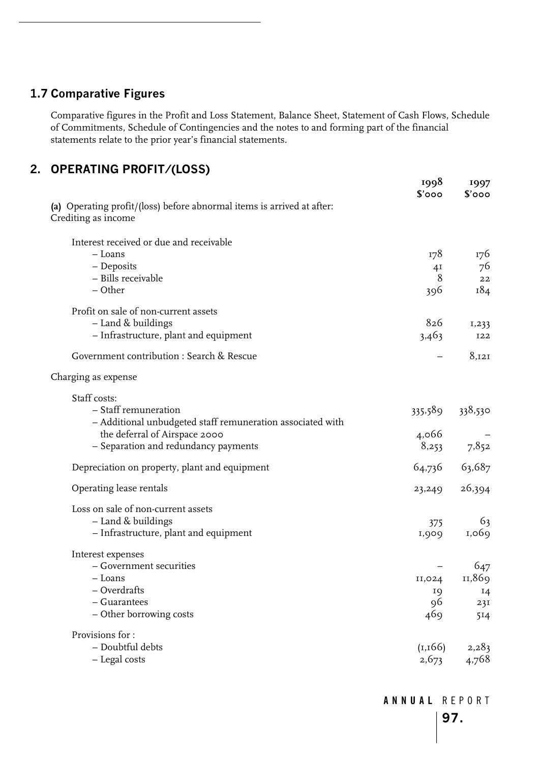## **1.7 Comparative Figures**

Comparative figures in the Profit and Loss Statement, Balance Sheet, Statement of Cash Flows, Schedule of Commitments, Schedule of Contingencies and the notes to and forming part of the financial statements relate to the prior year's financial statements.

## **2. OPERATING PROFIT/(LOSS)**

|                                                                                               | 1998<br>$s'$ ooo | 1997<br>\$'ooo |
|-----------------------------------------------------------------------------------------------|------------------|----------------|
| (a) Operating profit/(loss) before abnormal items is arrived at after:<br>Crediting as income |                  |                |
| Interest received or due and receivable                                                       |                  |                |
| – Loans                                                                                       | 178              | 176            |
| - Deposits                                                                                    | 4 <sub>I</sub>   | 76             |
| - Bills receivable                                                                            | 8                | 22             |
| – Other                                                                                       | 396              | 184            |
| Profit on sale of non-current assets                                                          |                  |                |
| - Land & buildings                                                                            | 826              | 1,233          |
| - Infrastructure, plant and equipment                                                         | 3,463            | <b>I22</b>     |
| Government contribution : Search & Rescue                                                     |                  | 8,121          |
| Charging as expense                                                                           |                  |                |
| Staff costs:                                                                                  |                  |                |
| - Staff remuneration                                                                          | 335,589          | 338,530        |
| - Additional unbudgeted staff remuneration associated with                                    |                  |                |
| the deferral of Airspace 2000                                                                 | 4,066            |                |
| - Separation and redundancy payments                                                          | 8,253            | 7,852          |
| Depreciation on property, plant and equipment                                                 | 64,736           | 63,687         |
| Operating lease rentals                                                                       | 23,249           | 26,394         |
| Loss on sale of non-current assets                                                            |                  |                |
| - Land & buildings                                                                            | 375              | 63             |
| - Infrastructure, plant and equipment                                                         | 1,909            | 1,069          |
| Interest expenses                                                                             |                  |                |
| - Government securities                                                                       |                  | 647            |
| – Loans                                                                                       | II,024           | II,869         |
| – Overdrafts                                                                                  | 19               | I4             |
| – Guarantees                                                                                  | 96               | 23I            |
| - Other borrowing costs                                                                       | 469              | 514            |
| Provisions for:                                                                               |                  |                |
| - Doubtful debts                                                                              | (1,166)          | 2,283          |
| - Legal costs                                                                                 | 2,673            | 4,768          |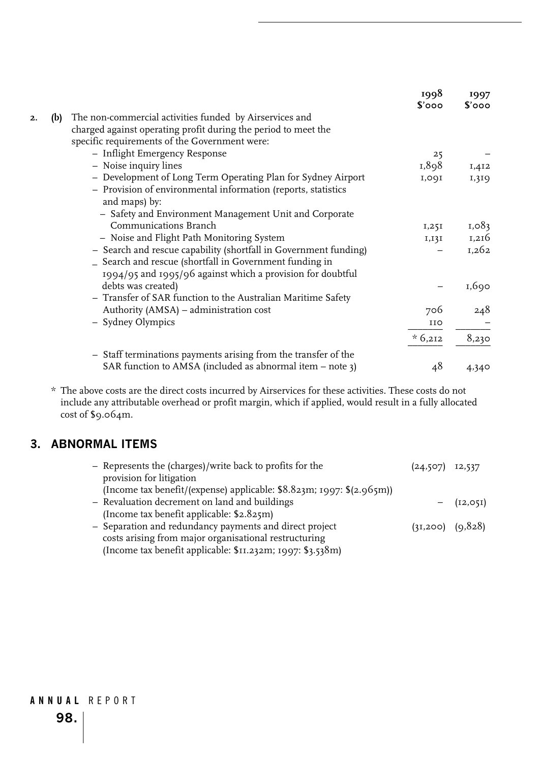|    |     |                                                                                | 1998<br>$S'$ 000 | 1997<br>$\mathsf{S}'$ 000 |
|----|-----|--------------------------------------------------------------------------------|------------------|---------------------------|
| 2. | (b) | The non-commercial activities funded by Airservices and                        |                  |                           |
|    |     | charged against operating profit during the period to meet the                 |                  |                           |
|    |     | specific requirements of the Government were:                                  |                  |                           |
|    |     | - Inflight Emergency Response                                                  | 25               |                           |
|    |     | - Noise inquiry lines                                                          | 1,898            | 1,412                     |
|    |     | - Development of Long Term Operating Plan for Sydney Airport                   | I, OQI           | 1,319                     |
|    |     | - Provision of environmental information (reports, statistics<br>and maps) by: |                  |                           |
|    |     | - Safety and Environment Management Unit and Corporate                         |                  |                           |
|    |     | Communications Branch                                                          | 1,251            | 1,083                     |
|    |     | - Noise and Flight Path Monitoring System                                      | I,I3I            | 1,216                     |
|    |     | - Search and rescue capability (shortfall in Government funding)               |                  | 1,262                     |
|    |     | Search and rescue (shortfall in Government funding in                          |                  |                           |
|    |     | 1994/95 and 1995/96 against which a provision for doubtful                     |                  |                           |
|    |     | debts was created)                                                             |                  | 1,690                     |
|    |     | - Transfer of SAR function to the Australian Maritime Safety                   |                  |                           |
|    |     | Authority (AMSA) – administration cost                                         | 706              | 248                       |
|    |     | - Sydney Olympics                                                              | IIO              |                           |
|    |     |                                                                                | * $6,212$        | 8,230                     |
|    |     | - Staff terminations payments arising from the transfer of the                 |                  |                           |
|    |     | SAR function to AMSA (included as abnormal item - note 3)                      | 48               | 4,340                     |
|    |     |                                                                                |                  |                           |

\* The above costs are the direct costs incurred by Airservices for these activities. These costs do not include any attributable overhead or profit margin, which if applied, would result in a fully allocated cost of \$9.064m.

## **3. ABNORMAL ITEMS**

| - Represents the (charges)/write back to profits for the                  | $(24,507)$ 12,537    |              |
|---------------------------------------------------------------------------|----------------------|--------------|
| provision for litigation                                                  |                      |              |
| (Income tax benefit/(expense) applicable: $$8.823m$ ; 1997: $$(2.965m)$ ) |                      |              |
| - Revaluation decrement on land and buildings                             |                      | $-$ (12,051) |
| (Income tax benefit applicable: \$2.825m)                                 |                      |              |
| - Separation and redundancy payments and direct project                   | $(31,200)$ $(9,828)$ |              |
| costs arising from major organisational restructuring                     |                      |              |
| (Income tax benefit applicable: \$11.232m; 1997: \$3.538m)                |                      |              |

**A N N U A L** R E P O R T

**9 8.**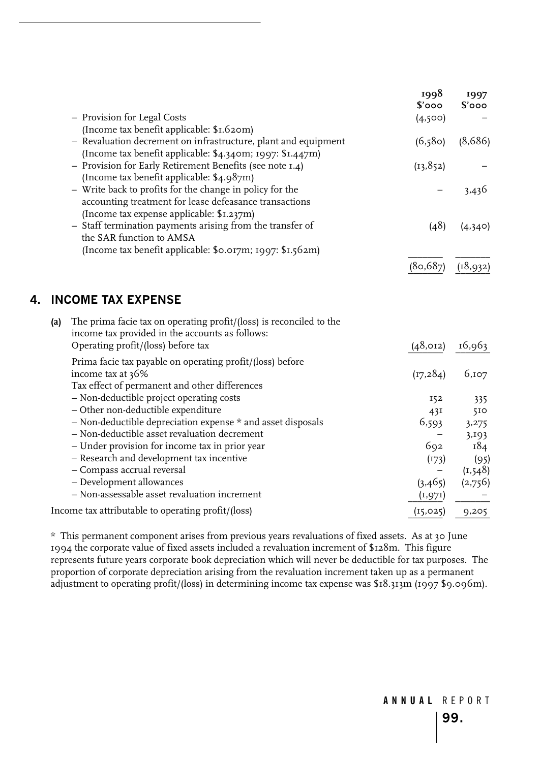|                                                                | 1998<br>$\mathbf{S}'$ 000 | 1997<br>$\mathbf{\hat{S}}$ 000 |
|----------------------------------------------------------------|---------------------------|--------------------------------|
| - Provision for Legal Costs                                    | (4,500)                   |                                |
| (Income tax benefit applicable: \$1.620m)                      |                           |                                |
| - Revaluation decrement on infrastructure, plant and equipment | (6,580)                   | (8,686)                        |
| (Income tax benefit applicable: \$4.340m; 1997: \$1.447m)      |                           |                                |
| - Provision for Early Retirement Benefits (see note 1.4)       | (13, 852)                 |                                |
| (Income tax benefit applicable: \$4.987m)                      |                           |                                |
| - Write back to profits for the change in policy for the       |                           | 3,436                          |
| accounting treatment for lease defeasance transactions         |                           |                                |
| (Income tax expense applicable: \$1.237m)                      |                           |                                |
| - Staff termination payments arising from the transfer of      | (48)                      | (4,340)                        |
| the SAR function to AMSA                                       |                           |                                |
| (Income tax benefit applicable: \$0.017m; 1997: \$1.562m)      |                           |                                |
|                                                                |                           |                                |
|                                                                |                           |                                |

## **4. INCOME TAX EXPENSE**

| The prima facie tax on operating profit/(loss) is reconciled to the<br>(a)<br>income tax provided in the accounts as follows:<br>Operating profit/(loss) before tax | (48,012)  | 16,963   |
|---------------------------------------------------------------------------------------------------------------------------------------------------------------------|-----------|----------|
| Prima facie tax payable on operating profit/(loss) before<br>income tax at 36%<br>Tax effect of permanent and other differences                                     | (I7, 284) | 6,107    |
| - Non-deductible project operating costs                                                                                                                            | 152       | 335      |
| - Other non-deductible expenditure                                                                                                                                  | 431       | 510      |
| - Non-deductible depreciation expense * and asset disposals                                                                                                         | 6,593     | 3,275    |
| - Non-deductible asset revaluation decrement                                                                                                                        |           | 3,193    |
| - Under provision for income tax in prior year<br>692                                                                                                               |           | 184      |
| - Research and development tax incentive<br>(173)                                                                                                                   |           | (95)     |
| - Compass accrual reversal                                                                                                                                          |           | (1, 548) |
| - Development allowances<br>(3,465)                                                                                                                                 |           | (2,756)  |
| - Non-assessable asset revaluation increment                                                                                                                        | (1,971)   |          |
| Income tax attributable to operating profit/(loss)<br>(15, 025)                                                                                                     |           |          |

\* This permanent component arises from previous years revaluations of fixed assets. As at 30 June 1994 the corporate value of fixed assets included a revaluation increment of \$128m. This figure represents future years corporate book depreciation which will never be deductible for tax purposes. The proportion of corporate depreciation arising from the revaluation increment taken up as a permanent adjustment to operating profit/(loss) in determining income tax expense was \$18.313m (1997 \$9.096m).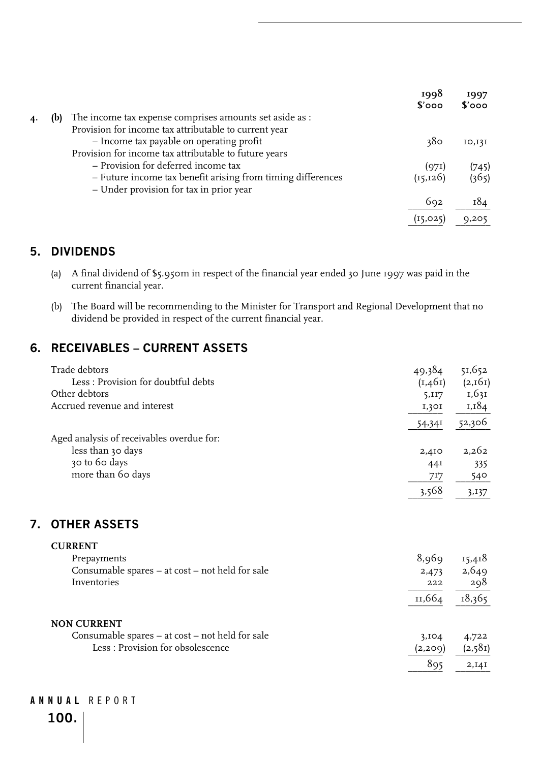|     |                                                             | 1998<br>$S'$ 000 | 1997<br>$\mathsf{S}'$ 000 |
|-----|-------------------------------------------------------------|------------------|---------------------------|
| (D) | The income tax expense comprises amounts set aside as :     |                  |                           |
|     | Provision for income tax attributable to current year       |                  |                           |
|     | - Income tax payable on operating profit                    | 380              | IO,I3I                    |
|     | Provision for income tax attributable to future years       |                  |                           |
|     | - Provision for deferred income tax                         | (971)            | (745)                     |
|     | - Future income tax benefit arising from timing differences | (15, 126)        | (365)                     |
|     | - Under provision for tax in prior year                     |                  |                           |
|     |                                                             | 692              | 184                       |
|     |                                                             | (15,025          | 9,205                     |

## **5. DIVIDENDS**

- (a) A final dividend of \$5.950m in respect of the financial year ended 30 June 1997 was paid in the current financial year.
- (b) The Board will be recommending to the Minister for Transport and Regional Development that no dividend be provided in respect of the current financial year.

## **6. RECEIVABLES – CURRENT ASSETS**

|    | Trade debtors                                       | 49,384          | 51,652  |
|----|-----------------------------------------------------|-----------------|---------|
|    | Less: Provision for doubtful debts                  | (1,461)         | (2,161) |
|    | Other debtors                                       | 5,117           | 1,631   |
|    | Accrued revenue and interest                        | 1,301           | 1,184   |
|    |                                                     | 54,341          | 52,306  |
|    | Aged analysis of receivables overdue for:           |                 |         |
|    | less than 30 days                                   | 2,410           | 2,262   |
|    | 30 to 60 days                                       | 44 <sup>I</sup> | 335     |
|    | more than 60 days                                   | 717             | 540     |
|    |                                                     | 3,568           | 3,137   |
|    |                                                     |                 |         |
| 7. | <b>OTHER ASSETS</b>                                 |                 |         |
|    | <b>CURRENT</b>                                      |                 |         |
|    | Prepayments                                         | 8,969           | 15,418  |
|    | Consumable spares $-$ at cost $-$ not held for sale | 2,473           | 2,649   |
|    | Inventories                                         | 222             | 298     |
|    |                                                     | II,664          | 18,365  |
|    |                                                     |                 |         |
|    | <b>NON CURRENT</b>                                  |                 |         |
|    | Consumable spares - at cost - not held for sale     | 3,104           | 4,722   |
|    | Less: Provision for obsolescence                    | (2,209)         | (2,581) |

 $895$  2,141

## **A N N U A L** R E P O R T

**1 0 0.**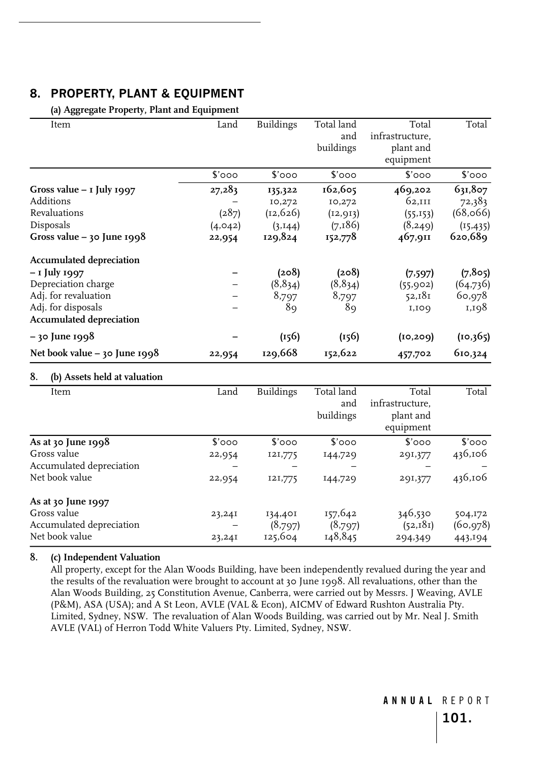## **8. PROPERTY, PLANT & EQUIPMENT**

**(a) Aggregate Property, Plant and Equipment**

| Item                            | Land          | <b>Buildings</b> | Total land    | Total           | Total              |
|---------------------------------|---------------|------------------|---------------|-----------------|--------------------|
|                                 |               |                  | and           | infrastructure, |                    |
|                                 |               |                  | buildings     | plant and       |                    |
|                                 |               |                  |               | equipment       |                    |
|                                 | $\sqrt{2000}$ | $$'$ 000         | $\sqrt{2000}$ | $\sqrt[6]{000}$ | $\mathcal{S}'$ 000 |
| Gross value $-$ I July 1997     | 27,283        | 135,322          | 162,605       | 469,202         | 631,807            |
| Additions                       |               | 10,272           | 10,272        | 62,111          | 72,383             |
| Revaluations                    | (287)         | (12, 626)        | (12, 913)     | (55,153)        | (68, 066)          |
| Disposals                       | (4,042)       | (3,144)          | (7,186)       | (8, 249)        | (15, 435)          |
| Gross value - 30 June 1998      | 22,954        | 129,824          | 152,778       | 467,911         | 620,689            |
| <b>Accumulated depreciation</b> |               |                  |               |                 |                    |
| - 1 July 1997                   |               | (208)            | (208)         | (7.597)         | (7,805)            |
| Depreciation charge             |               | (8, 8, 34)       | (8,834)       | (55,902)        | (64,736)           |
| Adj. for revaluation            |               | 8,797            | 8,797         | 52,181          | 60,978             |
| Adj. for disposals              |               | 89               | 89            | I,IOO           | 1,198              |
| Accumulated depreciation        |               |                  |               |                 |                    |
| – 30 June 1998                  |               | (156)            | (156)         | (10, 209)       | (10,365)           |
| Net book value - 30 June 1998   | 22,954        | 129,668          | 152,622       | 457,702         | 610,324            |

| Item                     | Land          | <b>Buildings</b> | Total land    | Total           | Total         |
|--------------------------|---------------|------------------|---------------|-----------------|---------------|
|                          |               |                  | and           | infrastructure, |               |
|                          |               |                  | buildings     | plant and       |               |
|                          |               |                  |               | equipment       |               |
| As at 30 June $1998$     | $\sqrt{2000}$ | $\sqrt{2000}$    | $\sqrt{2000}$ | $\sqrt{2000}$   | $\sqrt{2000}$ |
| Gross value              | 22,954        | 121,775          | 144,729       | 291,377         | 436,106       |
| Accumulated depreciation |               |                  |               |                 |               |
| Net book value           | 22,954        | 121,775          | 144,729       | 291,377         | 436,106       |
| As at 30 June 1997       |               |                  |               |                 |               |
| Gross value              | 23,241        | 134,401          | 157,642       | 346,530         | 504,172       |
| Accumulated depreciation |               | (8,797)          | (8,797)       | (52,181)        | (60, 978)     |
| Net book value           | 23,241        | 125,604          | 148,845       | 294,349         | 443,194       |

## **8. (c) Independent Valuation**

All property, except for the Alan Woods Building, have been independently revalued during the year and the results of the revaluation were brought to account at 30 June 1998. All revaluations, other than the Alan Woods Building, 25 Constitution Avenue, Canberra, were carried out by Messrs. J Weaving, AVLE (P&M), ASA (USA); and A St Leon, AVLE (VAL & Econ), AICMV of Edward Rushton Australia Pty. Limited, Sydney, NSW. The revaluation of Alan Woods Building, was carried out by Mr. Neal J. Smith AVLE (VAL) of Herron Todd White Valuers Pty. Limited, Sydney, NSW.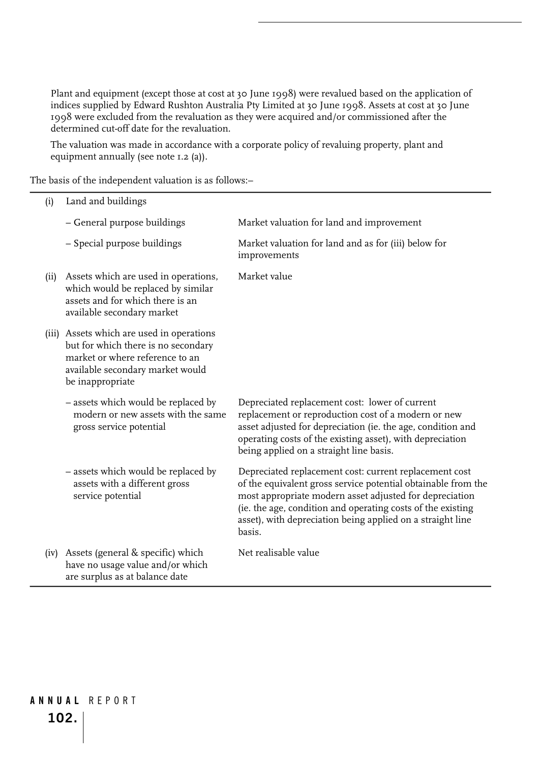Plant and equipment (except those at cost at 30 June 1998) were revalued based on the application of indices supplied by Edward Rushton Australia Pty Limited at 30 June 1998. Assets at cost at 30 June 1998 were excluded from the revaluation as they were acquired and/or commissioned after the determined cut-off date for the revaluation.

The valuation was made in accordance with a corporate policy of revaluing property, plant and equipment annually (see note 1.2 (a)).

The basis of the independent valuation is as follows:–

| (i)  | Land and buildings                                                                                                                                                          |                                                                                                                                                                                                                                                                                                                           |
|------|-----------------------------------------------------------------------------------------------------------------------------------------------------------------------------|---------------------------------------------------------------------------------------------------------------------------------------------------------------------------------------------------------------------------------------------------------------------------------------------------------------------------|
|      | - General purpose buildings                                                                                                                                                 | Market valuation for land and improvement                                                                                                                                                                                                                                                                                 |
|      | - Special purpose buildings                                                                                                                                                 | Market valuation for land and as for (iii) below for<br>improvements                                                                                                                                                                                                                                                      |
| (ii) | Assets which are used in operations,<br>which would be replaced by similar<br>assets and for which there is an<br>available secondary market                                | Market value                                                                                                                                                                                                                                                                                                              |
|      | (iii) Assets which are used in operations<br>but for which there is no secondary<br>market or where reference to an<br>available secondary market would<br>be inappropriate |                                                                                                                                                                                                                                                                                                                           |
|      | - assets which would be replaced by<br>modern or new assets with the same<br>gross service potential                                                                        | Depreciated replacement cost: lower of current<br>replacement or reproduction cost of a modern or new<br>asset adjusted for depreciation (ie. the age, condition and<br>operating costs of the existing asset), with depreciation<br>being applied on a straight line basis.                                              |
|      | - assets which would be replaced by<br>assets with a different gross<br>service potential                                                                                   | Depreciated replacement cost: current replacement cost<br>of the equivalent gross service potential obtainable from the<br>most appropriate modern asset adjusted for depreciation<br>(ie. the age, condition and operating costs of the existing<br>asset), with depreciation being applied on a straight line<br>basis. |
| (iv) | Assets (general & specific) which<br>have no usage value and/or which<br>are surplus as at balance date                                                                     | Net realisable value                                                                                                                                                                                                                                                                                                      |

## **A N N U A L** R E P O R T **1 0 2.**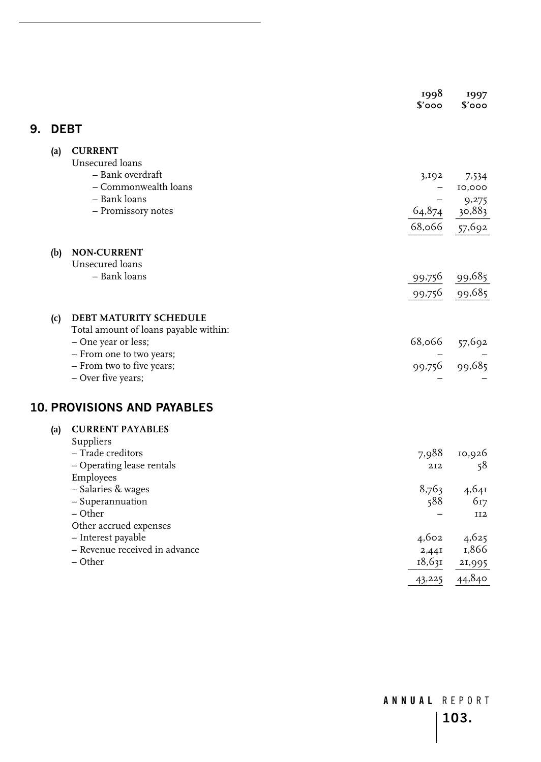|    |     |                                        | 1998<br>\$'000 | 1997<br>$\mathsf{S}'$ 000 |
|----|-----|----------------------------------------|----------------|---------------------------|
| 9. |     | <b>DEBT</b>                            |                |                           |
|    | (a) | <b>CURRENT</b>                         |                |                           |
|    |     | Unsecured loans                        |                |                           |
|    |     | - Bank overdraft                       | 3,192          | 7,534                     |
|    |     | - Commonwealth loans                   |                | 10,000                    |
|    |     | - Bank loans                           |                | 9,275                     |
|    |     | - Promissory notes                     | 64,874         | 30,883                    |
|    |     |                                        | 68,066         | 57,692                    |
|    | (b) | <b>NON-CURRENT</b>                     |                |                           |
|    |     | Unsecured loans                        |                |                           |
|    |     | - Bank loans                           | 99,756         | 99,685                    |
|    |     |                                        | 99,756         | 99,685                    |
|    | (c) | DEBT MATURITY SCHEDULE                 |                |                           |
|    |     | Total amount of loans payable within:  |                |                           |
|    |     | - One year or less;                    | 68,066         | 57,692                    |
|    |     | - From one to two years;               |                |                           |
|    |     | - From two to five years;              |                | 99,756 99,685             |
|    |     | - Over five years;                     |                |                           |
|    |     | <b>10. PROVISIONS AND PAYABLES</b>     |                |                           |
|    | (a) | <b>CURRENT PAYABLES</b>                |                |                           |
|    |     | Suppliers                              |                |                           |
|    |     | - Trade creditors                      | 7,988          | 10,926                    |
|    |     | - Operating lease rentals              | 212            | 58                        |
|    |     | Employees                              |                |                           |
|    |     | - Salaries & wages<br>- Superannuation | 8,763          | 4,641<br>617              |
|    |     | - Other                                | 588            | <b>II2</b>                |
|    |     | Other accrued expenses                 |                |                           |
|    |     | - Interest payable                     | 4,602          | 4,625                     |
|    |     | - Revenue received in advance          | 2,44I          | 1,866                     |
|    |     | – Other                                | 18,631         | 21,995                    |
|    |     |                                        | 43,225         | 44,840                    |
|    |     |                                        |                |                           |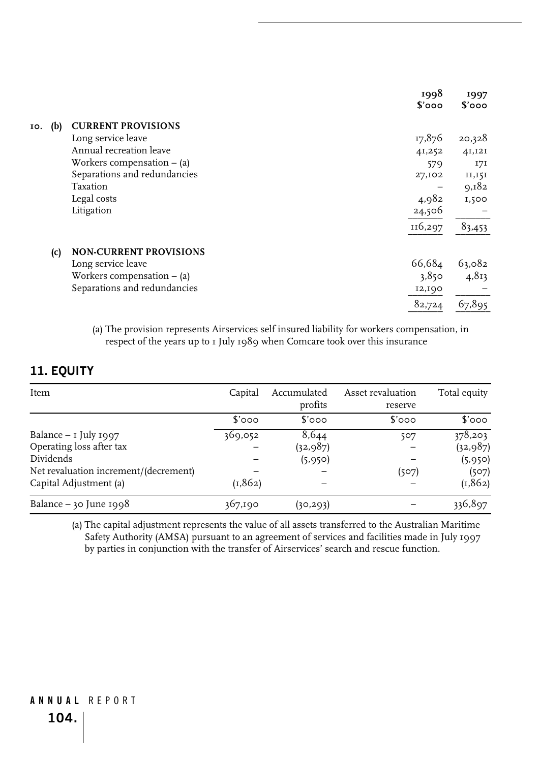|     |     |                               | 1998<br>$\mathbf{\hat{S}}$ 000 | 1997<br>$\mathbf{\hat{S}}$ 000 |
|-----|-----|-------------------------------|--------------------------------|--------------------------------|
|     |     |                               |                                |                                |
| IO. | (b) | <b>CURRENT PROVISIONS</b>     |                                |                                |
|     |     | Long service leave            | 17,876                         | 20,328                         |
|     |     | Annual recreation leave       | 41,252                         | 41,121                         |
|     |     | Workers compensation $-$ (a)  | 579                            | 17I                            |
|     |     | Separations and redundancies  | 27,102                         | II,I5I                         |
|     |     | Taxation                      |                                | 9,182                          |
|     |     | Legal costs                   | 4,982                          | 1,500                          |
|     |     | Litigation                    | 24,506                         |                                |
|     |     |                               | 116,297                        | 83,453                         |
|     | (c) | <b>NON-CURRENT PROVISIONS</b> |                                |                                |
|     |     | Long service leave            | 66,684                         | 63,082                         |
|     |     | Workers compensation $-$ (a)  | 3,850                          | 4,813                          |
|     |     | Separations and redundancies  | 12,190                         |                                |
|     |     |                               | 82,724                         | 67,895                         |

(a) The provision represents Airservices self insured liability for workers compensation, in respect of the years up to 1 July 1989 when Comcare took over this insurance

| Item                                  | Capital       | Accumulated<br>profits | Asset revaluation<br>reserve | Total equity  |
|---------------------------------------|---------------|------------------------|------------------------------|---------------|
|                                       | $\sqrt{2000}$ | $\sqrt{2000}$          | $\sqrt{2000}$                | $\sqrt{2000}$ |
| Balance $-$ I July 1997               | 369,052       | 8,644                  | 507                          | 378,203       |
| Operating loss after tax              |               | (32,987)               |                              | (32,987)      |
| Dividends                             |               | (5.950)                |                              | (5.950)       |
| Net revaluation increment/(decrement) |               |                        | (507)                        | (507)         |
| Capital Adjustment (a)                | (1,862)       |                        |                              | (I, 862)      |
| Balance $-$ 30 June 1998              | 367,190       | (30, 293)              |                              | 336,897       |

### **11. EQUITY**

(a) The capital adjustment represents the value of all assets transferred to the Australian Maritime Safety Authority (AMSA) pursuant to an agreement of services and facilities made in July 1997 by parties in conjunction with the transfer of Airservices' search and rescue function.

# **A N N U A L** R E P O R T **1 0 4.**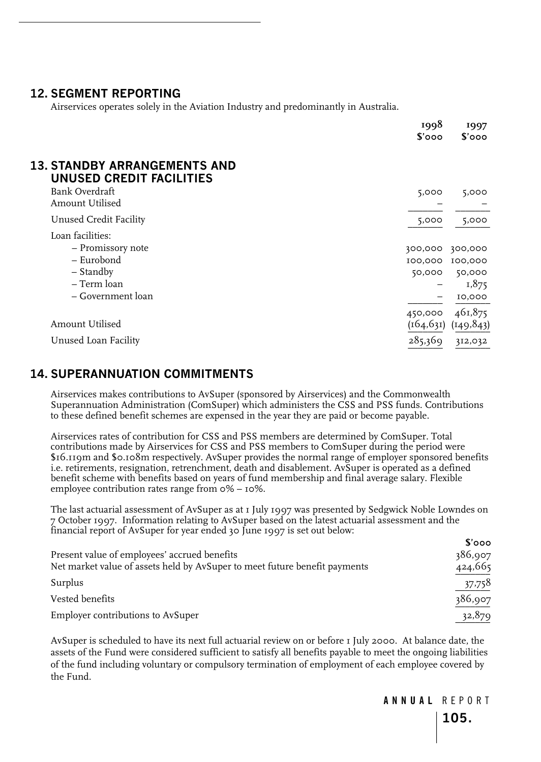### **12. SEGMENT REPORTING**

Airservices operates solely in the Aviation Industry and predominantly in Australia.

|                                                                 | 1998<br>$\mathbf{\hat{S}}$ 000 | 1997<br>$\mathbf{\hat{S}}$ 000 |
|-----------------------------------------------------------------|--------------------------------|--------------------------------|
| <b>13. STANDBY ARRANGEMENTS AND</b><br>UNUSED CREDIT FACILITIES |                                |                                |
| <b>Bank Overdraft</b><br>Amount Utilised                        | 5,000                          | 5,000                          |
| Unused Credit Facility                                          | 5,000                          | 5,000                          |
| Loan facilities:<br>- Promissory note                           | 300,000                        | 300,000                        |
| - Eurobond<br>– Standby<br>– Term loan                          | 100,000<br>50,000              | 100,000<br>50,000<br>1,875     |
| – Government loan                                               | -<br>450,000                   | 10,000<br>461,875              |
| Amount Utilised<br>Unused Loan Facility                         | (164,631)<br>285,369           | (149, 843)<br>312,032          |
|                                                                 |                                |                                |

### **14. SUPERANNUATION COMMITMENTS**

Airservices makes contributions to AvSuper (sponsored by Airservices) and the Commonwealth Superannuation Administration (ComSuper) which administers the CSS and PSS funds. Contributions to these defined benefit schemes are expensed in the year they are paid or become payable.

Airservices rates of contribution for CSS and PSS members are determined by ComSuper. Total contributions made by Airservices for CSS and PSS members to ComSuper during the period were \$16.119m and \$0.108m respectively. AvSuper provides the normal range of employer sponsored benefits i.e. retirements, resignation, retrenchment, death and disablement. AvSuper is operated as a defined benefit scheme with benefits based on years of fund membership and final average salary. Flexible employee contribution rates range from 0% – 10%.

The last actuarial assessment of AvSuper as at 1 July 1997 was presented by Sedgwick Noble Lowndes on 7 October 1997. Information relating to AvSuper based on the latest actuarial assessment and the financial report of AvSuper for year ended 30 June 1997 is set out below:

|                                                                            | $S'$ 000 |
|----------------------------------------------------------------------------|----------|
| Present value of employees' accrued benefits                               | 386,907  |
| Net market value of assets held by AvSuper to meet future benefit payments | 424,665  |
| Surplus                                                                    | 37,758   |
| Vested benefits                                                            | 386,907  |
| Employer contributions to AvSuper                                          | 32,879   |

AvSuper is scheduled to have its next full actuarial review on or before 1 July 2000. At balance date, the assets of the Fund were considered sufficient to satisfy all benefits payable to meet the ongoing liabilities of the fund including voluntary or compulsory termination of employment of each employee covered by the Fund.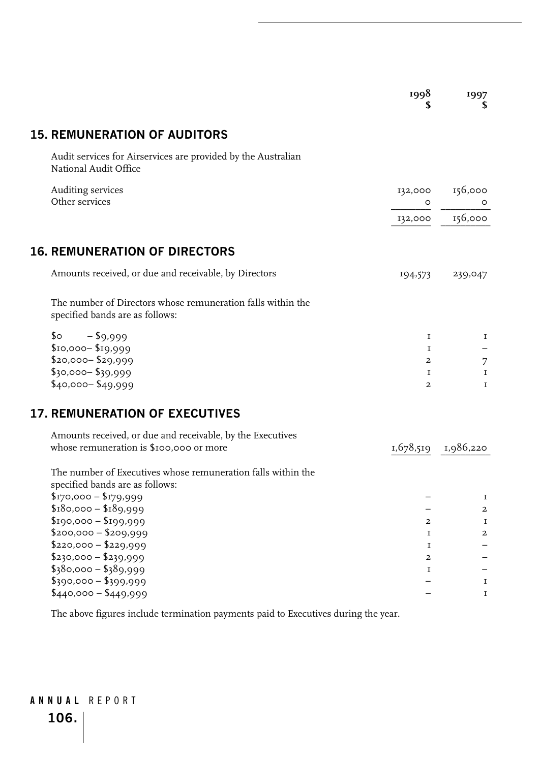|                                                       |                                                               | 1998<br>S                     | 1997<br>S                     |
|-------------------------------------------------------|---------------------------------------------------------------|-------------------------------|-------------------------------|
| <b>15. REMUNERATION OF AUDITORS</b>                   |                                                               |                               |                               |
| National Audit Office                                 | Audit services for Airservices are provided by the Australian |                               |                               |
| Auditing services<br>Other services                   |                                                               | 132,000<br>O                  | 156,000                       |
|                                                       |                                                               | 132,000                       | 156,000                       |
| <b>16. REMUNERATION OF DIRECTORS</b>                  |                                                               |                               |                               |
| Amounts received, or due and receivable, by Directors |                                                               | 194,573                       | 239,047                       |
| specified bands are as follows:                       | The number of Directors whose remuneration falls within the   |                               |                               |
| \$0<br>$-$ \$9,999<br>$$10,000 - $19,999$             |                                                               | $\mathbf I$                   | Ι.                            |
| \$20,000-\$29,999                                     |                                                               | $\mathbf I$<br>$\overline{a}$ | 7                             |
| $$30,000 - $39,999$                                   |                                                               | 1                             | $\mathbf I$                   |
| $$40,000 - $49,999$                                   |                                                               | $\overline{a}$                | $\mathbf I$                   |
| <b>17. REMUNERATION OF EXECUTIVES</b>                 |                                                               |                               |                               |
|                                                       | Amounts received, or due and receivable, by the Executives    |                               |                               |
| whose remuneration is \$100,000 or more               |                                                               | 1,678,519                     | 1,986,220                     |
| specified bands are as follows:                       | The number of Executives whose remuneration falls within the  |                               |                               |
| $$170,000 - $179,999$                                 |                                                               |                               | Ι.                            |
| $$180,000 - $189,999$                                 |                                                               |                               | $\overline{a}$                |
| $$190,000 - $199,999$<br>$$200,000 - $209,999$        |                                                               | $\overline{a}$<br>$\mathbf I$ | $\mathbf I$<br>$\overline{a}$ |
| $$220,000 - $229,999$                                 |                                                               | I                             |                               |
| $$230,000 - $239,999$                                 |                                                               | $\overline{a}$                |                               |
| $$380,000 - $389,999$                                 |                                                               | I                             |                               |
| $$390,000 - $399,999$                                 |                                                               |                               | $\mathbf I$                   |
| $$440,000 - $449,999$                                 |                                                               |                               | $\mathbf I$                   |

The above figures include termination payments paid to Executives during the year.

**A N N U A L** R E P O R T **1 0 6.**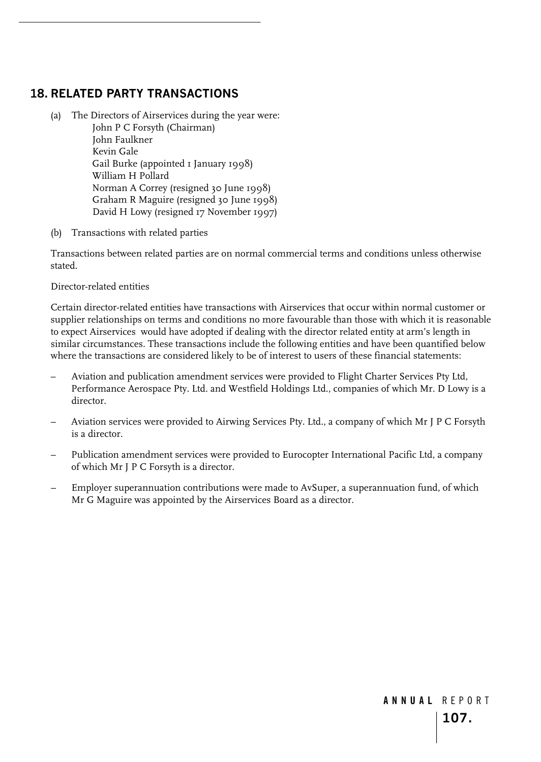## **18. RELATED PARTY TRANSACTIONS**

- (a) The Directors of Airservices during the year were: John P C Forsyth (Chairman) John Faulkner Kevin Gale Gail Burke (appointed 1 January 1998) William H Pollard Norman A Correy (resigned 30 June 1998) Graham R Maguire (resigned 30 June 1998) David H Lowy (resigned 17 November 1997)
- (b) Transactions with related parties

Transactions between related parties are on normal commercial terms and conditions unless otherwise stated.

#### Director-related entities

Certain director-related entities have transactions with Airservices that occur within normal customer or supplier relationships on terms and conditions no more favourable than those with which it is reasonable to expect Airservices would have adopted if dealing with the director related entity at arm's length in similar circumstances. These transactions include the following entities and have been quantified below where the transactions are considered likely to be of interest to users of these financial statements:

- Aviation and publication amendment services were provided to Flight Charter Services Pty Ltd, Performance Aerospace Pty. Ltd. and Westfield Holdings Ltd., companies of which Mr. D Lowy is a director.
- Aviation services were provided to Airwing Services Pty. Ltd., a company of which Mr J P C Forsyth is a director.
- Publication amendment services were provided to Eurocopter International Pacific Ltd, a company of which Mr J P C Forsyth is a director.
- Employer superannuation contributions were made to AvSuper, a superannuation fund, of which Mr G Maguire was appointed by the Airservices Board as a director.

## **A N N U A L** R E P O R T **1 0 7.**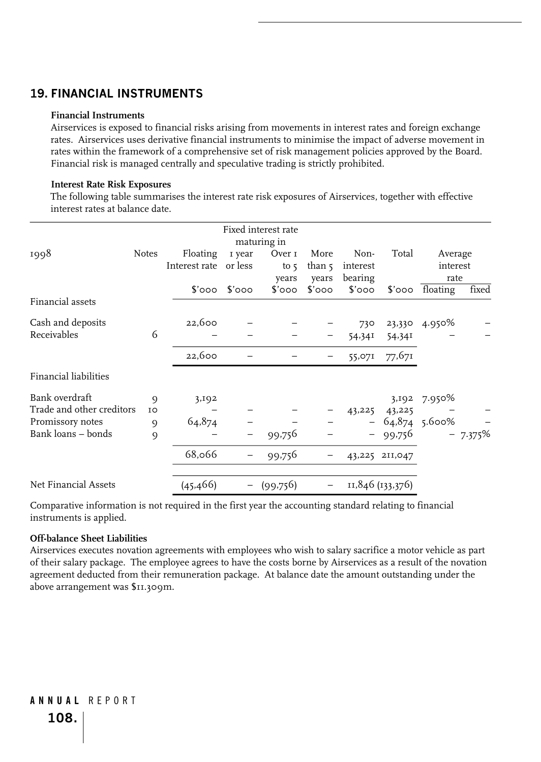## **19. FINANCIAL INSTRUMENTS**

#### **Financial Instruments**

Airservices is exposed to financial risks arising from movements in interest rates and foreign exchange rates. Airservices uses derivative financial instruments to minimise the impact of adverse movement in rates within the framework of a comprehensive set of risk management policies approved by the Board. Financial risk is managed centrally and speculative trading is strictly prohibited.

### **Interest Rate Risk Exposures**

The following table summarises the interest rate risk exposures of Airservices, together with effective interest rates at balance date.

|                           |              |               |               | Fixed interest rate<br>maturing in |                        |                          |                    |                  |        |
|---------------------------|--------------|---------------|---------------|------------------------------------|------------------------|--------------------------|--------------------|------------------|--------|
| 1998                      | <b>Notes</b> | Floating      | I year        | Over 1                             | More                   | Non-                     | Total              | Average          |        |
|                           |              | Interest rate | or less       | to $5$                             | than 5                 | interest                 |                    | interest         |        |
|                           |              | $\sqrt{2000}$ | $\sqrt{2000}$ | years<br>$\sqrt{2000}$             | years<br>$\sqrt{2000}$ | bearing<br>$\sqrt{2000}$ | $\mathcal{S}'$ 000 | rate<br>floating | fixed  |
| Financial assets          |              |               |               |                                    |                        |                          |                    |                  |        |
| Cash and deposits         |              | 22,600        |               |                                    |                        | 730                      | 23,330             | 4.950%           |        |
| Receivables               | 6            |               |               |                                    |                        | 54,341                   | 54,341             |                  |        |
|                           |              | 22,600        |               |                                    |                        | 55,071                   | 77,671             |                  |        |
| Financial liabilities     |              |               |               |                                    |                        |                          |                    |                  |        |
| Bank overdraft            | 9            | 3,192         |               |                                    |                        |                          | 3,192              | 7.950%           |        |
| Trade and other creditors | TO           |               |               |                                    |                        | 43,225                   | 43,225             |                  |        |
| Promissory notes          | 9            | 64,874        |               |                                    |                        |                          |                    | 64,874 5.600%    |        |
| Bank loans – bonds        | 9            |               |               | 99,756                             |                        |                          | 99,756             |                  | 7.375% |
|                           |              | 68,066        |               | 99,756                             |                        | 43,225                   | 2II,047            |                  |        |
| Net Financial Assets      |              | (45, 466)     |               | (99,756)                           |                        |                          | 11,846 (133,376)   |                  |        |

Comparative information is not required in the first year the accounting standard relating to financial instruments is applied.

#### **Off-balance Sheet Liabilities**

Airservices executes novation agreements with employees who wish to salary sacrifice a motor vehicle as part of their salary package. The employee agrees to have the costs borne by Airservices as a result of the novation agreement deducted from their remuneration package. At balance date the amount outstanding under the above arrangement was \$11.309m.

```
A N N U A L R E P O R T
1 0 8.
```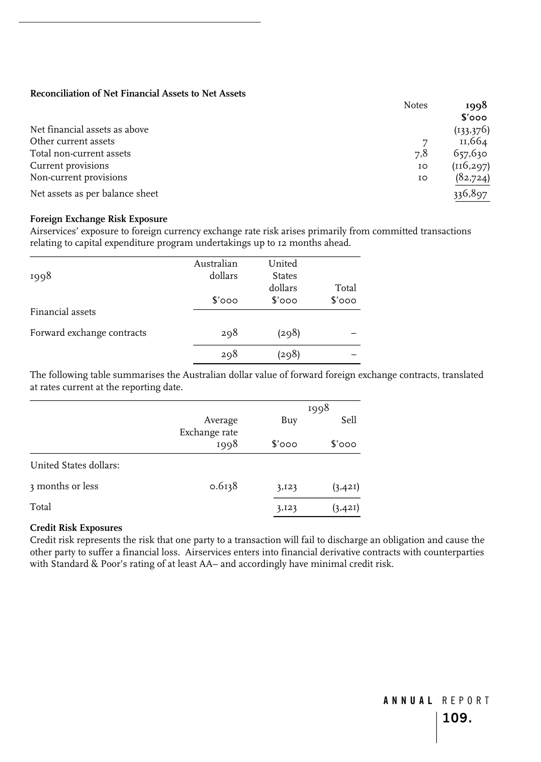### **Reconciliation of Net Financial Assets to Net Assets**

| <b>Notes</b> | 1998                   |
|--------------|------------------------|
|              | $\mathbf{\hat{S}}$ 000 |
|              | (133,376)              |
|              | 11,664                 |
| 7,8          | 657,630                |
| IO           | (116, 297)             |
| ΙO           | (82,724)               |
|              | 336,897                |
|              |                        |

#### **Foreign Exchange Risk Exposure**

Airservices' exposure to foreign currency exchange rate risk arises primarily from committed transactions relating to capital expenditure program undertakings up to 12 months ahead.

| 1998                       | Australian<br>dollars<br>$\sqrt{2000}$ | United<br><b>States</b><br>dollars<br>$\sqrt{2000}$ | Total<br>$\sqrt{2000}$ |
|----------------------------|----------------------------------------|-----------------------------------------------------|------------------------|
| Financial assets           |                                        |                                                     |                        |
| Forward exchange contracts | 298                                    | (298)                                               |                        |
|                            | 298                                    | 298                                                 |                        |

The following table summarises the Australian dollar value of forward foreign exchange contracts, translated at rates current at the reporting date.

|                        |                          |               | 1998          |
|------------------------|--------------------------|---------------|---------------|
|                        | Average<br>Exchange rate | Buy           | Sell          |
|                        | 1998                     | $\sqrt{2000}$ | $\sqrt{2000}$ |
| United States dollars: |                          |               |               |
| 3 months or less       | 0.6138                   | 3,123         | (3, 42I)      |
| Total                  |                          | 3,123         | (3, 42I)      |

### **Credit Risk Exposures**

Credit risk represents the risk that one party to a transaction will fail to discharge an obligation and cause the other party to suffer a financial loss. Airservices enters into financial derivative contracts with counterparties with Standard & Poor's rating of at least AA– and accordingly have minimal credit risk.